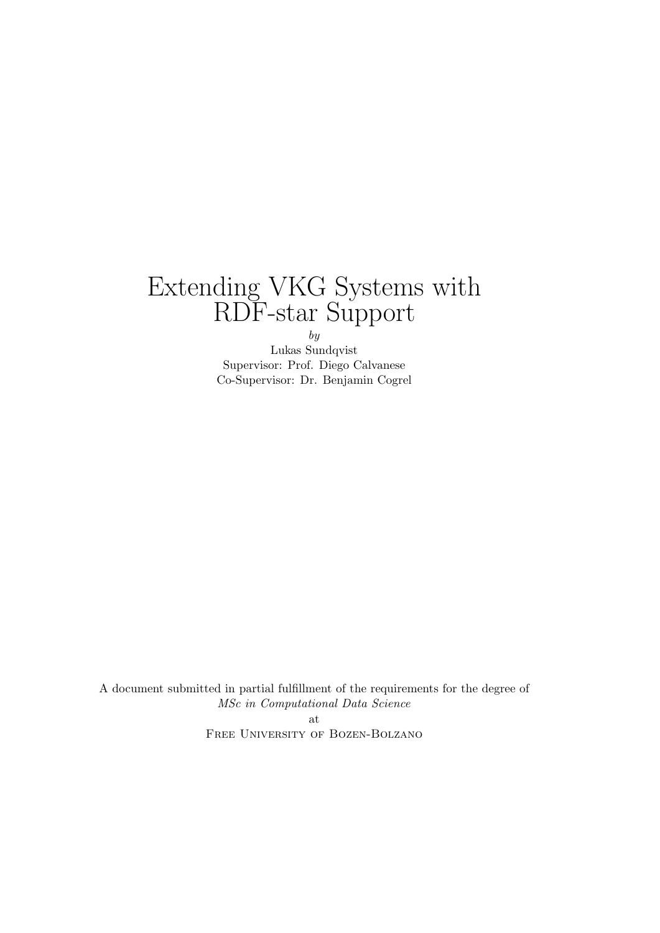# Extending VKG Systems with RDF-star Support

by

Lukas Sundqvist Supervisor: Prof. Diego Calvanese Co-Supervisor: Dr. Benjamin Cogrel

A document submitted in partial fulfillment of the requirements for the degree of MSc in Computational Data Science at Free University of Bozen-Bolzano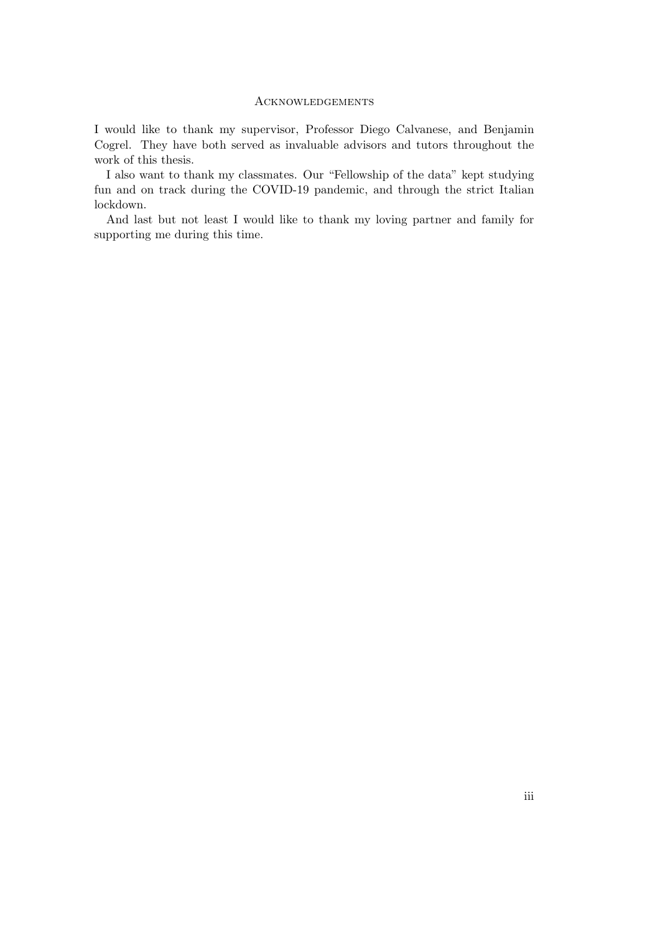#### **ACKNOWLEDGEMENTS**

I would like to thank my supervisor, Professor Diego Calvanese, and Benjamin Cogrel. They have both served as invaluable advisors and tutors throughout the work of this thesis.

I also want to thank my classmates. Our "Fellowship of the data" kept studying fun and on track during the COVID-19 pandemic, and through the strict Italian lockdown.

And last but not least I would like to thank my loving partner and family for supporting me during this time.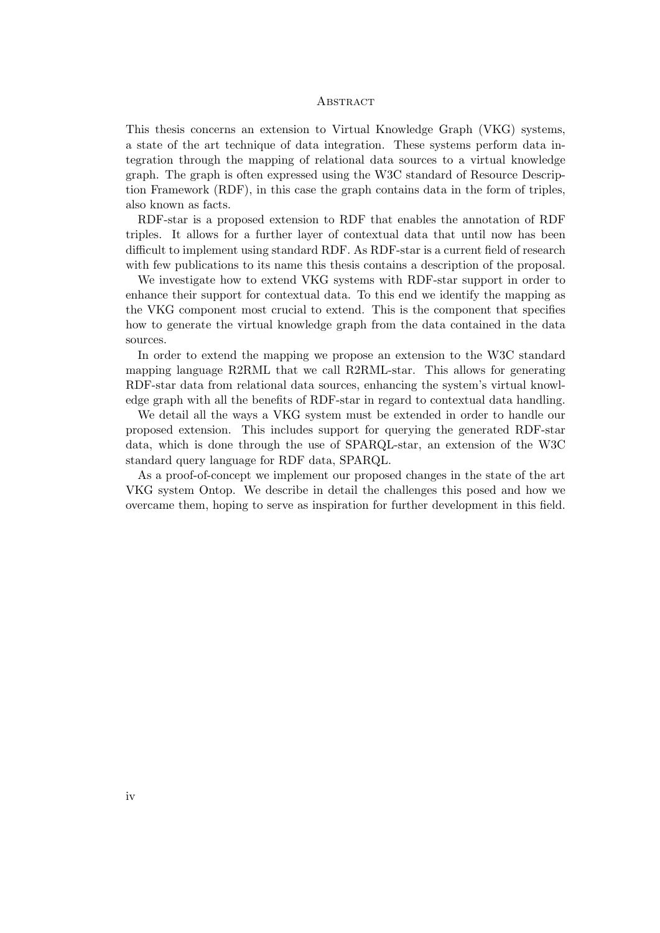#### **ABSTRACT**

This thesis concerns an extension to Virtual Knowledge Graph (VKG) systems, a state of the art technique of data integration. These systems perform data integration through the mapping of relational data sources to a virtual knowledge graph. The graph is often expressed using the W3C standard of Resource Description Framework (RDF), in this case the graph contains data in the form of triples, also known as facts.

RDF-star is a proposed extension to RDF that enables the annotation of RDF triples. It allows for a further layer of contextual data that until now has been difficult to implement using standard RDF. As RDF-star is a current field of research with few publications to its name this thesis contains a description of the proposal.

We investigate how to extend VKG systems with RDF-star support in order to enhance their support for contextual data. To this end we identify the mapping as the VKG component most crucial to extend. This is the component that specifies how to generate the virtual knowledge graph from the data contained in the data sources.

In order to extend the mapping we propose an extension to the W3C standard mapping language R2RML that we call R2RML-star. This allows for generating RDF-star data from relational data sources, enhancing the system's virtual knowledge graph with all the benefits of RDF-star in regard to contextual data handling.

We detail all the ways a VKG system must be extended in order to handle our proposed extension. This includes support for querying the generated RDF-star data, which is done through the use of SPARQL-star, an extension of the W3C standard query language for RDF data, SPARQL.

As a proof-of-concept we implement our proposed changes in the state of the art VKG system Ontop. We describe in detail the challenges this posed and how we overcame them, hoping to serve as inspiration for further development in this field.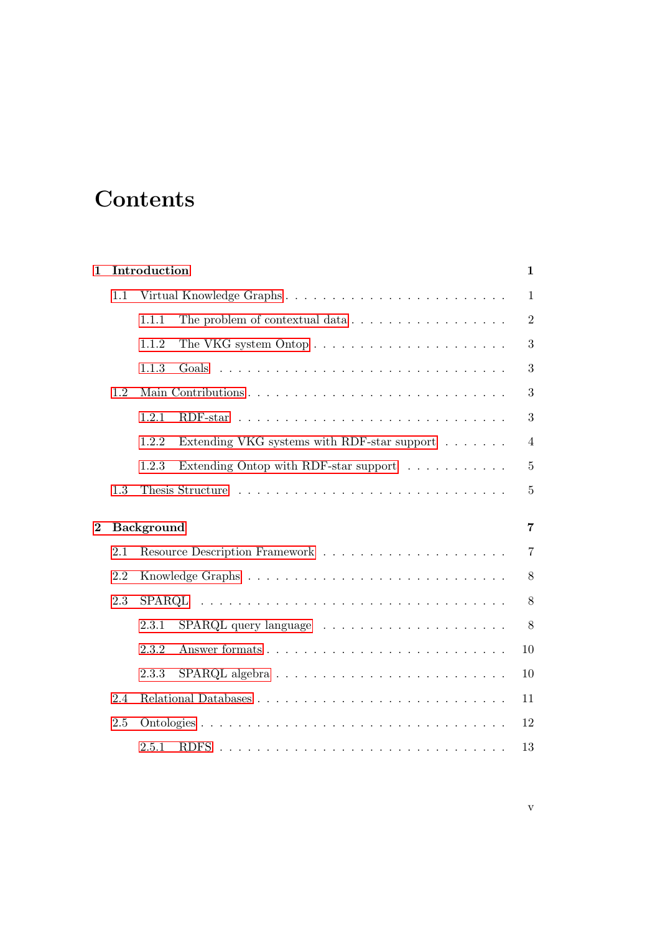# **Contents**

| $\mathbf{1}$ |     | Introduction                                                                 | $\mathbf{1}$   |
|--------------|-----|------------------------------------------------------------------------------|----------------|
|              | 1.1 | Virtual Knowledge Graphs                                                     | $\mathbf{1}$   |
|              |     | 1.1.1<br>The problem of contextual data $\ldots \ldots \ldots \ldots \ldots$ | $\overline{2}$ |
|              |     | 1.1.2                                                                        | 3              |
|              |     | 1.1.3<br>Goals                                                               | 3              |
|              | 1.2 |                                                                              | 3              |
|              |     | 1.2.1                                                                        | 3              |
|              |     | Extending VKG systems with RDF-star support<br>1.2.2                         | $\overline{4}$ |
|              |     | Extending Ontop with RDF-star support<br>1.2.3                               | $\overline{5}$ |
|              | 1.3 |                                                                              | $\overline{5}$ |
| $\bf{2}$     |     | <b>Background</b>                                                            | $\overline{7}$ |
|              | 2.1 |                                                                              | $\overline{7}$ |
|              | 2.2 |                                                                              | 8              |
|              | 2.3 |                                                                              | 8              |
|              |     | 2.3.1                                                                        | 8              |
|              |     | 2.3.2                                                                        | 10             |
|              |     | 2.3.3                                                                        | 10             |
|              | 2.4 |                                                                              | 11             |
|              | 2.5 |                                                                              | 12             |
|              |     | 2.5.1                                                                        | 13             |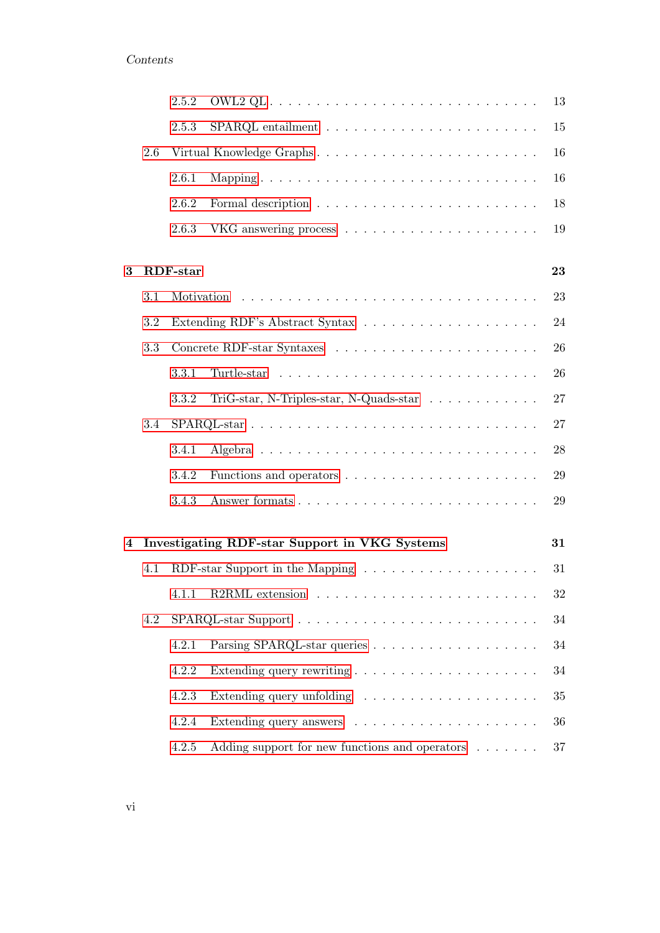|                |     | 2.5.2           |                                                                | 13     |
|----------------|-----|-----------------|----------------------------------------------------------------|--------|
|                |     | 2.5.3           |                                                                | 15     |
|                | 2.6 |                 | Virtual Knowledge Graphs                                       | 16     |
|                |     | 2.6.1           |                                                                | 16     |
|                |     | 2.6.2           |                                                                | 18     |
|                |     | 2.6.3           |                                                                | 19     |
|                |     |                 |                                                                |        |
| 3              |     | <b>RDF-star</b> |                                                                | 23     |
|                | 3.1 |                 |                                                                | 23     |
|                | 3.2 |                 |                                                                | 24     |
|                | 3.3 |                 |                                                                | 26     |
|                |     | 3.3.1           |                                                                | 26     |
|                |     | 3.3.2           | $TriG-star, N-Triples-star, N-Quads-star \ldots \ldots \ldots$ | 27     |
|                | 3.4 |                 |                                                                | 27     |
|                |     | 3.4.1           |                                                                | 28     |
|                |     | 3.4.2           |                                                                | 29     |
|                |     | 3.4.3           |                                                                | 29     |
|                |     |                 |                                                                |        |
| $\overline{4}$ |     |                 | Investigating RDF-star Support in VKG Systems                  | 31     |
|                | 4.1 |                 |                                                                | 31     |
|                |     |                 | 4.1.1 R2RML extension                                          | $32\,$ |
|                | 4.2 |                 |                                                                | 34     |
|                |     | 4.2.1           |                                                                | 34     |
|                |     | 4.2.2           |                                                                | 34     |
|                |     | 4.2.3           | Extending query unfolding                                      | $35\,$ |
|                |     | 4.2.4           |                                                                | 36     |
|                |     | 4.2.5           | Adding support for new functions and operators                 | 37     |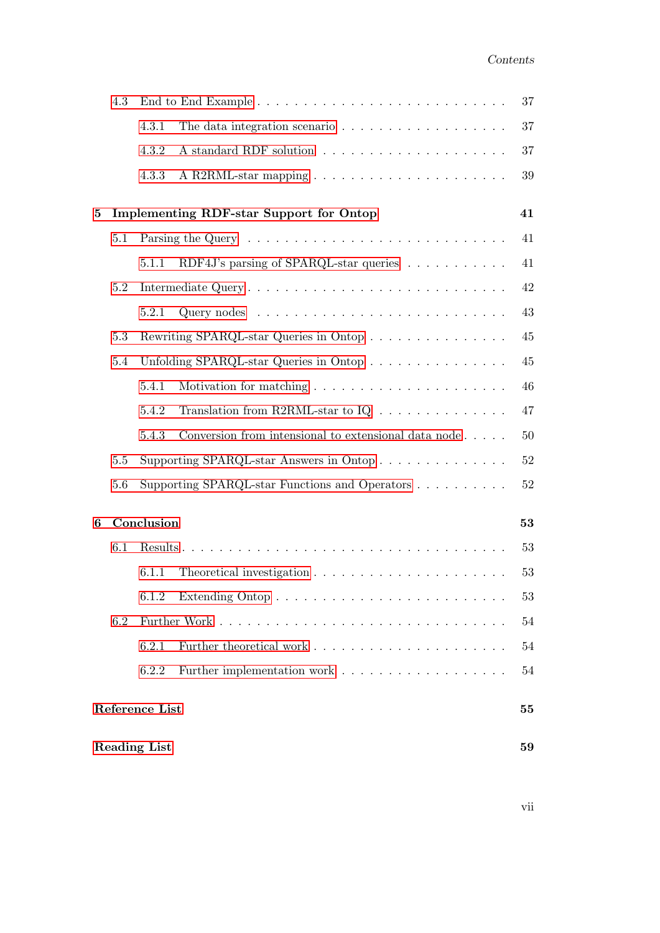|   | 4.3     | 37                  |                                                                           |        |  |
|---|---------|---------------------|---------------------------------------------------------------------------|--------|--|
|   |         | 4.3.1               | The data integration scenario $\ldots \ldots \ldots \ldots \ldots \ldots$ | 37     |  |
|   |         | 4.3.2               |                                                                           | 37     |  |
|   |         | 4.3.3               |                                                                           | $39\,$ |  |
| 5 |         |                     | <b>Implementing RDF-star Support for Ontop</b>                            | 41     |  |
|   | 5.1     |                     |                                                                           | 41     |  |
|   |         | 5.1.1               | RDF4J's parsing of SPARQL-star queries                                    | 41     |  |
|   | 5.2     |                     |                                                                           | 42     |  |
|   |         | 5.2.1               |                                                                           | 43     |  |
|   | 5.3     |                     | Rewriting SPARQL-star Queries in Ontop                                    | 45     |  |
|   | 5.4     |                     | Unfolding SPARQL-star Queries in Ontop                                    | $45\,$ |  |
|   |         | 5.4.1               |                                                                           | 46     |  |
|   |         | 5.4.2               | Translation from R2RML-star to $IQ \ldots \ldots \ldots \ldots$           | 47     |  |
|   |         | 5.4.3               | Conversion from intensional to extensional data node                      | 50     |  |
|   | $5.5\,$ |                     | Supporting SPARQL-star Answers in Ontop                                   | $52\,$ |  |
|   | 5.6     |                     | Supporting SPARQL-star Functions and Operators                            | $52\,$ |  |
| 6 |         | Conclusion          |                                                                           | 53     |  |
|   | 6.1     |                     |                                                                           | 53     |  |
|   |         | 6.1.1               |                                                                           | 53     |  |
|   |         | 6.1.2               |                                                                           | 53     |  |
|   | 6.2     |                     |                                                                           | 54     |  |
|   |         | 6.2.1               |                                                                           | 54     |  |
|   |         | 6.2.2               |                                                                           | 54     |  |
|   |         | Reference List      |                                                                           | 55     |  |
|   |         | <b>Reading List</b> |                                                                           | 59     |  |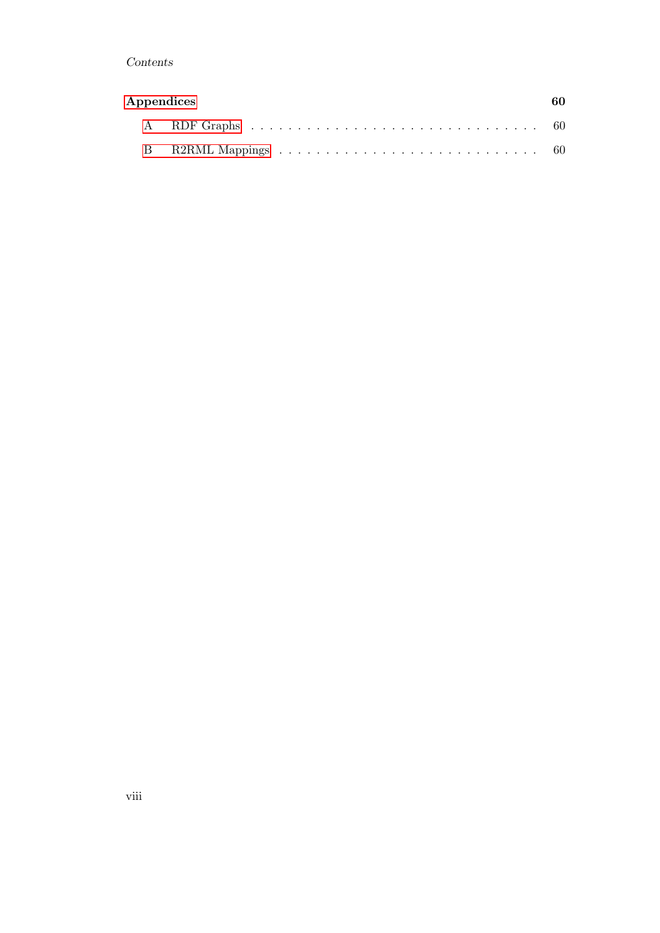## Contents

| Appendices |  |
|------------|--|
|            |  |
|            |  |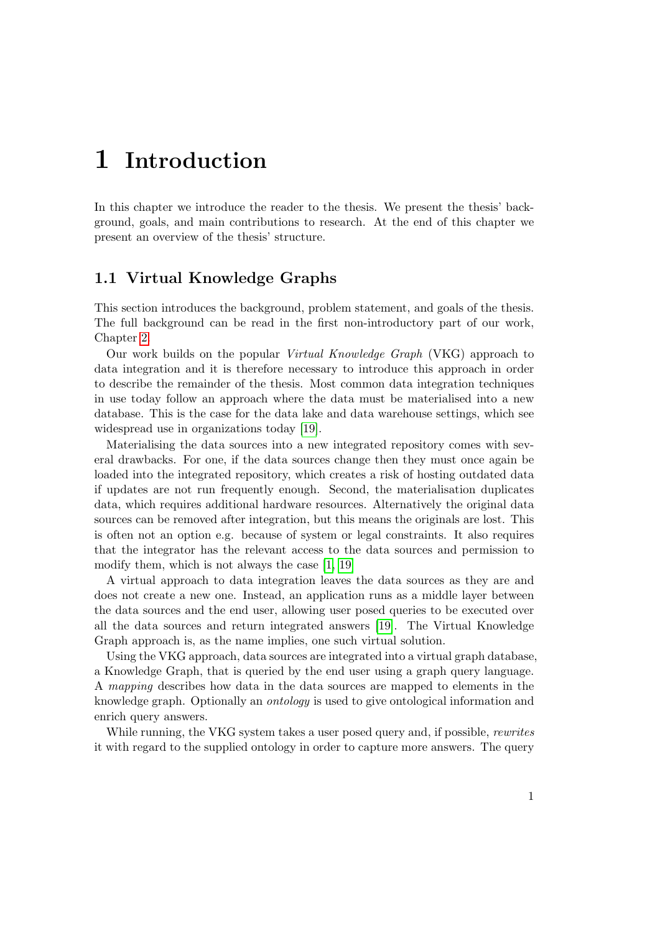## <span id="page-8-0"></span>1 Introduction

In this chapter we introduce the reader to the thesis. We present the thesis' background, goals, and main contributions to research. At the end of this chapter we present an overview of the thesis' structure.

## <span id="page-8-1"></span>1.1 Virtual Knowledge Graphs

This section introduces the background, problem statement, and goals of the thesis. The full background can be read in the first non-introductory part of our work, Chapter [2.](#page-14-0)

Our work builds on the popular Virtual Knowledge Graph (VKG) approach to data integration and it is therefore necessary to introduce this approach in order to describe the remainder of the thesis. Most common data integration techniques in use today follow an approach where the data must be materialised into a new database. This is the case for the data lake and data warehouse settings, which see widespread use in organizations today [\[19\]](#page-63-0).

Materialising the data sources into a new integrated repository comes with several drawbacks. For one, if the data sources change then they must once again be loaded into the integrated repository, which creates a risk of hosting outdated data if updates are not run frequently enough. Second, the materialisation duplicates data, which requires additional hardware resources. Alternatively the original data sources can be removed after integration, but this means the originals are lost. This is often not an option e.g. because of system or legal constraints. It also requires that the integrator has the relevant access to the data sources and permission to modify them, which is not always the case [\[1,](#page-62-1) [19\]](#page-63-0)

A virtual approach to data integration leaves the data sources as they are and does not create a new one. Instead, an application runs as a middle layer between the data sources and the end user, allowing user posed queries to be executed over all the data sources and return integrated answers [\[19\]](#page-63-0). The Virtual Knowledge Graph approach is, as the name implies, one such virtual solution.

Using the VKG approach, data sources are integrated into a virtual graph database, a Knowledge Graph, that is queried by the end user using a graph query language. A mapping describes how data in the data sources are mapped to elements in the knowledge graph. Optionally an ontology is used to give ontological information and enrich query answers.

While running, the VKG system takes a user posed query and, if possible, *rewrites* it with regard to the supplied ontology in order to capture more answers. The query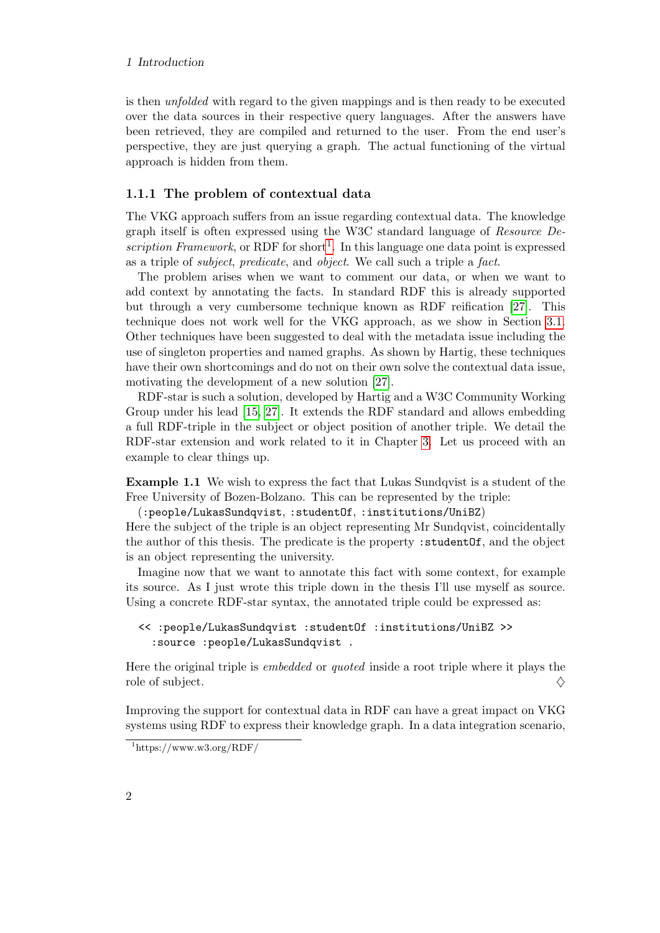#### 1 Introduction

is then unfolded with regard to the given mappings and is then ready to be executed over the data sources in their respective query languages. After the answers have been retrieved, they are compiled and returned to the user. From the end user's perspective, they are just querying a graph. The actual functioning of the virtual approach is hidden from them.

#### <span id="page-9-0"></span>1.1.1 The problem of contextual data

The VKG approach suffers from an issue regarding contextual data. The knowledge graph itself is often expressed using the W3C standard language of Resource De-scription Framework, or RDF for short<sup>[1](#page-9-1)</sup>. In this language one data point is expressed as a triple of subject, predicate, and object. We call such a triple a fact.

The problem arises when we want to comment our data, or when we want to add context by annotating the facts. In standard RDF this is already supported but through a very cumbersome technique known as RDF reification [\[27\]](#page-64-0). This technique does not work well for the VKG approach, as we show in Section [3.1.](#page-30-1) Other techniques have been suggested to deal with the metadata issue including the use of singleton properties and named graphs. As shown by Hartig, these techniques have their own shortcomings and do not on their own solve the contextual data issue, motivating the development of a new solution [\[27\]](#page-64-0).

RDF-star is such a solution, developed by Hartig and a W3C Community Working Group under his lead [\[15,](#page-63-1) [27\]](#page-64-0). It extends the RDF standard and allows embedding a full RDF-triple in the subject or object position of another triple. We detail the RDF-star extension and work related to it in Chapter [3.](#page-30-0) Let us proceed with an example to clear things up.

Example 1.1 We wish to express the fact that Lukas Sundqvist is a student of the Free University of Bozen-Bolzano. This can be represented by the triple:

(:people/LukasSundqvist, :studentOf, :institutions/UniBZ)

Here the subject of the triple is an object representing Mr Sundqvist, coincidentally the author of this thesis. The predicate is the property : student Of, and the object is an object representing the university.

Imagine now that we want to annotate this fact with some context, for example its source. As I just wrote this triple down in the thesis I'll use myself as source. Using a concrete RDF-star syntax, the annotated triple could be expressed as:

```
<< :people/LukasSundqvist :studentOf :institutions/UniBZ >>
  :source :people/LukasSundqvist .
```
Here the original triple is embedded or quoted inside a root triple where it plays the role of subject.  $\diamondsuit$ 

Improving the support for contextual data in RDF can have a great impact on VKG systems using RDF to express their knowledge graph. In a data integration scenario,

<span id="page-9-1"></span> $1$ https://www.w3.org/RDF/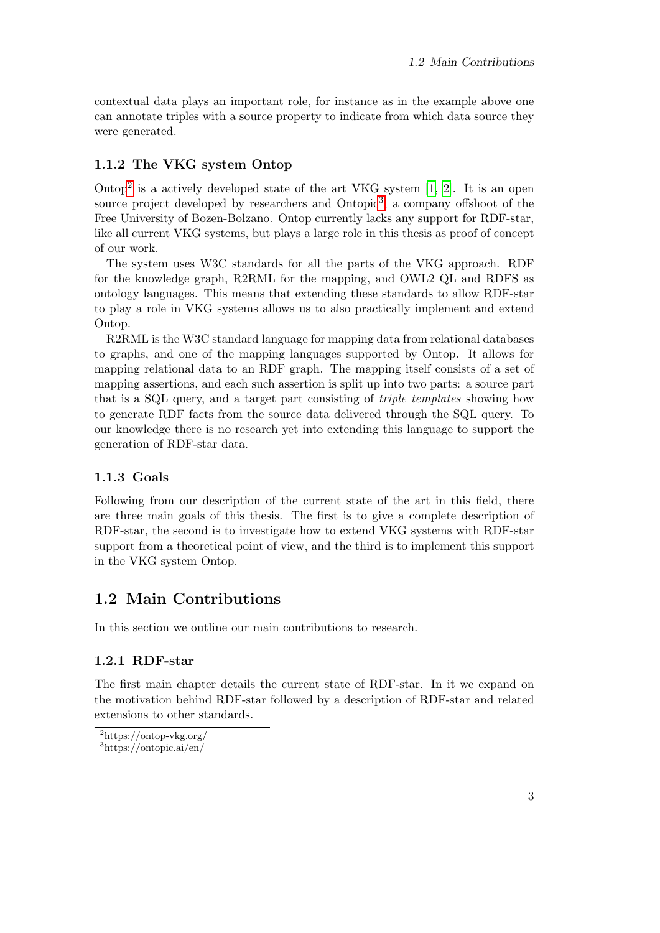contextual data plays an important role, for instance as in the example above one can annotate triples with a source property to indicate from which data source they were generated.

## <span id="page-10-0"></span>1.1.2 The VKG system Ontop

Ontop<sup>[2](#page-10-4)</sup> is a actively developed state of the art VKG system  $[1, 2]$  $[1, 2]$ . It is an open source project developed by researchers and Ontopic<sup>[3](#page-10-5)</sup>, a company offshoot of the Free University of Bozen-Bolzano. Ontop currently lacks any support for RDF-star, like all current VKG systems, but plays a large role in this thesis as proof of concept of our work.

The system uses W3C standards for all the parts of the VKG approach. RDF for the knowledge graph, R2RML for the mapping, and OWL2 QL and RDFS as ontology languages. This means that extending these standards to allow RDF-star to play a role in VKG systems allows us to also practically implement and extend Ontop.

R2RML is the W3C standard language for mapping data from relational databases to graphs, and one of the mapping languages supported by Ontop. It allows for mapping relational data to an RDF graph. The mapping itself consists of a set of mapping assertions, and each such assertion is split up into two parts: a source part that is a SQL query, and a target part consisting of triple templates showing how to generate RDF facts from the source data delivered through the SQL query. To our knowledge there is no research yet into extending this language to support the generation of RDF-star data.

## <span id="page-10-1"></span>1.1.3 Goals

Following from our description of the current state of the art in this field, there are three main goals of this thesis. The first is to give a complete description of RDF-star, the second is to investigate how to extend VKG systems with RDF-star support from a theoretical point of view, and the third is to implement this support in the VKG system Ontop.

## <span id="page-10-2"></span>1.2 Main Contributions

In this section we outline our main contributions to research.

## <span id="page-10-3"></span>1.2.1 RDF-star

The first main chapter details the current state of RDF-star. In it we expand on the motivation behind RDF-star followed by a description of RDF-star and related extensions to other standards.

<span id="page-10-5"></span><span id="page-10-4"></span><sup>2</sup>https://ontop-vkg.org/ <sup>3</sup>https://ontopic.ai/en/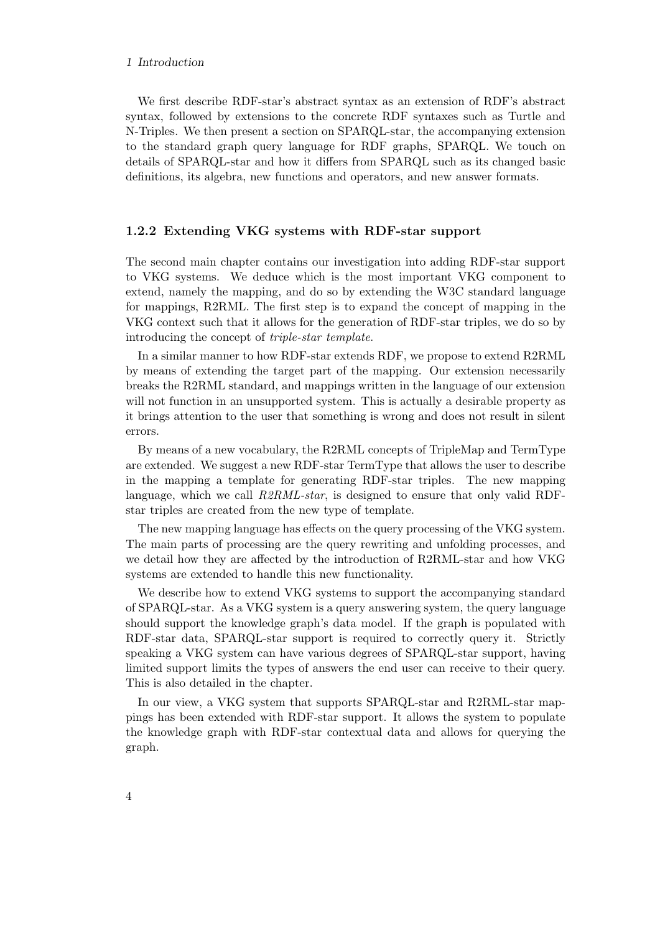#### 1 Introduction

We first describe RDF-star's abstract syntax as an extension of RDF's abstract syntax, followed by extensions to the concrete RDF syntaxes such as Turtle and N-Triples. We then present a section on SPARQL-star, the accompanying extension to the standard graph query language for RDF graphs, SPARQL. We touch on details of SPARQL-star and how it differs from SPARQL such as its changed basic definitions, its algebra, new functions and operators, and new answer formats.

#### <span id="page-11-0"></span>1.2.2 Extending VKG systems with RDF-star support

The second main chapter contains our investigation into adding RDF-star support to VKG systems. We deduce which is the most important VKG component to extend, namely the mapping, and do so by extending the W3C standard language for mappings, R2RML. The first step is to expand the concept of mapping in the VKG context such that it allows for the generation of RDF-star triples, we do so by introducing the concept of triple-star template.

In a similar manner to how RDF-star extends RDF, we propose to extend R2RML by means of extending the target part of the mapping. Our extension necessarily breaks the R2RML standard, and mappings written in the language of our extension will not function in an unsupported system. This is actually a desirable property as it brings attention to the user that something is wrong and does not result in silent errors.

By means of a new vocabulary, the R2RML concepts of TripleMap and TermType are extended. We suggest a new RDF-star TermType that allows the user to describe in the mapping a template for generating RDF-star triples. The new mapping language, which we call  $R2RML-star$ , is designed to ensure that only valid RDFstar triples are created from the new type of template.

The new mapping language has effects on the query processing of the VKG system. The main parts of processing are the query rewriting and unfolding processes, and we detail how they are affected by the introduction of R2RML-star and how VKG systems are extended to handle this new functionality.

We describe how to extend VKG systems to support the accompanying standard of SPARQL-star. As a VKG system is a query answering system, the query language should support the knowledge graph's data model. If the graph is populated with RDF-star data, SPARQL-star support is required to correctly query it. Strictly speaking a VKG system can have various degrees of SPARQL-star support, having limited support limits the types of answers the end user can receive to their query. This is also detailed in the chapter.

In our view, a VKG system that supports SPARQL-star and R2RML-star mappings has been extended with RDF-star support. It allows the system to populate the knowledge graph with RDF-star contextual data and allows for querying the graph.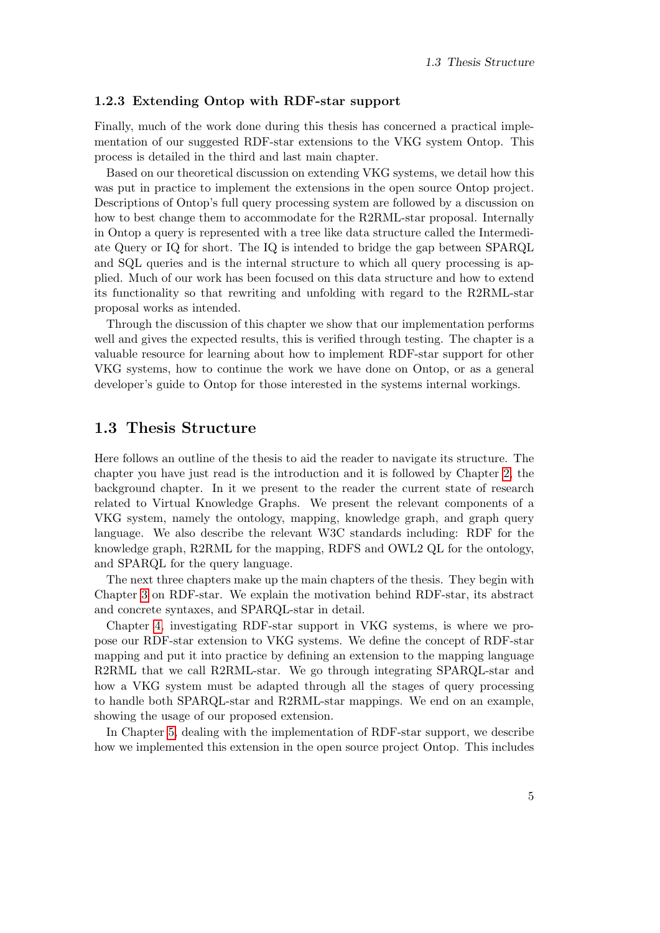#### <span id="page-12-0"></span>1.2.3 Extending Ontop with RDF-star support

Finally, much of the work done during this thesis has concerned a practical implementation of our suggested RDF-star extensions to the VKG system Ontop. This process is detailed in the third and last main chapter.

Based on our theoretical discussion on extending VKG systems, we detail how this was put in practice to implement the extensions in the open source Ontop project. Descriptions of Ontop's full query processing system are followed by a discussion on how to best change them to accommodate for the R2RML-star proposal. Internally in Ontop a query is represented with a tree like data structure called the Intermediate Query or IQ for short. The IQ is intended to bridge the gap between SPARQL and SQL queries and is the internal structure to which all query processing is applied. Much of our work has been focused on this data structure and how to extend its functionality so that rewriting and unfolding with regard to the R2RML-star proposal works as intended.

Through the discussion of this chapter we show that our implementation performs well and gives the expected results, this is verified through testing. The chapter is a valuable resource for learning about how to implement RDF-star support for other VKG systems, how to continue the work we have done on Ontop, or as a general developer's guide to Ontop for those interested in the systems internal workings.

## <span id="page-12-1"></span>1.3 Thesis Structure

Here follows an outline of the thesis to aid the reader to navigate its structure. The chapter you have just read is the introduction and it is followed by Chapter [2,](#page-14-0) the background chapter. In it we present to the reader the current state of research related to Virtual Knowledge Graphs. We present the relevant components of a VKG system, namely the ontology, mapping, knowledge graph, and graph query language. We also describe the relevant W3C standards including: RDF for the knowledge graph, R2RML for the mapping, RDFS and OWL2 QL for the ontology, and SPARQL for the query language.

The next three chapters make up the main chapters of the thesis. They begin with Chapter [3](#page-30-0) on RDF-star. We explain the motivation behind RDF-star, its abstract and concrete syntaxes, and SPARQL-star in detail.

Chapter [4,](#page-38-0) investigating RDF-star support in VKG systems, is where we propose our RDF-star extension to VKG systems. We define the concept of RDF-star mapping and put it into practice by defining an extension to the mapping language R2RML that we call R2RML-star. We go through integrating SPARQL-star and how a VKG system must be adapted through all the stages of query processing to handle both SPARQL-star and R2RML-star mappings. We end on an example, showing the usage of our proposed extension.

In Chapter [5,](#page-48-0) dealing with the implementation of RDF-star support, we describe how we implemented this extension in the open source project Ontop. This includes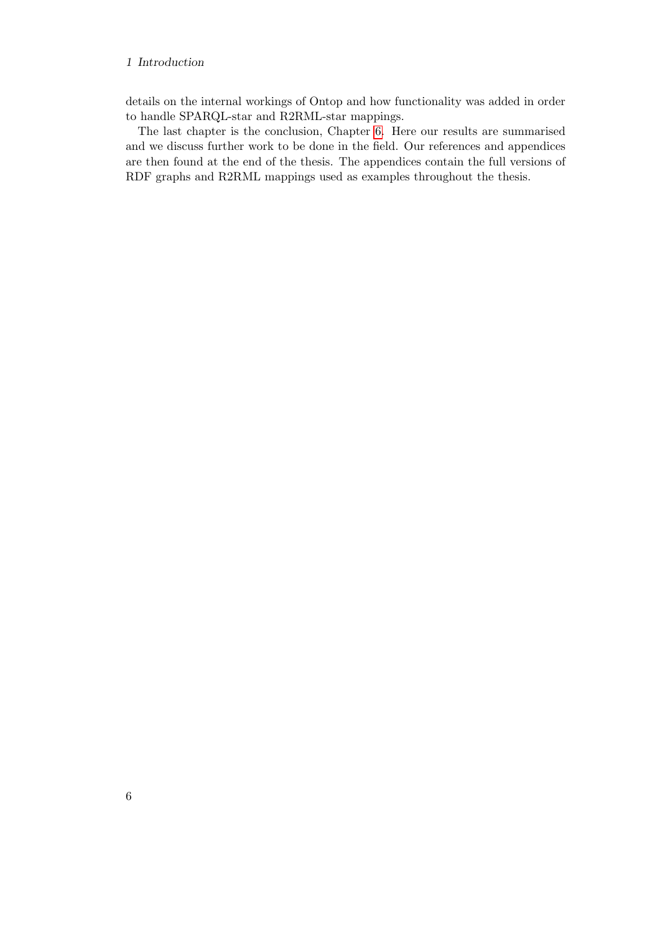#### 1 Introduction

details on the internal workings of Ontop and how functionality was added in order to handle SPARQL-star and R2RML-star mappings.

The last chapter is the conclusion, Chapter [6.](#page-60-0) Here our results are summarised and we discuss further work to be done in the field. Our references and appendices are then found at the end of the thesis. The appendices contain the full versions of RDF graphs and R2RML mappings used as examples throughout the thesis.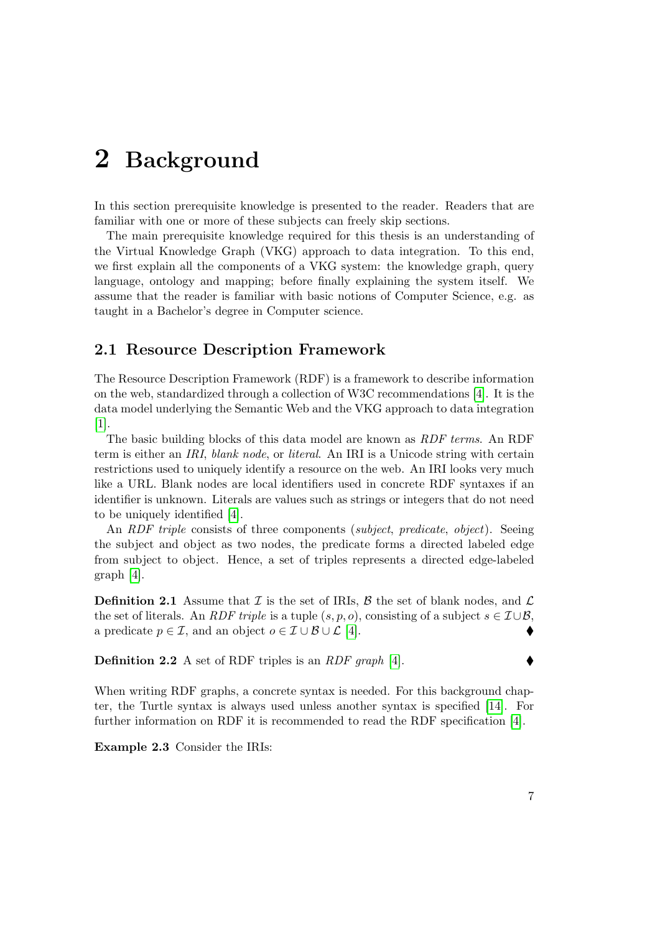## <span id="page-14-0"></span>2 Background

In this section prerequisite knowledge is presented to the reader. Readers that are familiar with one or more of these subjects can freely skip sections.

The main prerequisite knowledge required for this thesis is an understanding of the Virtual Knowledge Graph (VKG) approach to data integration. To this end, we first explain all the components of a VKG system: the knowledge graph, query language, ontology and mapping; before finally explaining the system itself. We assume that the reader is familiar with basic notions of Computer Science, e.g. as taught in a Bachelor's degree in Computer science.

## <span id="page-14-1"></span>2.1 Resource Description Framework

The Resource Description Framework (RDF) is a framework to describe information on the web, standardized through a collection of W3C recommendations [\[4\]](#page-62-3). It is the data model underlying the Semantic Web and the VKG approach to data integration [\[1\]](#page-62-1).

The basic building blocks of this data model are known as RDF terms. An RDF term is either an IRI, blank node, or literal. An IRI is a Unicode string with certain restrictions used to uniquely identify a resource on the web. An IRI looks very much like a URL. Blank nodes are local identifiers used in concrete RDF syntaxes if an identifier is unknown. Literals are values such as strings or integers that do not need to be uniquely identified [\[4\]](#page-62-3).

An RDF triple consists of three components (subject, predicate, object). Seeing the subject and object as two nodes, the predicate forms a directed labeled edge from subject to object. Hence, a set of triples represents a directed edge-labeled graph [\[4\]](#page-62-3).

<span id="page-14-3"></span>**Definition 2.1** Assume that  $\mathcal I$  is the set of IRIs,  $\mathcal B$  the set of blank nodes, and  $\mathcal L$ the set of literals. An *RDF triple* is a tuple  $(s, p, o)$ , consisting of a subject  $s \in \mathcal{I} \cup \mathcal{B}$ , a predicate  $p \in \mathcal{I}$ , and an object  $o \in \mathcal{I} \cup \mathcal{B} \cup \mathcal{L}$  [\[4\]](#page-62-3).

Definition 2.2 A set of RDF triples is an RDF graph [\[4\]](#page-62-3).

When writing RDF graphs, a concrete syntax is needed. For this background chapter, the Turtle syntax is always used unless another syntax is specified [\[14\]](#page-63-2). For further information on RDF it is recommended to read the RDF specification [\[4\]](#page-62-3).

<span id="page-14-2"></span>Example 2.3 Consider the IRIs: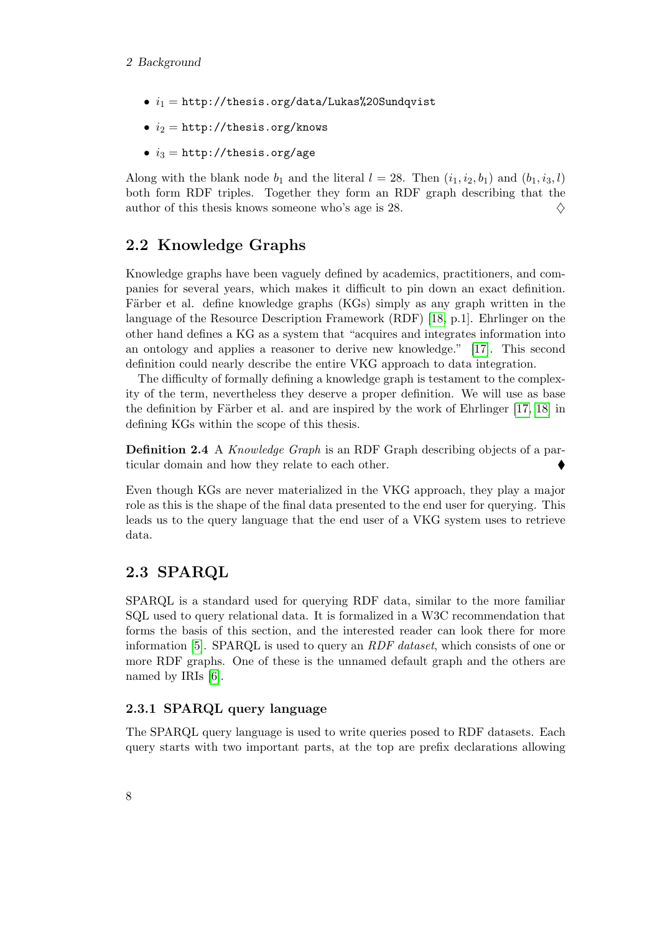- $i_1 = \text{http://thesis.org/data/Lukas%20Sundqvist}$
- $i_2 = \text{http://thesis.org/knows}$
- $i_3 =$  http://thesis.org/age

Along with the blank node  $b_1$  and the literal  $l = 28$ . Then  $(i_1, i_2, b_1)$  and  $(b_1, i_3, l)$ both form RDF triples. Together they form an RDF graph describing that the author of this thesis knows someone who's age is 28.  $\Diamond$ 

## <span id="page-15-0"></span>2.2 Knowledge Graphs

Knowledge graphs have been vaguely defined by academics, practitioners, and companies for several years, which makes it difficult to pin down an exact definition. Färber et al. define knowledge graphs (KGs) simply as any graph written in the language of the Resource Description Framework (RDF) [\[18,](#page-63-3) p.1]. Ehrlinger on the other hand defines a KG as a system that "acquires and integrates information into an ontology and applies a reasoner to derive new knowledge." [\[17\]](#page-63-4). This second definition could nearly describe the entire VKG approach to data integration.

The difficulty of formally defining a knowledge graph is testament to the complexity of the term, nevertheless they deserve a proper definition. We will use as base the definition by Färber et al. and are inspired by the work of Ehrlinger  $[17, 18]$  $[17, 18]$  in defining KGs within the scope of this thesis.

Definition 2.4 A Knowledge Graph is an RDF Graph describing objects of a particular domain and how they relate to each other.

Even though KGs are never materialized in the VKG approach, they play a major role as this is the shape of the final data presented to the end user for querying. This leads us to the query language that the end user of a VKG system uses to retrieve data.

## <span id="page-15-1"></span>2.3 SPARQL

SPARQL is a standard used for querying RDF data, similar to the more familiar SQL used to query relational data. It is formalized in a W3C recommendation that forms the basis of this section, and the interested reader can look there for more information [\[5\]](#page-62-4). SPARQL is used to query an RDF dataset, which consists of one or more RDF graphs. One of these is the unnamed default graph and the others are named by IRIs [\[6\]](#page-62-5).

#### <span id="page-15-2"></span>2.3.1 SPARQL query language

The SPARQL query language is used to write queries posed to RDF datasets. Each query starts with two important parts, at the top are prefix declarations allowing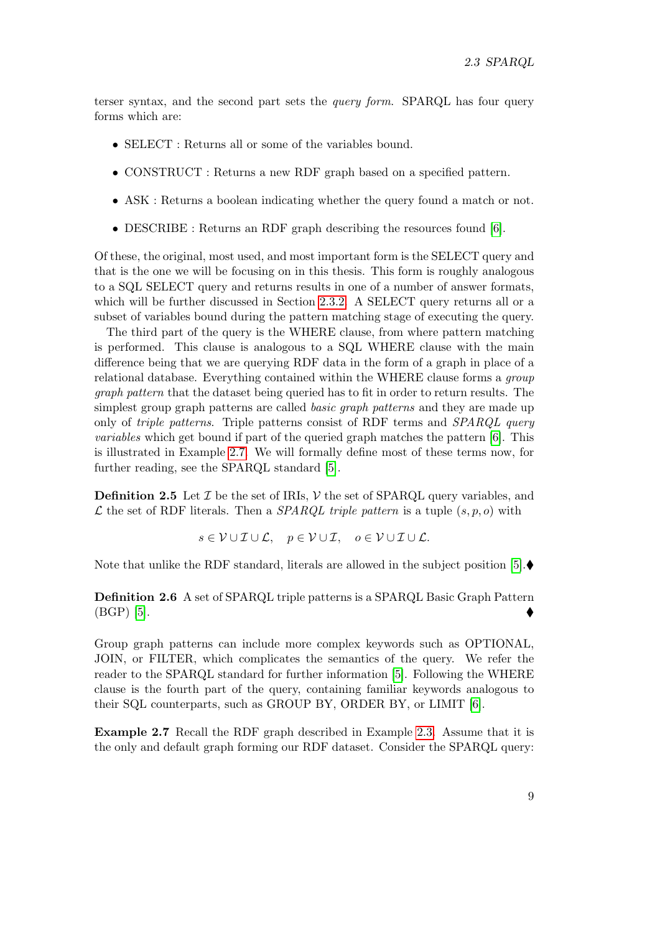terser syntax, and the second part sets the query form. SPARQL has four query forms which are:

- SELECT : Returns all or some of the variables bound.
- CONSTRUCT : Returns a new RDF graph based on a specified pattern.
- ASK : Returns a boolean indicating whether the query found a match or not.
- DESCRIBE : Returns an RDF graph describing the resources found [\[6\]](#page-62-5).

Of these, the original, most used, and most important form is the SELECT query and that is the one we will be focusing on in this thesis. This form is roughly analogous to a SQL SELECT query and returns results in one of a number of answer formats, which will be further discussed in Section [2.3.2.](#page-17-0) A SELECT query returns all or a subset of variables bound during the pattern matching stage of executing the query.

The third part of the query is the WHERE clause, from where pattern matching is performed. This clause is analogous to a SQL WHERE clause with the main difference being that we are querying RDF data in the form of a graph in place of a relational database. Everything contained within the WHERE clause forms a group graph pattern that the dataset being queried has to fit in order to return results. The simplest group graph patterns are called *basic graph patterns* and they are made up only of *triple patterns*. Triple patterns consist of RDF terms and *SPARQL query* variables which get bound if part of the queried graph matches the pattern [\[6\]](#page-62-5). This is illustrated in Example [2.7.](#page-16-0) We will formally define most of these terms now, for further reading, see the SPARQL standard [\[5\]](#page-62-4).

<span id="page-16-1"></span>**Definition 2.5** Let  $\mathcal{I}$  be the set of IRIs,  $\mathcal{V}$  the set of SPARQL query variables, and  $\mathcal L$  the set of RDF literals. Then a *SPARQL triple pattern* is a tuple  $(s, p, o)$  with

 $s \in \mathcal{V} \cup \mathcal{I} \cup \mathcal{L}$ ,  $p \in \mathcal{V} \cup \mathcal{I}$ ,  $o \in \mathcal{V} \cup \mathcal{I} \cup \mathcal{L}$ .

Note that unlike the RDF standard, literals are allowed in the subject position [\[5\]](#page-62-4). $\blacklozenge$ 

<span id="page-16-2"></span>Definition 2.6 A set of SPARQL triple patterns is a SPARQL Basic Graph Pattern  $(BGP)$  [\[5\]](#page-62-4).

Group graph patterns can include more complex keywords such as OPTIONAL, JOIN, or FILTER, which complicates the semantics of the query. We refer the reader to the SPARQL standard for further information [\[5\]](#page-62-4). Following the WHERE clause is the fourth part of the query, containing familiar keywords analogous to their SQL counterparts, such as GROUP BY, ORDER BY, or LIMIT [\[6\]](#page-62-5).

<span id="page-16-0"></span>Example 2.7 Recall the RDF graph described in Example [2.3.](#page-14-2) Assume that it is the only and default graph forming our RDF dataset. Consider the SPARQL query: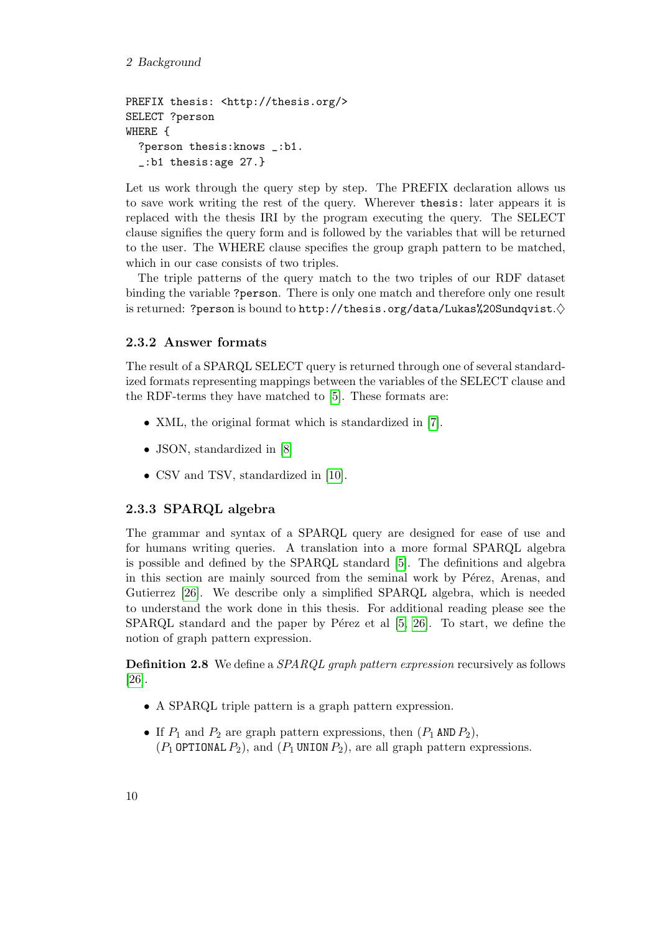#### 2 Background

```
PREFIX thesis: <http://thesis.org/>
SELECT ?person
WHERE {
  ?person thesis:knows _:b1.
  _:b1 thesis:age 27.}
```
Let us work through the query step by step. The PREFIX declaration allows us to save work writing the rest of the query. Wherever thesis: later appears it is replaced with the thesis IRI by the program executing the query. The SELECT clause signifies the query form and is followed by the variables that will be returned to the user. The WHERE clause specifies the group graph pattern to be matched, which in our case consists of two triples.

The triple patterns of the query match to the two triples of our RDF dataset binding the variable ?person. There is only one match and therefore only one result is returned: ?person is bound to http://thesis.org/data/Lukas%20Sundqvist. $\diamond$ 

## <span id="page-17-0"></span>2.3.2 Answer formats

The result of a SPARQL SELECT query is returned through one of several standardized formats representing mappings between the variables of the SELECT clause and the RDF-terms they have matched to [\[5\]](#page-62-4). These formats are:

- XML, the original format which is standardized in [\[7\]](#page-62-6).
- JSON, standardized in [\[8\]](#page-62-7)
- CSV and TSV, standardized in [\[10\]](#page-62-8).

## <span id="page-17-1"></span>2.3.3 SPARQL algebra

The grammar and syntax of a SPARQL query are designed for ease of use and for humans writing queries. A translation into a more formal SPARQL algebra is possible and defined by the SPARQL standard [\[5\]](#page-62-4). The definitions and algebra in this section are mainly sourced from the seminal work by Pérez, Arenas, and Gutierrez [\[26\]](#page-63-5). We describe only a simplified SPARQL algebra, which is needed to understand the work done in this thesis. For additional reading please see the SPARQL standard and the paper by Pérez et al  $[5, 26]$  $[5, 26]$ . To start, we define the notion of graph pattern expression.

**Definition 2.8** We define a *SPARQL graph pattern expression* recursively as follows [\[26\]](#page-63-5).

- A SPARQL triple pattern is a graph pattern expression.
- If  $P_1$  and  $P_2$  are graph pattern expressions, then  $(P_1 \text{ AND } P_2)$ ,  $(P_1$  OPTIONAL  $P_2$ ), and  $(P_1$  UNION  $P_2$ ), are all graph pattern expressions.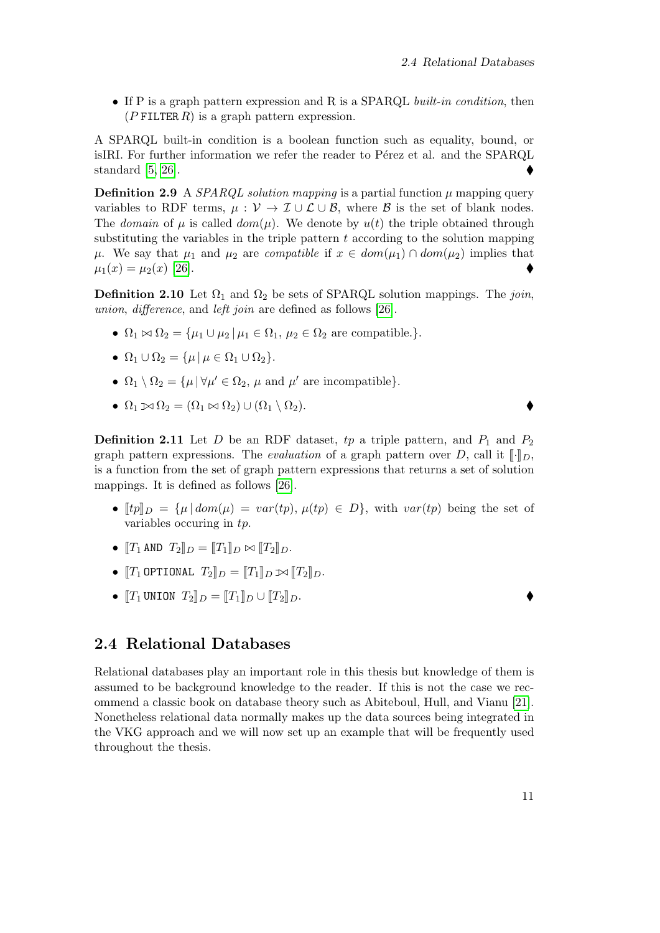• If P is a graph pattern expression and R is a SPARQL built-in condition, then  $(P$  FILTER R) is a graph pattern expression.

A SPARQL built-in condition is a boolean function such as equality, bound, or isIRI. For further information we refer the reader to Pérez et al. and the SPARQL standard [\[5,](#page-62-4) [26\]](#page-63-5).

<span id="page-18-2"></span>**Definition 2.9** A *SPARQL solution mapping* is a partial function  $\mu$  mapping query variables to RDF terms,  $\mu : \mathcal{V} \to \mathcal{I} \cup \mathcal{L} \cup \mathcal{B}$ , where  $\mathcal{B}$  is the set of blank nodes. The domain of  $\mu$  is called dom( $\mu$ ). We denote by  $u(t)$  the triple obtained through substituting the variables in the triple pattern  $t$  according to the solution mapping  $\mu$ . We say that  $\mu_1$  and  $\mu_2$  are *compatible* if  $x \in dom(\mu_1) \cap dom(\mu_2)$  implies that  $\mu_1(x) = \mu_2(x)$  [\[26\]](#page-63-5).

**Definition 2.10** Let  $\Omega_1$  and  $\Omega_2$  be sets of SPARQL solution mappings. The join, union, difference, and left join are defined as follows [\[26\]](#page-63-5).

- $\Omega_1 \bowtie \Omega_2 = {\mu_1 \cup \mu_2 \mid \mu_1 \in \Omega_1, \mu_2 \in \Omega_2 \text{ are compatible.}}.$
- $\Omega_1 \cup \Omega_2 = {\mu | \mu \in \Omega_1 \cup \Omega_2}.$
- $\Omega_1 \setminus \Omega_2 = {\mu | \forall \mu' \in \Omega_2, \mu \text{ and } \mu' \text{ are incompatible}}.$
- $\Omega_1 \boxtimes \Omega_2 = (\Omega_1 \boxtimes \Omega_2) \cup (\Omega_1 \setminus \Omega_2).$

**Definition 2.11** Let D be an RDF dataset, tp a triple pattern, and  $P_1$  and  $P_2$ graph pattern expressions. The *evaluation* of a graph pattern over D, call it  $\llbracket \cdot \rrbracket_D$ , is a function from the set of graph pattern expressions that returns a set of solution mappings. It is defined as follows [\[26\]](#page-63-5).

- $[tp]_D = {\mu | dom(\mu) = var(tp), \mu(tp) \in D}$ , with  $var(tp)$  being the set of variables occuring in tp.
- $[T_1 \text{ AND } T_2]_D = [T_1]_D \bowtie [T_2]_D.$
- $T_1$  OPTIONAL  $T_2$  $D = T_1 D \bowtie T_2 D$ .
- $[T_1$  UNION  $T_2$   $D = [T_1]_D \cup [T_2]_D$ .

## <span id="page-18-0"></span>2.4 Relational Databases

<span id="page-18-1"></span>Relational databases play an important role in this thesis but knowledge of them is assumed to be background knowledge to the reader. If this is not the case we recommend a classic book on database theory such as Abiteboul, Hull, and Vianu [\[21\]](#page-63-6). Nonetheless relational data normally makes up the data sources being integrated in the VKG approach and we will now set up an example that will be frequently used throughout the thesis.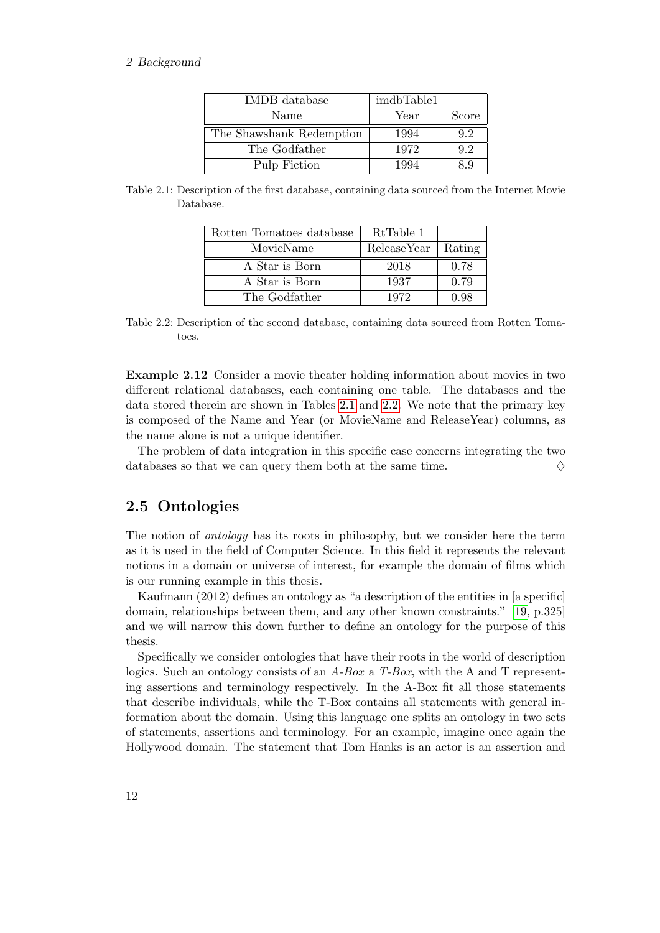#### <span id="page-19-1"></span>2 Background

| IMDB database            | imdbTable1 |       |
|--------------------------|------------|-------|
| Name                     | Year       | Score |
| The Shawshank Redemption | 1994       | 9.2   |
| The Godfather            | 1972       | 9.2   |
| Pulp Fiction             | 1994       | 8.9   |

<span id="page-19-2"></span>

| Table 2.1: Description of the first database, containing data sourced from the Internet Movie |  |  |  |
|-----------------------------------------------------------------------------------------------|--|--|--|
| Database.                                                                                     |  |  |  |

| Rotten Tomatoes database | RtTable 1   |        |
|--------------------------|-------------|--------|
| MovieName                | ReleaseYear | Rating |
| A Star is Born           | 2018        | 0.78   |
| A Star is Born           | 1937        | 0.79   |
| The Godfather            | 1972        | 0.98   |

Table 2.2: Description of the second database, containing data sourced from Rotten Tomatoes.

Example 2.12 Consider a movie theater holding information about movies in two different relational databases, each containing one table. The databases and the data stored therein are shown in Tables [2.1](#page-19-1) and [2.2.](#page-19-2) We note that the primary key is composed of the Name and Year (or MovieName and ReleaseYear) columns, as the name alone is not a unique identifier.

The problem of data integration in this specific case concerns integrating the two databases so that we can query them both at the same time.  $\Diamond$ 

## <span id="page-19-0"></span>2.5 Ontologies

The notion of *ontology* has its roots in philosophy, but we consider here the term as it is used in the field of Computer Science. In this field it represents the relevant notions in a domain or universe of interest, for example the domain of films which is our running example in this thesis.

Kaufmann (2012) defines an ontology as "a description of the entities in [a specific] domain, relationships between them, and any other known constraints." [\[19,](#page-63-0) p.325] and we will narrow this down further to define an ontology for the purpose of this thesis.

Specifically we consider ontologies that have their roots in the world of description logics. Such an ontology consists of an  $A$ -Box a T-Box, with the A and T representing assertions and terminology respectively. In the A-Box fit all those statements that describe individuals, while the T-Box contains all statements with general information about the domain. Using this language one splits an ontology in two sets of statements, assertions and terminology. For an example, imagine once again the Hollywood domain. The statement that Tom Hanks is an actor is an assertion and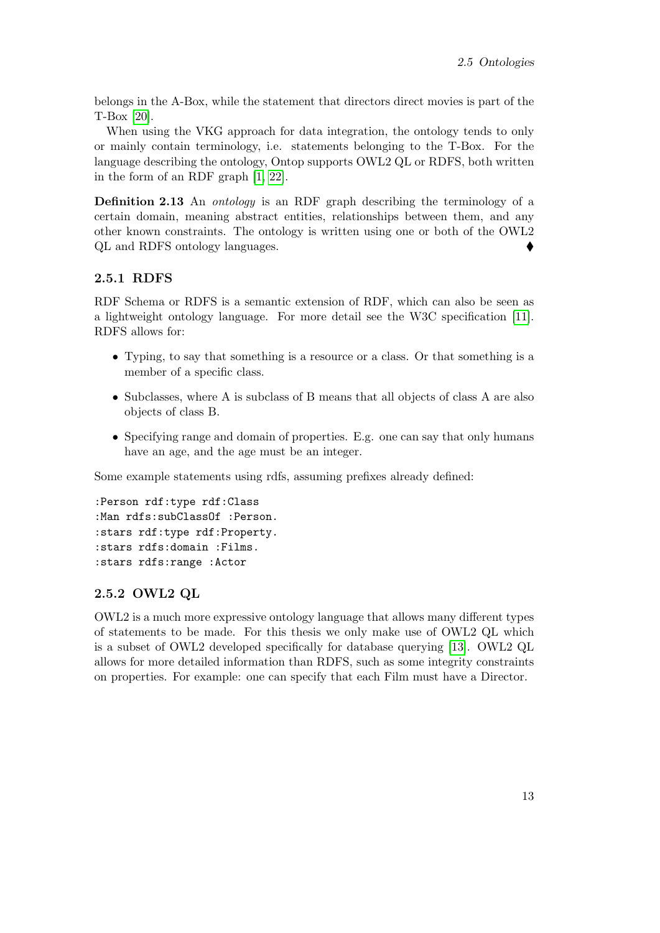belongs in the A-Box, while the statement that directors direct movies is part of the T-Box [\[20\]](#page-63-7).

When using the VKG approach for data integration, the ontology tends to only or mainly contain terminology, i.e. statements belonging to the T-Box. For the language describing the ontology, Ontop supports OWL2 QL or RDFS, both written in the form of an RDF graph [\[1,](#page-62-1) [22\]](#page-63-8).

Definition 2.13 An *ontology* is an RDF graph describing the terminology of a certain domain, meaning abstract entities, relationships between them, and any other known constraints. The ontology is written using one or both of the OWL2 QL and RDFS ontology languages.

#### <span id="page-20-0"></span>2.5.1 RDFS

RDF Schema or RDFS is a semantic extension of RDF, which can also be seen as a lightweight ontology language. For more detail see the W3C specification [\[11\]](#page-62-9). RDFS allows for:

- Typing, to say that something is a resource or a class. Or that something is a member of a specific class.
- Subclasses, where A is subclass of B means that all objects of class A are also objects of class B.
- Specifying range and domain of properties. E.g. one can say that only humans have an age, and the age must be an integer.

Some example statements using rdfs, assuming prefixes already defined:

```
:Person rdf:type rdf:Class
:Man rdfs:subClassOf :Person.
:stars rdf:type rdf:Property.
:stars rdfs:domain :Films.
:stars rdfs:range :Actor
```
#### <span id="page-20-1"></span>2.5.2 OWL2 QL

OWL2 is a much more expressive ontology language that allows many different types of statements to be made. For this thesis we only make use of OWL2 QL which is a subset of OWL2 developed specifically for database querying [\[13\]](#page-63-9). OWL2 QL allows for more detailed information than RDFS, such as some integrity constraints on properties. For example: one can specify that each Film must have a Director.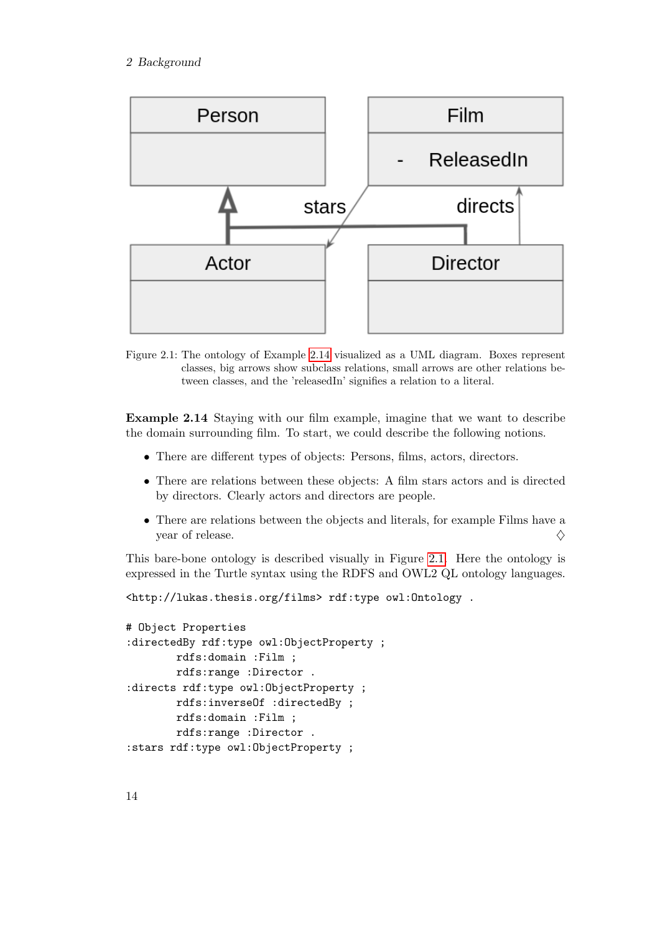<span id="page-21-1"></span>

Figure 2.1: The ontology of Example [2.14](#page-21-0) visualized as a UML diagram. Boxes represent classes, big arrows show subclass relations, small arrows are other relations between classes, and the 'releasedIn' signifies a relation to a literal.

<span id="page-21-0"></span>Example 2.14 Staying with our film example, imagine that we want to describe the domain surrounding film. To start, we could describe the following notions.

- There are different types of objects: Persons, films, actors, directors.
- There are relations between these objects: A film stars actors and is directed by directors. Clearly actors and directors are people.
- There are relations between the objects and literals, for example Films have a year of release.  $\Diamond$

This bare-bone ontology is described visually in Figure [2.1.](#page-21-1) Here the ontology is expressed in the Turtle syntax using the RDFS and OWL2 QL ontology languages.

<http://lukas.thesis.org/films> rdf:type owl:Ontology .

```
# Object Properties
:directedBy rdf:type owl:ObjectProperty ;
        rdfs:domain :Film ;
        rdfs:range :Director .
:directs rdf:type owl:ObjectProperty ;
        rdfs:inverseOf :directedBy ;
        rdfs:domain :Film ;
        rdfs:range :Director .
:stars rdf:type owl:ObjectProperty ;
```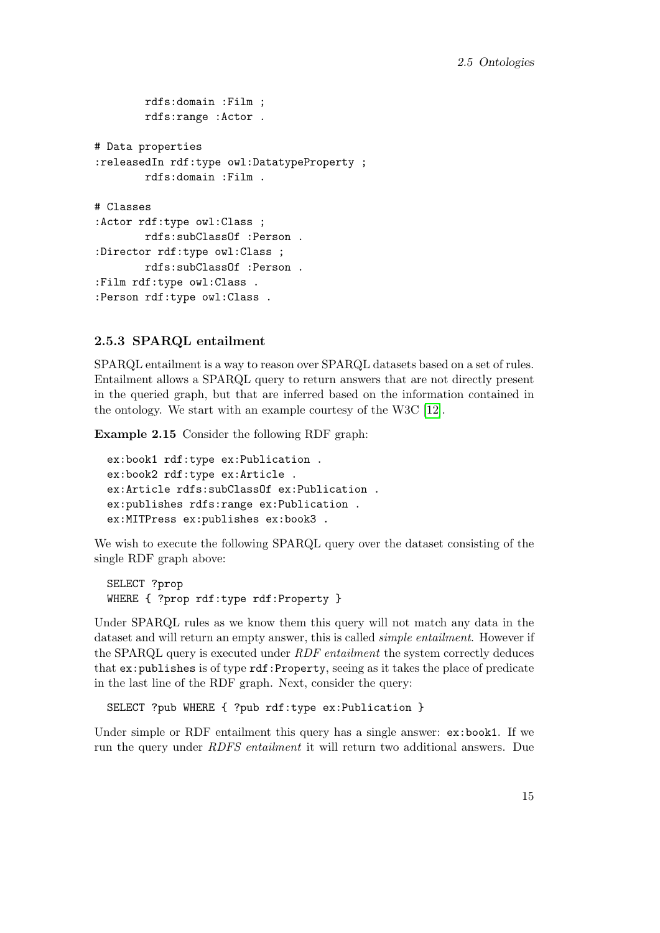```
rdfs:domain :Film ;
        rdfs:range :Actor .
# Data properties
:releasedIn rdf:type owl:DatatypeProperty ;
        rdfs:domain :Film .
# Classes
:Actor rdf:type owl:Class ;
        rdfs:subClassOf :Person .
:Director rdf:type owl:Class ;
        rdfs:subClassOf :Person .
:Film rdf:type owl:Class .
:Person rdf:type owl:Class .
```
#### <span id="page-22-0"></span>2.5.3 SPARQL entailment

SPARQL entailment is a way to reason over SPARQL datasets based on a set of rules. Entailment allows a SPARQL query to return answers that are not directly present in the queried graph, but that are inferred based on the information contained in the ontology. We start with an example courtesy of the W3C [\[12\]](#page-63-10).

Example 2.15 Consider the following RDF graph:

```
ex:book1 rdf:type ex:Publication .
ex:book2 rdf:type ex:Article .
ex:Article rdfs:subClassOf ex:Publication .
ex:publishes rdfs:range ex:Publication .
ex:MITPress ex:publishes ex:book3 .
```
We wish to execute the following SPARQL query over the dataset consisting of the single RDF graph above:

SELECT ?prop WHERE { ?prop rdf:type rdf:Property }

Under SPARQL rules as we know them this query will not match any data in the dataset and will return an empty answer, this is called simple entailment. However if the SPARQL query is executed under *RDF entailment* the system correctly deduces that ex: publishes is of type rdf: Property, seeing as it takes the place of predicate in the last line of the RDF graph. Next, consider the query:

SELECT ?pub WHERE { ?pub rdf:type ex:Publication }

Under simple or RDF entailment this query has a single answer: ex:book1. If we run the query under RDFS entailment it will return two additional answers. Due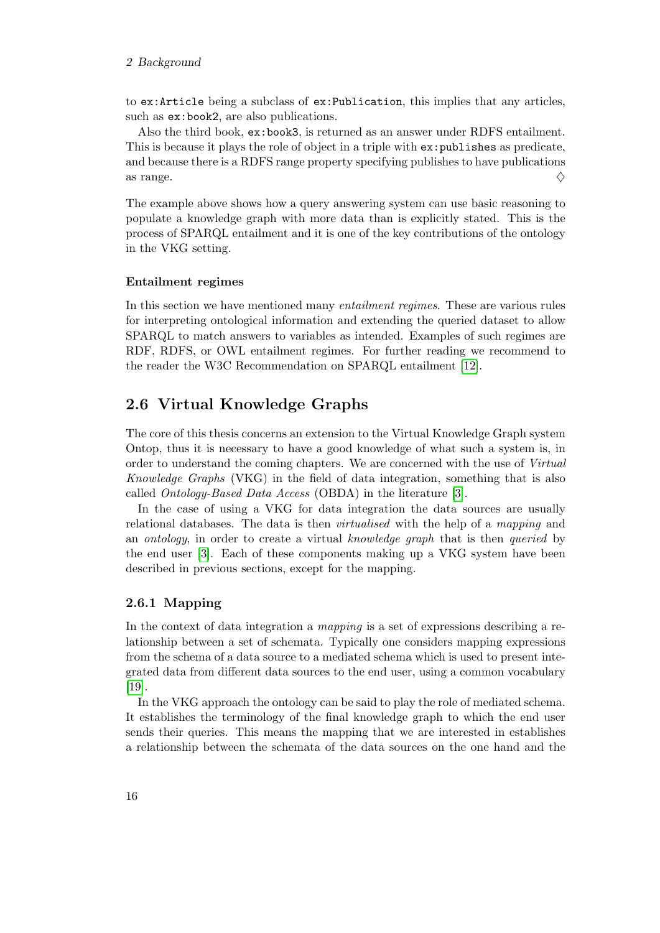#### 2 Background

to ex:Article being a subclass of ex:Publication, this implies that any articles, such as ex:book2, are also publications.

Also the third book, ex:book3, is returned as an answer under RDFS entailment. This is because it plays the role of object in a triple with ex:publishes as predicate, and because there is a RDFS range property specifying publishes to have publications as range.  $\diamondsuit$ 

The example above shows how a query answering system can use basic reasoning to populate a knowledge graph with more data than is explicitly stated. This is the process of SPARQL entailment and it is one of the key contributions of the ontology in the VKG setting.

#### Entailment regimes

In this section we have mentioned many entailment regimes. These are various rules for interpreting ontological information and extending the queried dataset to allow SPARQL to match answers to variables as intended. Examples of such regimes are RDF, RDFS, or OWL entailment regimes. For further reading we recommend to the reader the W3C Recommendation on SPARQL entailment [\[12\]](#page-63-10).

## <span id="page-23-0"></span>2.6 Virtual Knowledge Graphs

The core of this thesis concerns an extension to the Virtual Knowledge Graph system Ontop, thus it is necessary to have a good knowledge of what such a system is, in order to understand the coming chapters. We are concerned with the use of Virtual Knowledge Graphs (VKG) in the field of data integration, something that is also called Ontology-Based Data Access (OBDA) in the literature [\[3\]](#page-62-10).

In the case of using a VKG for data integration the data sources are usually relational databases. The data is then virtualised with the help of a mapping and an ontology, in order to create a virtual knowledge graph that is then queried by the end user [\[3\]](#page-62-10). Each of these components making up a VKG system have been described in previous sections, except for the mapping.

#### <span id="page-23-1"></span>2.6.1 Mapping

In the context of data integration a *mapping* is a set of expressions describing a relationship between a set of schemata. Typically one considers mapping expressions from the schema of a data source to a mediated schema which is used to present integrated data from different data sources to the end user, using a common vocabulary [\[19\]](#page-63-0).

In the VKG approach the ontology can be said to play the role of mediated schema. It establishes the terminology of the final knowledge graph to which the end user sends their queries. This means the mapping that we are interested in establishes a relationship between the schemata of the data sources on the one hand and the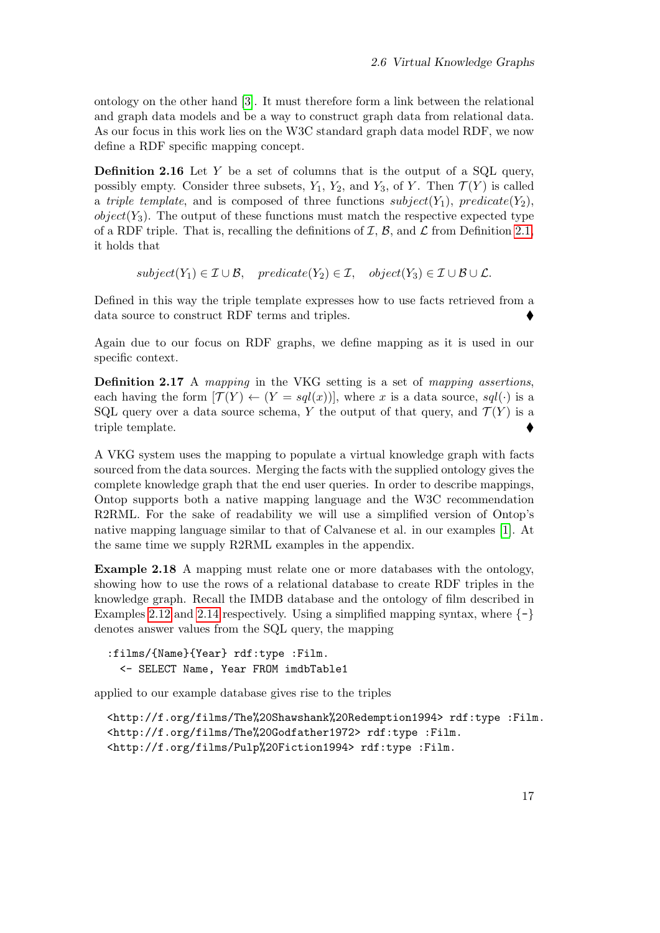ontology on the other hand [\[3\]](#page-62-10). It must therefore form a link between the relational and graph data models and be a way to construct graph data from relational data. As our focus in this work lies on the W3C standard graph data model RDF, we now define a RDF specific mapping concept.

<span id="page-24-2"></span>**Definition 2.16** Let Y be a set of columns that is the output of a SQL query, possibly empty. Consider three subsets,  $Y_1, Y_2$ , and  $Y_3$ , of Y. Then  $\mathcal{T}(Y)$  is called a triple template, and is composed of three functions  $subject(Y_1)$ , predicate $(Y_2)$ ,  $object(Y_3)$ . The output of these functions must match the respective expected type of a RDF triple. That is, recalling the definitions of  $\mathcal{I}, \mathcal{B}$ , and  $\mathcal{L}$  from Definition [2.1,](#page-14-3) it holds that

$$
subject(Y_1) \in \mathcal{I} \cup \mathcal{B}, \quad predicate(Y_2) \in \mathcal{I}, \quad object(Y_3) \in \mathcal{I} \cup \mathcal{B} \cup \mathcal{L}.
$$

Defined in this way the triple template expresses how to use facts retrieved from a data source to construct RDF terms and triples.

Again due to our focus on RDF graphs, we define mapping as it is used in our specific context.

<span id="page-24-1"></span>Definition 2.17 A mapping in the VKG setting is a set of mapping assertions, each having the form  $[\mathcal{T}(Y) \leftarrow (Y = sql(x))]$ , where x is a data source,  $sgl(\cdot)$  is a SQL query over a data source schema, Y the output of that query, and  $\mathcal{T}(Y)$  is a triple template.

A VKG system uses the mapping to populate a virtual knowledge graph with facts sourced from the data sources. Merging the facts with the supplied ontology gives the complete knowledge graph that the end user queries. In order to describe mappings, Ontop supports both a native mapping language and the W3C recommendation R2RML. For the sake of readability we will use a simplified version of Ontop's native mapping language similar to that of Calvanese et al. in our examples [\[1\]](#page-62-1). At the same time we supply R2RML examples in the appendix.

<span id="page-24-0"></span>Example 2.18 A mapping must relate one or more databases with the ontology, showing how to use the rows of a relational database to create RDF triples in the knowledge graph. Recall the IMDB database and the ontology of film described in Examples [2.12](#page-18-1) and [2.14](#page-21-0) respectively. Using a simplified mapping syntax, where  $\{-\}$ denotes answer values from the SQL query, the mapping

:films/{Name}{Year} rdf:type :Film. <- SELECT Name, Year FROM imdbTable1

applied to our example database gives rise to the triples

```
<http://f.org/films/The%20Shawshank%20Redemption1994> rdf:type :Film.
<http://f.org/films/The%20Godfather1972> rdf:type :Film.
<http://f.org/films/Pulp%20Fiction1994> rdf:type :Film.
```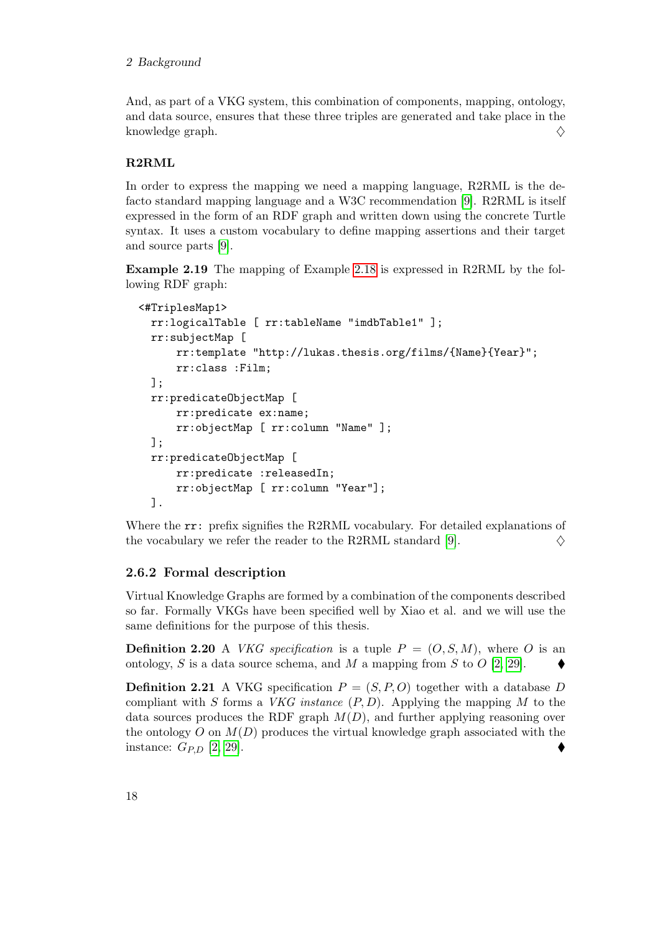#### 2 Background

And, as part of a VKG system, this combination of components, mapping, ontology, and data source, ensures that these three triples are generated and take place in the knowledge graph.  $\diamondsuit$ 

### <span id="page-25-1"></span>R2RML

In order to express the mapping we need a mapping language, R2RML is the defacto standard mapping language and a W3C recommendation [\[9\]](#page-62-11). R2RML is itself expressed in the form of an RDF graph and written down using the concrete Turtle syntax. It uses a custom vocabulary to define mapping assertions and their target and source parts [\[9\]](#page-62-11).

Example 2.19 The mapping of Example [2.18](#page-24-0) is expressed in R2RML by the following RDF graph:

```
<#TriplesMap1>
 rr:logicalTable [ rr:tableName "imdbTable1" ];
 rr:subjectMap [
      rr:template "http://lukas.thesis.org/films/{Name}{Year}";
      rr:class :Film;
 ];
 rr:predicateObjectMap [
      rr:predicate ex:name;
      rr:objectMap [ rr:column "Name" ];
 ];
 rr:predicateObjectMap [
      rr:predicate :releasedIn;
      rr:objectMap [ rr:column "Year"];
 ].
```
Where the  $rr:$  prefix signifies the R2RML vocabulary. For detailed explanations of the vocabulary we refer the reader to the R2RML standard [\[9\]](#page-62-11).  $\diamond$ 

#### <span id="page-25-0"></span>2.6.2 Formal description

Virtual Knowledge Graphs are formed by a combination of the components described so far. Formally VKGs have been specified well by Xiao et al. and we will use the same definitions for the purpose of this thesis.

**Definition 2.20** A *VKG specification* is a tuple  $P = (O, S, M)$ , where O is an ontology, S is a data source schema, and M a mapping from S to O  $[2, 29]$  $[2, 29]$ .

**Definition 2.21** A VKG specification  $P = (S, P, O)$  together with a database D compliant with S forms a *VKG instance*  $(P, D)$ . Applying the mapping M to the data sources produces the RDF graph  $M(D)$ , and further applying reasoning over the ontology  $O$  on  $M(D)$  produces the virtual knowledge graph associated with the instance:  $G_{P,D}$  [\[2,](#page-62-2) [29\]](#page-64-1).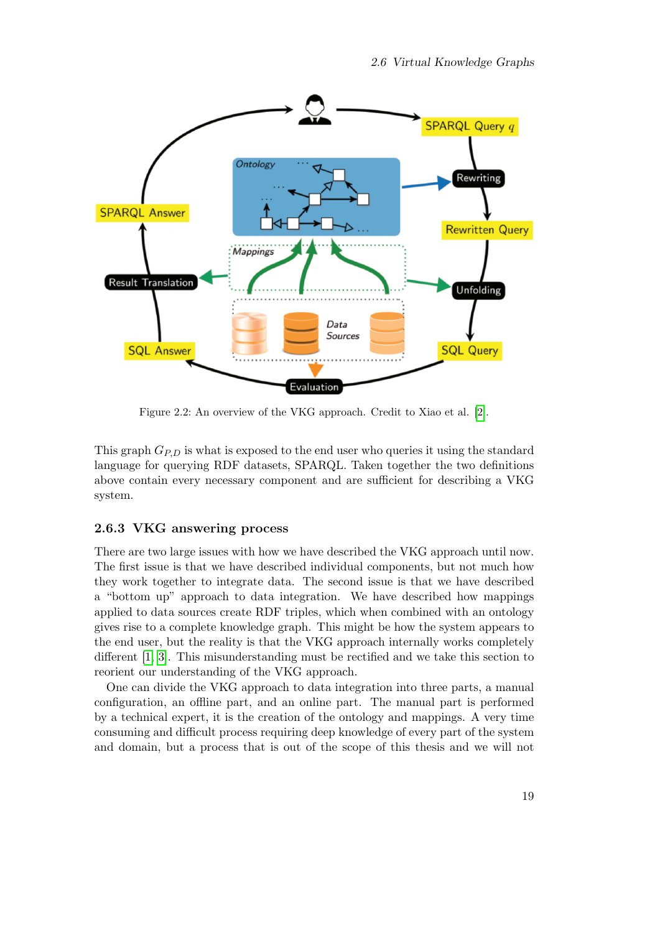<span id="page-26-1"></span>

Figure 2.2: An overview of the VKG approach. Credit to Xiao et al. [\[2\]](#page-62-2).

This graph  $G_{P,D}$  is what is exposed to the end user who queries it using the standard language for querying RDF datasets, SPARQL. Taken together the two definitions above contain every necessary component and are sufficient for describing a VKG system.

#### <span id="page-26-0"></span>2.6.3 VKG answering process

There are two large issues with how we have described the VKG approach until now. The first issue is that we have described individual components, but not much how they work together to integrate data. The second issue is that we have described a "bottom up" approach to data integration. We have described how mappings applied to data sources create RDF triples, which when combined with an ontology gives rise to a complete knowledge graph. This might be how the system appears to the end user, but the reality is that the VKG approach internally works completely different [\[1,](#page-62-1) [3\]](#page-62-10). This misunderstanding must be rectified and we take this section to reorient our understanding of the VKG approach.

One can divide the VKG approach to data integration into three parts, a manual configuration, an offline part, and an online part. The manual part is performed by a technical expert, it is the creation of the ontology and mappings. A very time consuming and difficult process requiring deep knowledge of every part of the system and domain, but a process that is out of the scope of this thesis and we will not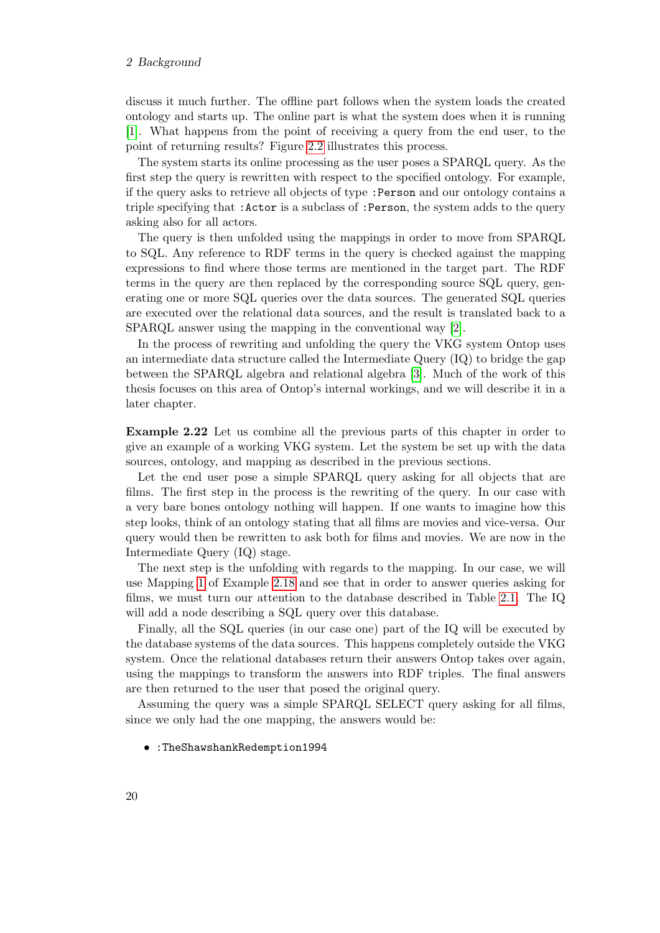#### 2 Background

discuss it much further. The offline part follows when the system loads the created ontology and starts up. The online part is what the system does when it is running [\[1\]](#page-62-1). What happens from the point of receiving a query from the end user, to the point of returning results? Figure [2.2](#page-26-1) illustrates this process.

The system starts its online processing as the user poses a SPARQL query. As the first step the query is rewritten with respect to the specified ontology. For example, if the query asks to retrieve all objects of type :Person and our ontology contains a triple specifying that :Actor is a subclass of :Person, the system adds to the query asking also for all actors.

The query is then unfolded using the mappings in order to move from SPARQL to SQL. Any reference to RDF terms in the query is checked against the mapping expressions to find where those terms are mentioned in the target part. The RDF terms in the query are then replaced by the corresponding source SQL query, generating one or more SQL queries over the data sources. The generated SQL queries are executed over the relational data sources, and the result is translated back to a SPARQL answer using the mapping in the conventional way [\[2\]](#page-62-2).

In the process of rewriting and unfolding the query the VKG system Ontop uses an intermediate data structure called the Intermediate Query (IQ) to bridge the gap between the SPARQL algebra and relational algebra [\[3\]](#page-62-10). Much of the work of this thesis focuses on this area of Ontop's internal workings, and we will describe it in a later chapter.

Example 2.22 Let us combine all the previous parts of this chapter in order to give an example of a working VKG system. Let the system be set up with the data sources, ontology, and mapping as described in the previous sections.

Let the end user pose a simple SPARQL query asking for all objects that are films. The first step in the process is the rewriting of the query. In our case with a very bare bones ontology nothing will happen. If one wants to imagine how this step looks, think of an ontology stating that all films are movies and vice-versa. Our query would then be rewritten to ask both for films and movies. We are now in the Intermediate Query (IQ) stage.

The next step is the unfolding with regards to the mapping. In our case, we will use Mapping [1](#page-67-2) of Example [2.18](#page-24-0) and see that in order to answer queries asking for films, we must turn our attention to the database described in Table [2.1.](#page-19-1) The IQ will add a node describing a SQL query over this database.

Finally, all the SQL queries (in our case one) part of the IQ will be executed by the database systems of the data sources. This happens completely outside the VKG system. Once the relational databases return their answers Ontop takes over again, using the mappings to transform the answers into RDF triples. The final answers are then returned to the user that posed the original query.

Assuming the query was a simple SPARQL SELECT query asking for all films, since we only had the one mapping, the answers would be:

#### • :TheShawshankRedemption1994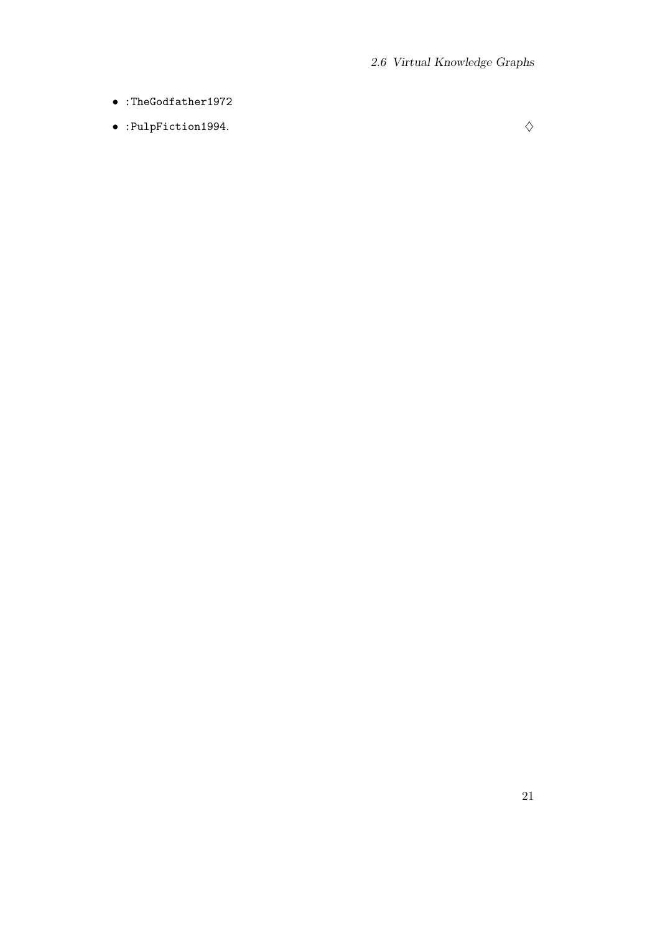- :TheGodfather1972
- :PulpFiction1994.  $\diamondsuit$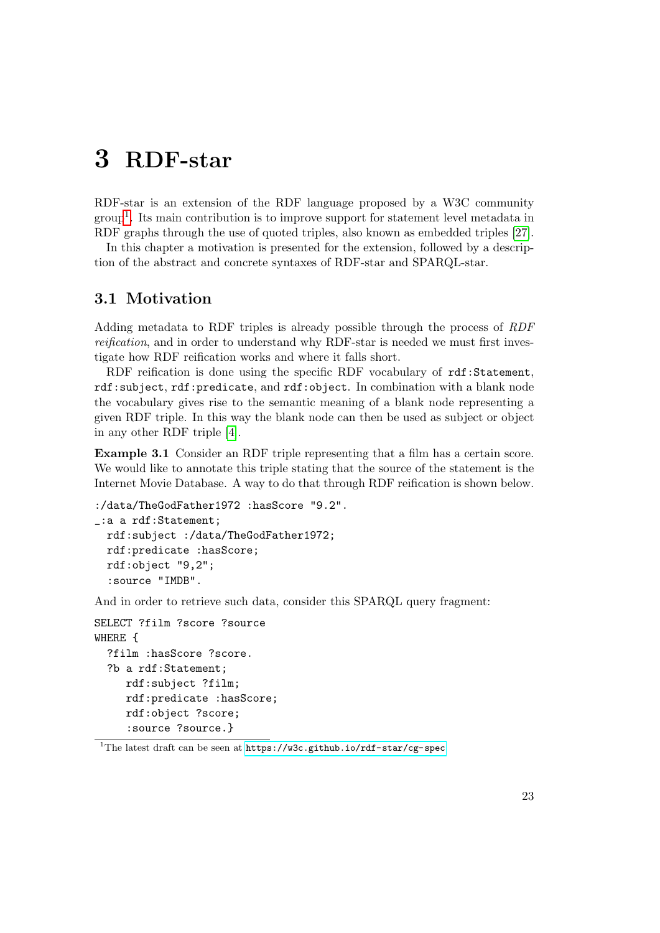# <span id="page-30-0"></span>3 RDF-star

RDF-star is an extension of the RDF language proposed by a W3C community group<sup>[1](#page-30-2)</sup>. Its main contribution is to improve support for statement level metadata in RDF graphs through the use of quoted triples, also known as embedded triples [\[27\]](#page-64-0).

In this chapter a motivation is presented for the extension, followed by a description of the abstract and concrete syntaxes of RDF-star and SPARQL-star.

## <span id="page-30-1"></span>3.1 Motivation

Adding metadata to RDF triples is already possible through the process of RDF reification, and in order to understand why RDF-star is needed we must first investigate how RDF reification works and where it falls short.

RDF reification is done using the specific RDF vocabulary of rdf:Statement, rdf:subject, rdf:predicate, and rdf:object. In combination with a blank node the vocabulary gives rise to the semantic meaning of a blank node representing a given RDF triple. In this way the blank node can then be used as subject or object in any other RDF triple [\[4\]](#page-62-3).

<span id="page-30-3"></span>Example 3.1 Consider an RDF triple representing that a film has a certain score. We would like to annotate this triple stating that the source of the statement is the Internet Movie Database. A way to do that through RDF reification is shown below.

```
:/data/TheGodFather1972 :hasScore "9.2".
_:a a rdf:Statement;
 rdf:subject :/data/TheGodFather1972;
 rdf:predicate :hasScore;
 rdf:object "9,2";
  :source "IMDB".
```
And in order to retrieve such data, consider this SPARQL query fragment:

```
SELECT ?film ?score ?source
WHERE {
  ?film :hasScore ?score.
  ?b a rdf:Statement;
     rdf:subject ?film;
     rdf:predicate :hasScore;
     rdf:object ?score;
     :source ?source.}
```
<span id="page-30-2"></span><sup>&</sup>lt;sup>1</sup>The latest draft can be seen at <https://w3c.github.io/rdf-star/cg-spec>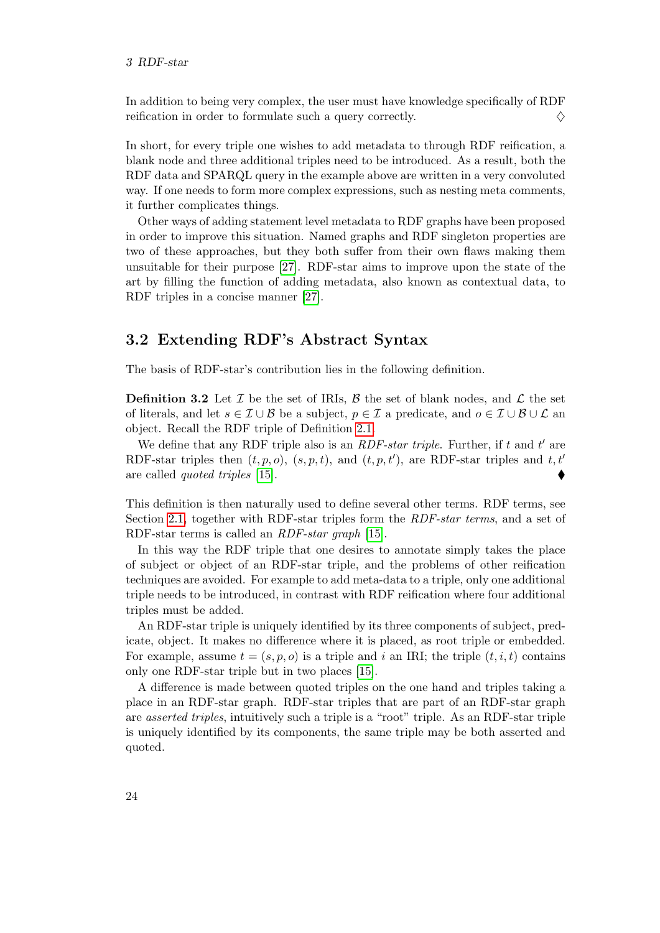#### 3 RDF-star

In addition to being very complex, the user must have knowledge specifically of RDF reification in order to formulate such a query correctly.  $\Diamond$ 

In short, for every triple one wishes to add metadata to through RDF reification, a blank node and three additional triples need to be introduced. As a result, both the RDF data and SPARQL query in the example above are written in a very convoluted way. If one needs to form more complex expressions, such as nesting meta comments, it further complicates things.

Other ways of adding statement level metadata to RDF graphs have been proposed in order to improve this situation. Named graphs and RDF singleton properties are two of these approaches, but they both suffer from their own flaws making them unsuitable for their purpose [\[27\]](#page-64-0). RDF-star aims to improve upon the state of the art by filling the function of adding metadata, also known as contextual data, to RDF triples in a concise manner [\[27\]](#page-64-0).

## <span id="page-31-0"></span>3.2 Extending RDF's Abstract Syntax

The basis of RDF-star's contribution lies in the following definition.

**Definition 3.2** Let  $\mathcal{I}$  be the set of IRIs,  $\mathcal{B}$  the set of blank nodes, and  $\mathcal{L}$  the set of literals, and let  $s \in \mathcal{I} \cup \mathcal{B}$  be a subject,  $p \in \mathcal{I}$  a predicate, and  $o \in \mathcal{I} \cup \mathcal{B} \cup \mathcal{L}$  and object. Recall the RDF triple of Definition [2.1.](#page-14-3)

We define that any RDF triple also is an  $RDF\text{-}star\ triple$ . Further, if t and t' are RDF-star triples then  $(t, p, o)$ ,  $(s, p, t)$ , and  $(t, p, t')$ , are RDF-star triples and  $t, t'$ are called quoted triples [\[15\]](#page-63-1).

This definition is then naturally used to define several other terms. RDF terms, see Section [2.1,](#page-14-1) together with RDF-star triples form the *RDF-star terms*, and a set of RDF-star terms is called an RDF-star graph [\[15\]](#page-63-1).

In this way the RDF triple that one desires to annotate simply takes the place of subject or object of an RDF-star triple, and the problems of other reification techniques are avoided. For example to add meta-data to a triple, only one additional triple needs to be introduced, in contrast with RDF reification where four additional triples must be added.

An RDF-star triple is uniquely identified by its three components of subject, predicate, object. It makes no difference where it is placed, as root triple or embedded. For example, assume  $t = (s, p, o)$  is a triple and i an IRI; the triple  $(t, i, t)$  contains only one RDF-star triple but in two places [\[15\]](#page-63-1).

A difference is made between quoted triples on the one hand and triples taking a place in an RDF-star graph. RDF-star triples that are part of an RDF-star graph are asserted triples, intuitively such a triple is a "root" triple. As an RDF-star triple is uniquely identified by its components, the same triple may be both asserted and quoted.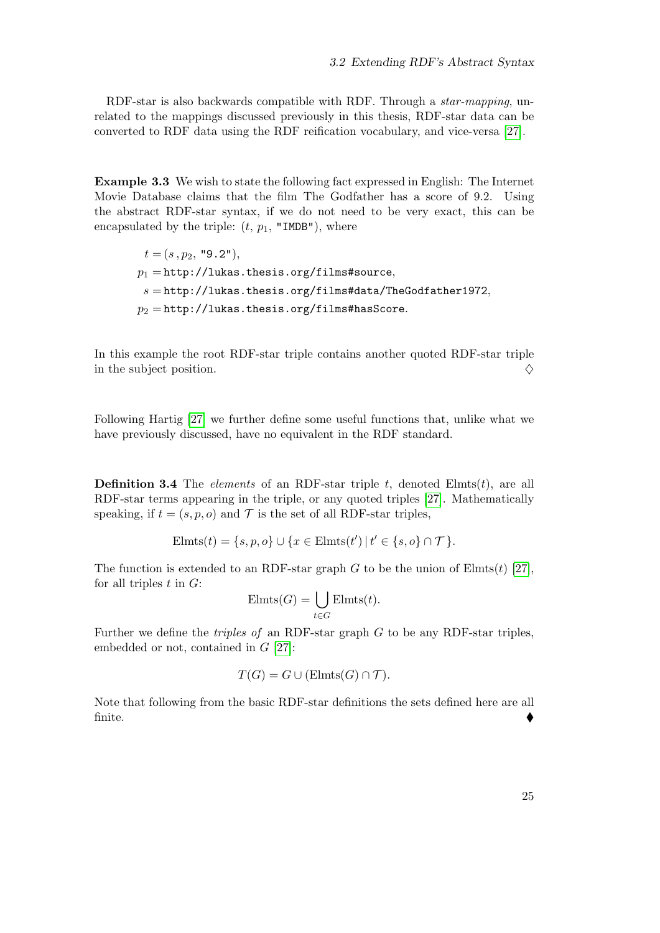RDF-star is also backwards compatible with RDF. Through a *star-mapping*, unrelated to the mappings discussed previously in this thesis, RDF-star data can be converted to RDF data using the RDF reification vocabulary, and vice-versa [\[27\]](#page-64-0).

Example 3.3 We wish to state the following fact expressed in English: The Internet Movie Database claims that the film The Godfather has a score of 9.2. Using the abstract RDF-star syntax, if we do not need to be very exact, this can be encapsulated by the triple:  $(t, p_1, "IMDB")$ , where

<span id="page-32-0"></span> $t = (s, p_2, "9.2"),$  $p_1 = \text{http://lukas.thesis.org/films#source},$  $s = \text{http://lukas.thesis.org/films#data/TheGodfather1972},$  $p_2 = \text{http://lukas.thesis.org/films#hasScore.}$ 

In this example the root RDF-star triple contains another quoted RDF-star triple in the subject position.  $\Diamond$ 

Following Hartig [\[27\]](#page-64-0) we further define some useful functions that, unlike what we have previously discussed, have no equivalent in the RDF standard.

**Definition 3.4** The *elements* of an RDF-star triple t, denoted Elmts $(t)$ , are all RDF-star terms appearing in the triple, or any quoted triples [\[27\]](#page-64-0). Mathematically speaking, if  $t = (s, p, o)$  and  $\mathcal T$  is the set of all RDF-star triples,

$$
El mts(t) = \{s, p, o\} \cup \{x \in El mts(t') \mid t' \in \{s, o\} \cap \mathcal{T}\}.
$$

The function is extended to an RDF-star graph G to be the union of Elmts $(t)$  [\[27\]](#page-64-0), for all triples  $t$  in  $G$ :

$$
\text{Elmts}(G) = \bigcup_{t \in G} \text{Elmts}(t).
$$

Further we define the *triples of* an RDF-star graph  $G$  to be any RDF-star triples, embedded or not, contained in G [\[27\]](#page-64-0):

$$
T(G) = G \cup (\text{Elmts}(G) \cap \mathcal{T}).
$$

Note that following from the basic RDF-star definitions the sets defined here are all finite.  $\qquad \qquad \bullet$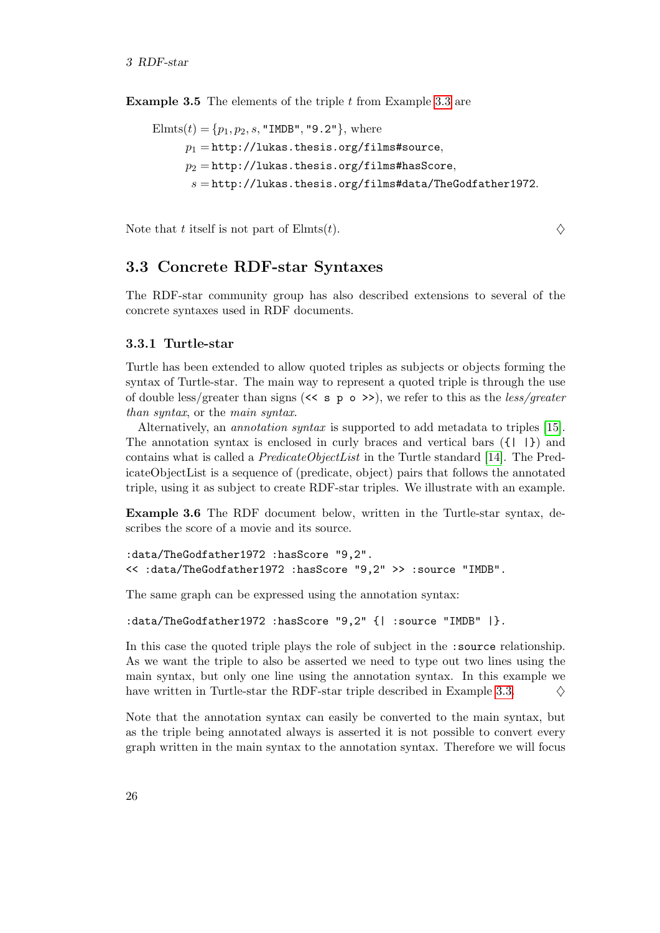**Example 3.5** The elements of the triple  $t$  from Example [3.3](#page-32-0) are

```
Elmts(t) = \{p_1, p_2, s, "IMDB", "9.2"\}, where
      p_1 = \text{http://lukas.thesis.org/films#source},p_2 =http://lukas.thesis.org/films#hasScore,
       s = \text{http://lukas.thesis.org/films#data/TheGodfather1972.}
```
Note that t itself is not part of  $\text{Elmts}(t)$ .

## <span id="page-33-0"></span>3.3 Concrete RDF-star Syntaxes

The RDF-star community group has also described extensions to several of the concrete syntaxes used in RDF documents.

#### <span id="page-33-1"></span>3.3.1 Turtle-star

Turtle has been extended to allow quoted triples as subjects or objects forming the syntax of Turtle-star. The main way to represent a quoted triple is through the use of double less/greater than signs  $(\leq s \leq p \leq s)$ , we refer to this as the less/greater than syntax, or the main syntax.

Alternatively, an annotation syntax is supported to add metadata to triples [\[15\]](#page-63-1). The annotation syntax is enclosed in curly braces and vertical bars  $({\{\nvert \}\nvert})$  and contains what is called a  $PredictedObjectList$  in the Turtle standard [\[14\]](#page-63-2). The PredicateObjectList is a sequence of (predicate, object) pairs that follows the annotated triple, using it as subject to create RDF-star triples. We illustrate with an example.

Example 3.6 The RDF document below, written in the Turtle-star syntax, describes the score of a movie and its source.

```
:data/TheGodfather1972 :hasScore "9,2".
<< :data/TheGodfather1972 :hasScore "9,2" >> :source "IMDB".
```
The same graph can be expressed using the annotation syntax:

```
:data/TheGodfather1972 :hasScore "9,2" {| :source "IMDB" |}.
```
In this case the quoted triple plays the role of subject in the :source relationship. As we want the triple to also be asserted we need to type out two lines using the main syntax, but only one line using the annotation syntax. In this example we have written in Turtle-star the RDF-star triple described in Example [3.3.](#page-32-0)  $\Diamond$ 

Note that the annotation syntax can easily be converted to the main syntax, but as the triple being annotated always is asserted it is not possible to convert every graph written in the main syntax to the annotation syntax. Therefore we will focus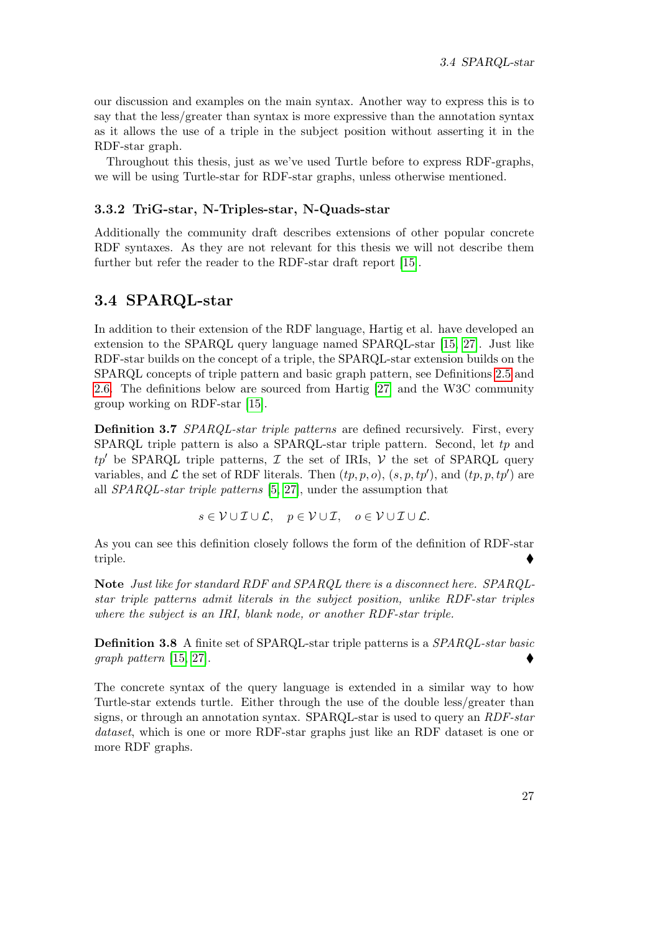our discussion and examples on the main syntax. Another way to express this is to say that the less/greater than syntax is more expressive than the annotation syntax as it allows the use of a triple in the subject position without asserting it in the RDF-star graph.

Throughout this thesis, just as we've used Turtle before to express RDF-graphs, we will be using Turtle-star for RDF-star graphs, unless otherwise mentioned.

#### <span id="page-34-0"></span>3.3.2 TriG-star, N-Triples-star, N-Quads-star

Additionally the community draft describes extensions of other popular concrete RDF syntaxes. As they are not relevant for this thesis we will not describe them further but refer the reader to the RDF-star draft report [\[15\]](#page-63-1).

### <span id="page-34-1"></span>3.4 SPARQL-star

In addition to their extension of the RDF language, Hartig et al. have developed an extension to the SPARQL query language named SPARQL-star [\[15,](#page-63-1) [27\]](#page-64-0). Just like RDF-star builds on the concept of a triple, the SPARQL-star extension builds on the SPARQL concepts of triple pattern and basic graph pattern, see Definitions [2.5](#page-16-1) and [2.6.](#page-16-2) The definitions below are sourced from Hartig [\[27\]](#page-64-0) and the W3C community group working on RDF-star [\[15\]](#page-63-1).

Definition 3.7 SPARQL-star triple patterns are defined recursively. First, every SPARQL triple pattern is also a SPARQL-star triple pattern. Second, let  $tp$  and  $tp'$  be SPARQL triple patterns,  $\mathcal I$  the set of IRIs,  $\mathcal V$  the set of SPARQL query variables, and  $\mathcal L$  the set of RDF literals. Then  $(tp, p, o)$ ,  $(s, p, tp')$ , and  $(tp, p, tp')$  are all SPARQL-star triple patterns [\[5,](#page-62-4) [27\]](#page-64-0), under the assumption that

$$
s \in \mathcal{V} \cup \mathcal{I} \cup \mathcal{L}, \quad p \in \mathcal{V} \cup \mathcal{I}, \quad o \in \mathcal{V} \cup \mathcal{I} \cup \mathcal{L}.
$$

As you can see this definition closely follows the form of the definition of RDF-star triple.

Note Just like for standard RDF and SPARQL there is a disconnect here. SPARQLstar triple patterns admit literals in the subject position, unlike RDF-star triples where the subject is an IRI, blank node, or another RDF-star triple.

Definition 3.8 A finite set of SPARQL-star triple patterns is a SPARQL-star basic graph pattern [\[15,](#page-63-1) [27\]](#page-64-0).

The concrete syntax of the query language is extended in a similar way to how Turtle-star extends turtle. Either through the use of the double less/greater than signs, or through an annotation syntax. SPARQL-star is used to query an RDF-star dataset, which is one or more RDF-star graphs just like an RDF dataset is one or more RDF graphs.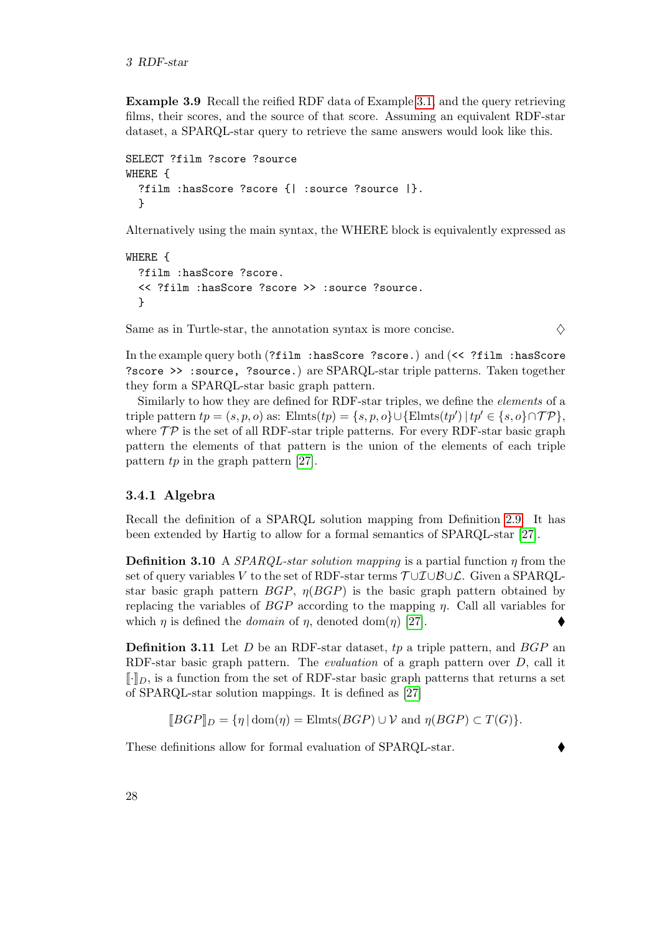Example 3.9 Recall the reified RDF data of Example [3.1,](#page-30-3) and the query retrieving films, their scores, and the source of that score. Assuming an equivalent RDF-star dataset, a SPARQL-star query to retrieve the same answers would look like this.

```
SELECT ?film ?score ?source
WHERE {
  ?film :hasScore ?score {| :source ?source |}.
  }
```
Alternatively using the main syntax, the WHERE block is equivalently expressed as

```
WHERE {
  ?film :hasScore ?score.
  << ?film :hasScore ?score >> :source ?source.
  }
```
Same as in Turtle-star, the annotation syntax is more concise.  $\Diamond$ 

In the example query both (?film :hasScore ?score.) and (<< ?film :hasScore ?score >> :source, ?source.) are SPARQL-star triple patterns. Taken together they form a SPARQL-star basic graph pattern.

Similarly to how they are defined for RDF-star triples, we define the elements of a triple pattern  $tp = (s, p, o)$  as:  $\text{Elmts}(tp) = \{s, p, o\} \cup \{\text{Elmts}(tp') \mid tp' \in \{s, o\} \cap \mathcal{TP}\},\$ where  $\mathcal{TP}$  is the set of all RDF-star triple patterns. For every RDF-star basic graph pattern the elements of that pattern is the union of the elements of each triple pattern  $tp$  in the graph pattern [\[27\]](#page-64-0).

#### <span id="page-35-0"></span>3.4.1 Algebra

Recall the definition of a SPARQL solution mapping from Definition [2.9.](#page-18-2) It has been extended by Hartig to allow for a formal semantics of SPARQL-star [\[27\]](#page-64-0).

**Definition 3.10** A *SPARQL-star solution mapping* is a partial function  $\eta$  from the set of query variables V to the set of RDF-star terms  $\mathcal{T} \cup \mathcal{I} \cup \mathcal{B} \cup \mathcal{L}$ . Given a SPARQLstar basic graph pattern  $BGP$ ,  $\eta(BGP)$  is the basic graph pattern obtained by replacing the variables of  $BGP$  according to the mapping  $\eta$ . Call all variables for which  $\eta$  is defined the *domain* of  $\eta$ , denoted dom( $\eta$ ) [\[27\]](#page-64-0).

**Definition 3.11** Let  $D$  be an RDF-star dataset,  $tp$  a triple pattern, and  $BGP$  an RDF-star basic graph pattern. The evaluation of a graph pattern over D, call it  $\llbracket \cdot \rrbracket_D$ , is a function from the set of RDF-star basic graph patterns that returns a set of SPARQL-star solution mappings. It is defined as [\[27\]](#page-64-0)

 $\llbracket BGP \rrbracket_D = \{ \eta \mid \text{dom}(\eta) = \text{Elmts}(BGP) \cup \mathcal{V} \text{ and } \eta(BGP) \subset T(G) \}.$ 

These definitions allow for formal evaluation of SPARQL-star.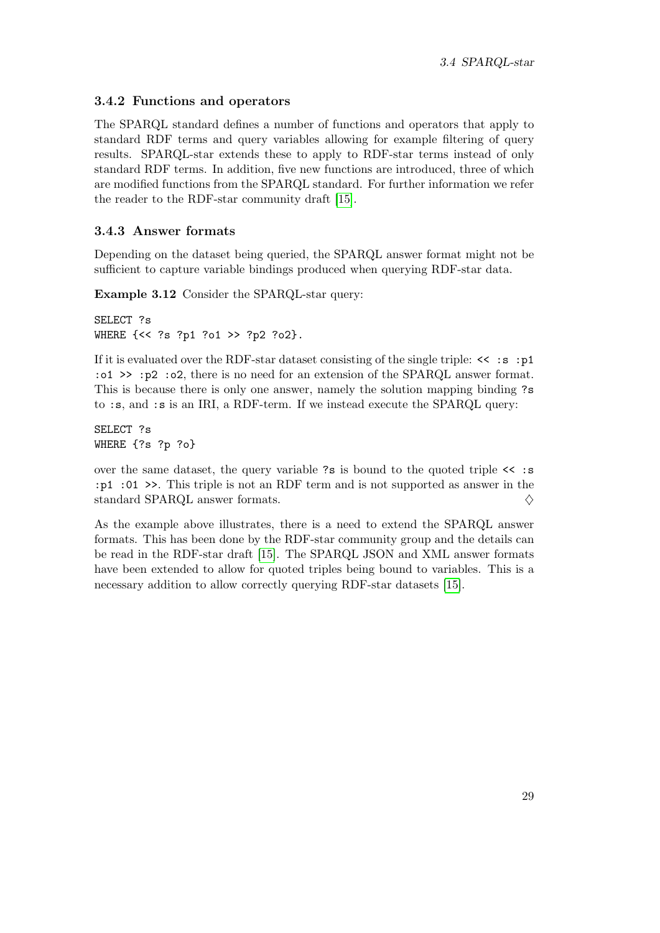### <span id="page-36-0"></span>3.4.2 Functions and operators

The SPARQL standard defines a number of functions and operators that apply to standard RDF terms and query variables allowing for example filtering of query results. SPARQL-star extends these to apply to RDF-star terms instead of only standard RDF terms. In addition, five new functions are introduced, three of which are modified functions from the SPARQL standard. For further information we refer the reader to the RDF-star community draft [\[15\]](#page-63-1).

#### <span id="page-36-1"></span>3.4.3 Answer formats

Depending on the dataset being queried, the SPARQL answer format might not be sufficient to capture variable bindings produced when querying RDF-star data.

Example 3.12 Consider the SPARQL-star query:

```
SELECT ?s
WHERE {<< ?s ?p1 ?o1 >> ?p2 ?o2}.
```
If it is evaluated over the RDF-star dataset consisting of the single triple:  $\leq$  :  $\leq$  :  $p1$ :o1 >> :p2 :o2, there is no need for an extension of the SPARQL answer format. This is because there is only one answer, namely the solution mapping binding ?s to :s, and :s is an IRI, a RDF-term. If we instead execute the SPARQL query:

SELECT ?s WHERE {?s ?p ?o}

over the same dataset, the query variable ?s is bound to the quoted triple  $\leq$  :s :p1 :01 >>. This triple is not an RDF term and is not supported as answer in the standard SPARQL answer formats.  $\Diamond$ 

As the example above illustrates, there is a need to extend the SPARQL answer formats. This has been done by the RDF-star community group and the details can be read in the RDF-star draft [\[15\]](#page-63-1). The SPARQL JSON and XML answer formats have been extended to allow for quoted triples being bound to variables. This is a necessary addition to allow correctly querying RDF-star datasets [\[15\]](#page-63-1).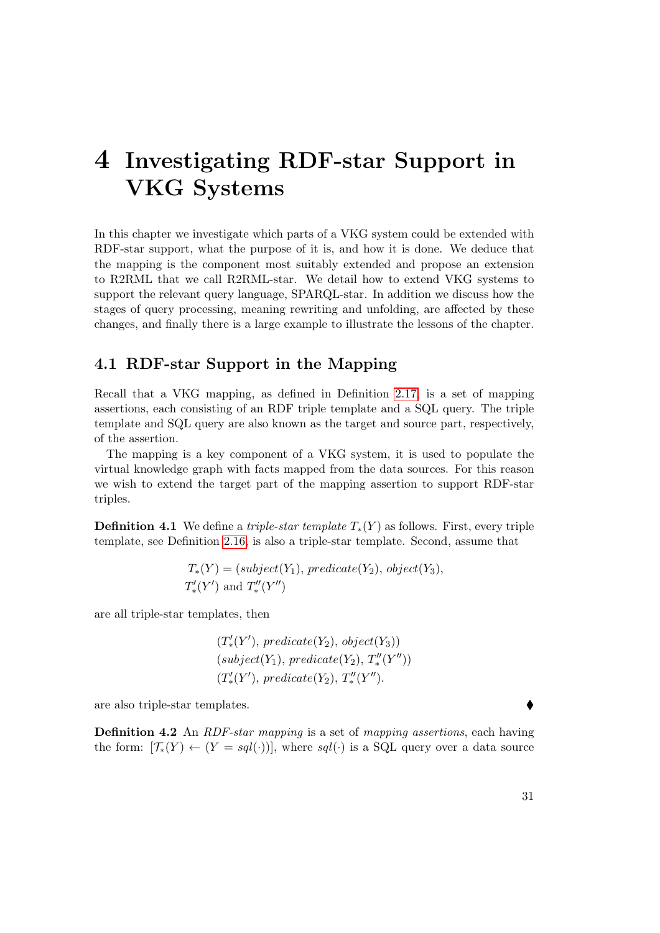## <span id="page-38-0"></span>4 Investigating RDF-star Support in VKG Systems

In this chapter we investigate which parts of a VKG system could be extended with RDF-star support, what the purpose of it is, and how it is done. We deduce that the mapping is the component most suitably extended and propose an extension to R2RML that we call R2RML-star. We detail how to extend VKG systems to support the relevant query language, SPARQL-star. In addition we discuss how the stages of query processing, meaning rewriting and unfolding, are affected by these changes, and finally there is a large example to illustrate the lessons of the chapter.

## <span id="page-38-1"></span>4.1 RDF-star Support in the Mapping

Recall that a VKG mapping, as defined in Definition [2.17,](#page-24-1) is a set of mapping assertions, each consisting of an RDF triple template and a SQL query. The triple template and SQL query are also known as the target and source part, respectively, of the assertion.

The mapping is a key component of a VKG system, it is used to populate the virtual knowledge graph with facts mapped from the data sources. For this reason we wish to extend the target part of the mapping assertion to support RDF-star triples.

**Definition 4.1** We define a *triple-star template*  $T_*(Y)$  as follows. First, every triple template, see Definition [2.16,](#page-24-2) is also a triple-star template. Second, assume that

$$
T_*(Y) = (subject(Y_1), predicate(Y_2), object(Y_3),
$$
  

$$
T'_*(Y')
$$
 and 
$$
T''_*(Y'')
$$

are all triple-star templates, then

 $(T'_{*}(Y'),\, predicate(Y_2),\, object(Y_3))$  $(subject(Y_1), predicate(Y_2), T''_*(Y''))$  $(T'_{*}(Y'),\, predicate(Y_2),\, T''_{*}(Y'').$ 

are also triple-star templates.

**Definition 4.2** An *RDF-star mapping* is a set of *mapping assertions*, each having the form:  $[\mathcal{T}_*(Y) \leftarrow (Y = \mathit{sgl}(\cdot))]$ , where  $\mathit{sgl}(\cdot)$  is a SQL query over a data source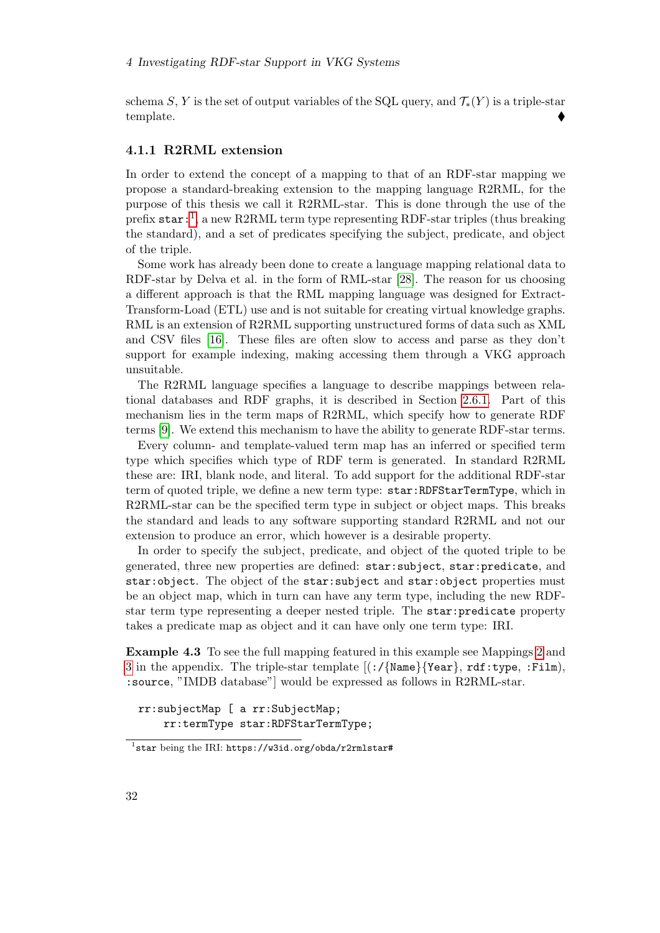schema S, Y is the set of output variables of the SQL query, and  $\mathcal{T}_*(Y)$  is a triple-star template.

#### <span id="page-39-0"></span>4.1.1 R2RML extension

In order to extend the concept of a mapping to that of an RDF-star mapping we propose a standard-breaking extension to the mapping language R2RML, for the purpose of this thesis we call it R2RML-star. This is done through the use of the prefix star:<sup>[1](#page-39-1)</sup>, a new R2RML term type representing RDF-star triples (thus breaking the standard), and a set of predicates specifying the subject, predicate, and object of the triple.

Some work has already been done to create a language mapping relational data to RDF-star by Delva et al. in the form of RML-star [\[28\]](#page-64-2). The reason for us choosing a different approach is that the RML mapping language was designed for Extract-Transform-Load (ETL) use and is not suitable for creating virtual knowledge graphs. RML is an extension of R2RML supporting unstructured forms of data such as XML and CSV files [\[16\]](#page-63-11). These files are often slow to access and parse as they don't support for example indexing, making accessing them through a VKG approach unsuitable.

The R2RML language specifies a language to describe mappings between relational databases and RDF graphs, it is described in Section [2.6.1.](#page-25-1) Part of this mechanism lies in the term maps of R2RML, which specify how to generate RDF terms [\[9\]](#page-62-11). We extend this mechanism to have the ability to generate RDF-star terms.

Every column- and template-valued term map has an inferred or specified term type which specifies which type of RDF term is generated. In standard R2RML these are: IRI, blank node, and literal. To add support for the additional RDF-star term of quoted triple, we define a new term type: star:RDFStarTermType, which in R2RML-star can be the specified term type in subject or object maps. This breaks the standard and leads to any software supporting standard R2RML and not our extension to produce an error, which however is a desirable property.

In order to specify the subject, predicate, and object of the quoted triple to be generated, three new properties are defined: star:subject, star:predicate, and star:object. The object of the star:subject and star:object properties must be an object map, which in turn can have any term type, including the new RDFstar term type representing a deeper nested triple. The star:predicate property takes a predicate map as object and it can have only one term type: IRI.

Example 4.3 To see the full mapping featured in this example see Mappings [2](#page-68-0) and [3](#page-68-1) in the appendix. The triple-star template  $[(\cdot)/\{\text{Name}\}\$ rear, rdf:type, :Film), :source, "IMDB database"] would be expressed as follows in R2RML-star.

rr:subjectMap [ a rr:SubjectMap; rr:termType star:RDFStarTermType;

<span id="page-39-1"></span><sup>&</sup>lt;sup>1</sup>star being the IRI: https://w3id.org/obda/r2rmlstar#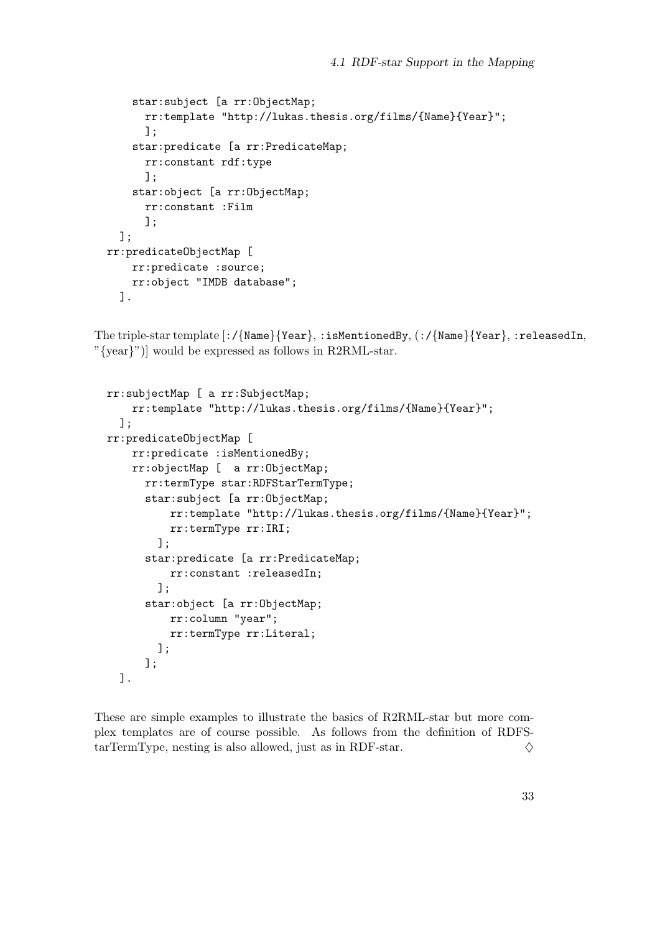```
star:subject [a rr:ObjectMap;
      rr:template "http://lukas.thesis.org/films/{Name}{Year}";
      ];
    star:predicate [a rr:PredicateMap;
      rr:constant rdf:type
      ];
    star:object [a rr:ObjectMap;
      rr:constant :Film
      ];
  ];
rr:predicateObjectMap [
    rr:predicate :source;
   rr:object "IMDB database";
  ].
```
The triple-star template [:/{Name}{Year}, :isMentionedBy, (:/{Name}{Year}, :releasedIn, "{year}")] would be expressed as follows in R2RML-star.

```
rr:subjectMap [ a rr:SubjectMap;
    rr:template "http://lukas.thesis.org/films/{Name}{Year}";
  ];
rr:predicateObjectMap [
    rr:predicate :isMentionedBy;
    rr:objectMap [ a rr:ObjectMap;
      rr:termType star:RDFStarTermType;
      star:subject [a rr:ObjectMap;
          rr:template "http://lukas.thesis.org/films/{Name}{Year}";
          rr:termType rr:IRI;
        ];
      star:predicate [a rr:PredicateMap;
          rr:constant :releasedIn;
        ];
      star:object [a rr:ObjectMap;
          rr:column "year";
          rr:termType rr:Literal;
        ];
      ];
  ].
```
These are simple examples to illustrate the basics of R2RML-star but more complex templates are of course possible. As follows from the definition of RDFS- $\text{tarTermType, nesting is also allowed, just as in RDF-star.}$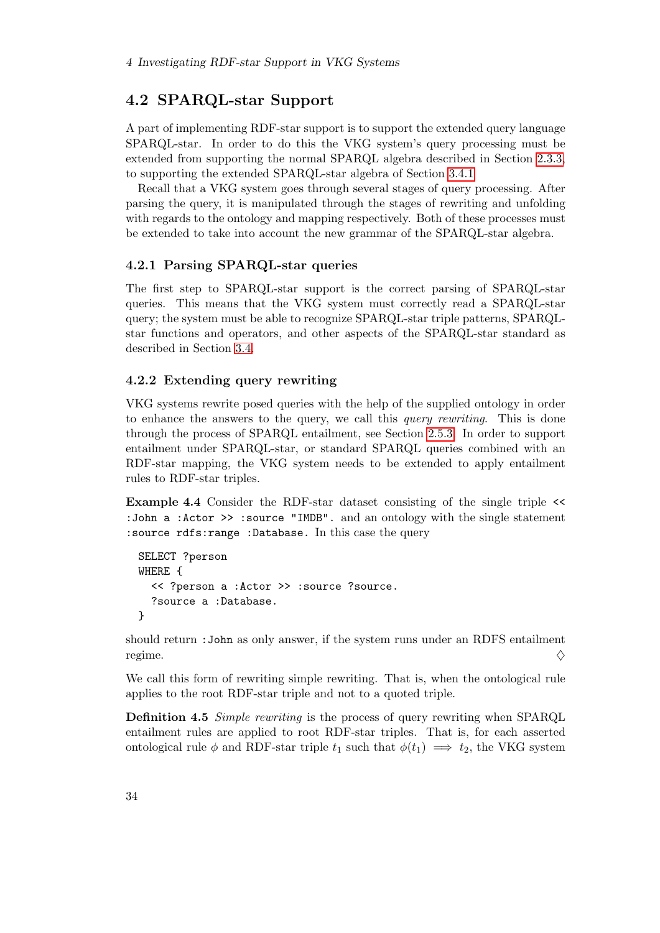## <span id="page-41-0"></span>4.2 SPARQL-star Support

A part of implementing RDF-star support is to support the extended query language SPARQL-star. In order to do this the VKG system's query processing must be extended from supporting the normal SPARQL algebra described in Section [2.3.3,](#page-17-1) to supporting the extended SPARQL-star algebra of Section [3.4.1](#page-35-0)

Recall that a VKG system goes through several stages of query processing. After parsing the query, it is manipulated through the stages of rewriting and unfolding with regards to the ontology and mapping respectively. Both of these processes must be extended to take into account the new grammar of the SPARQL-star algebra.

#### <span id="page-41-1"></span>4.2.1 Parsing SPARQL-star queries

The first step to SPARQL-star support is the correct parsing of SPARQL-star queries. This means that the VKG system must correctly read a SPARQL-star query; the system must be able to recognize SPARQL-star triple patterns, SPARQLstar functions and operators, and other aspects of the SPARQL-star standard as described in Section [3.4.](#page-34-1)

#### <span id="page-41-2"></span>4.2.2 Extending query rewriting

VKG systems rewrite posed queries with the help of the supplied ontology in order to enhance the answers to the query, we call this *query rewriting*. This is done through the process of SPARQL entailment, see Section [2.5.3.](#page-22-0) In order to support entailment under SPARQL-star, or standard SPARQL queries combined with an RDF-star mapping, the VKG system needs to be extended to apply entailment rules to RDF-star triples.

<span id="page-41-3"></span>Example 4.4 Consider the RDF-star dataset consisting of the single triple << :John a :Actor >> :source "IMDB". and an ontology with the single statement :source rdfs:range :Database. In this case the query

```
SELECT ?person
WHERE {
  << ?person a :Actor >> :source ?source.
  ?source a :Database.
}
```
should return :John as only answer, if the system runs under an RDFS entailment regime.  $\diamondsuit$ 

<span id="page-41-4"></span>We call this form of rewriting simple rewriting. That is, when the ontological rule applies to the root RDF-star triple and not to a quoted triple.

Definition 4.5 Simple rewriting is the process of query rewriting when SPARQL entailment rules are applied to root RDF-star triples. That is, for each asserted ontological rule  $\phi$  and RDF-star triple  $t_1$  such that  $\phi(t_1) \implies t_2$ , the VKG system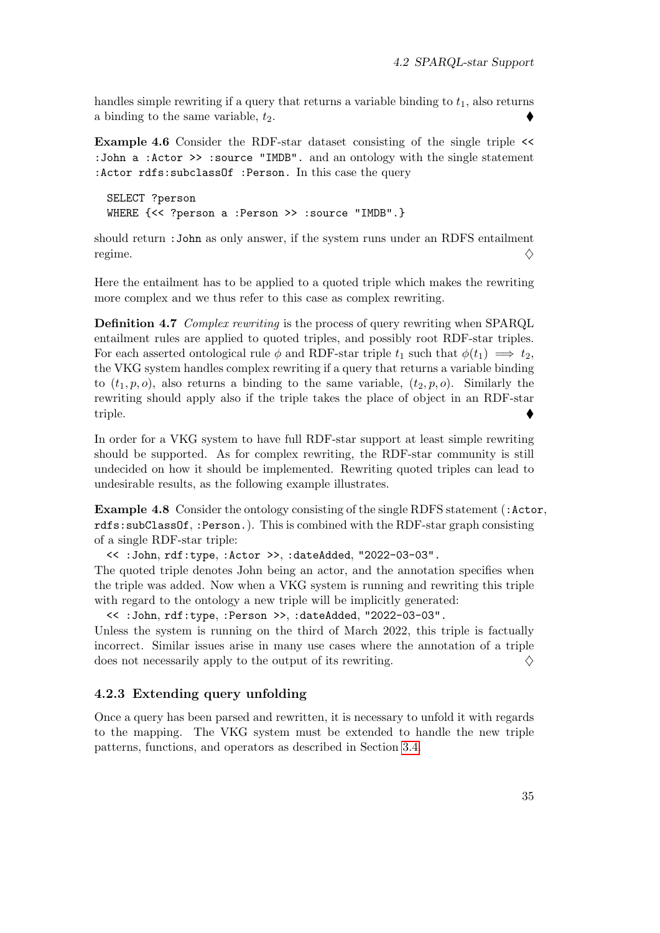handles simple rewriting if a query that returns a variable binding to  $t_1$ , also returns a binding to the same variable,  $t_2$ .

<span id="page-42-3"></span>Example 4.6 Consider the RDF-star dataset consisting of the single triple << :John a :Actor >> :source "IMDB". and an ontology with the single statement :Actor rdfs:subclassOf :Person. In this case the query

SELECT ?person WHERE {<< ?person a :Person >> :source "IMDB".}

should return :John as only answer, if the system runs under an RDFS entailment regime.  $\diamondsuit$ 

<span id="page-42-1"></span>Here the entailment has to be applied to a quoted triple which makes the rewriting more complex and we thus refer to this case as complex rewriting.

Definition 4.7 Complex rewriting is the process of query rewriting when SPARQL entailment rules are applied to quoted triples, and possibly root RDF-star triples. For each asserted ontological rule  $\phi$  and RDF-star triple  $t_1$  such that  $\phi(t_1) \implies t_2$ , the VKG system handles complex rewriting if a query that returns a variable binding to  $(t_1, p, o)$ , also returns a binding to the same variable,  $(t_2, p, o)$ . Similarly the rewriting should apply also if the triple takes the place of object in an RDF-star triple.

In order for a VKG system to have full RDF-star support at least simple rewriting should be supported. As for complex rewriting, the RDF-star community is still undecided on how it should be implemented. Rewriting quoted triples can lead to undesirable results, as the following example illustrates.

<span id="page-42-2"></span>**Example 4.8** Consider the ontology consisting of the single RDFS statement (: Actor, rdfs:subClassOf, :Person.). This is combined with the RDF-star graph consisting of a single RDF-star triple:

<< :John, rdf:type, :Actor >>, :dateAdded, "2022-03-03".

The quoted triple denotes John being an actor, and the annotation specifies when the triple was added. Now when a VKG system is running and rewriting this triple with regard to the ontology a new triple will be implicitly generated:

<< :John, rdf:type, :Person >>, :dateAdded, "2022-03-03".

Unless the system is running on the third of March 2022, this triple is factually incorrect. Similar issues arise in many use cases where the annotation of a triple does not necessarily apply to the output of its rewriting.  $\Diamond$ 

#### <span id="page-42-0"></span>4.2.3 Extending query unfolding

Once a query has been parsed and rewritten, it is necessary to unfold it with regards to the mapping. The VKG system must be extended to handle the new triple patterns, functions, and operators as described in Section [3.4.](#page-34-1)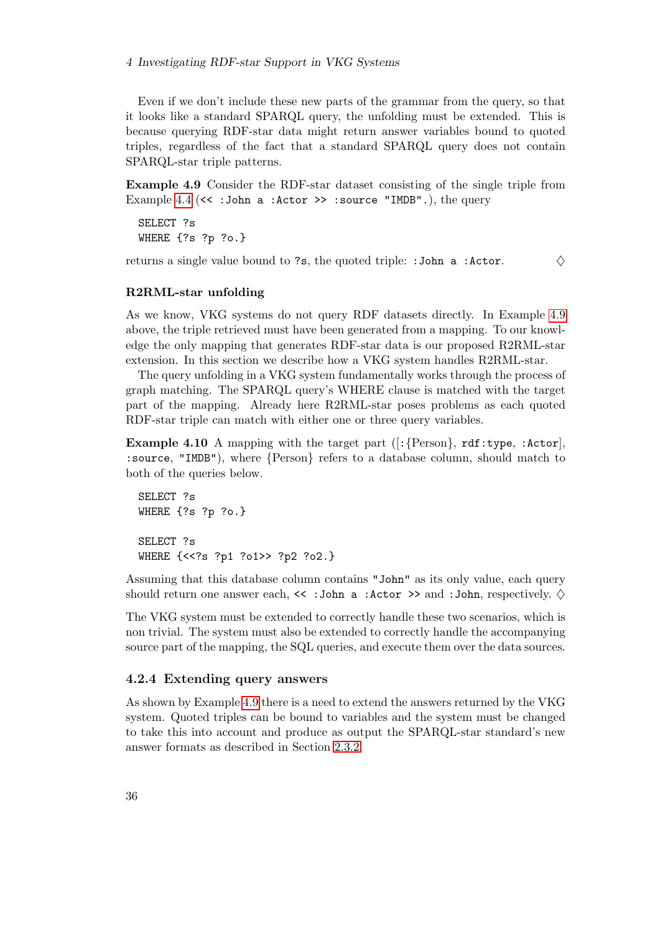Even if we don't include these new parts of the grammar from the query, so that it looks like a standard SPARQL query, the unfolding must be extended. This is because querying RDF-star data might return answer variables bound to quoted triples, regardless of the fact that a standard SPARQL query does not contain SPARQL-star triple patterns.

<span id="page-43-1"></span>Example 4.9 Consider the RDF-star dataset consisting of the single triple from Example [4.4](#page-41-3) ( $\lt\lt$  : John a : Actor  $\gt$  : source "IMDB".), the query

SELECT ?s WHERE {?s ?p ?o.}

returns a single value bound to ?s, the quoted triple: : John a : Actor.  $\Diamond$ 

#### R2RML-star unfolding

As we know, VKG systems do not query RDF datasets directly. In Example [4.9](#page-43-1) above, the triple retrieved must have been generated from a mapping. To our knowledge the only mapping that generates RDF-star data is our proposed R2RML-star extension. In this section we describe how a VKG system handles R2RML-star.

The query unfolding in a VKG system fundamentally works through the process of graph matching. The SPARQL query's WHERE clause is matched with the target part of the mapping. Already here R2RML-star poses problems as each quoted RDF-star triple can match with either one or three query variables.

**Example 4.10** A mapping with the target part  $([$ : {Person}, rdf:type, :Actor], :source, "IMDB"), where {Person} refers to a database column, should match to both of the queries below.

```
SELECT ?s
WHERE {?s ?p ?o.}
SELECT ?s
WHERE {<<?s ?p1 ?o1>> ?p2 ?o2.}
```
Assuming that this database column contains "John" as its only value, each query should return one answer each,  $\leq$  : John a : Actor  $\geq$  and : John, respectively.  $\diamond$ 

The VKG system must be extended to correctly handle these two scenarios, which is non trivial. The system must also be extended to correctly handle the accompanying source part of the mapping, the SQL queries, and execute them over the data sources.

#### <span id="page-43-0"></span>4.2.4 Extending query answers

As shown by Example [4.9](#page-43-1) there is a need to extend the answers returned by the VKG system. Quoted triples can be bound to variables and the system must be changed to take this into account and produce as output the SPARQL-star standard's new answer formats as described in Section [2.3.2.](#page-17-0)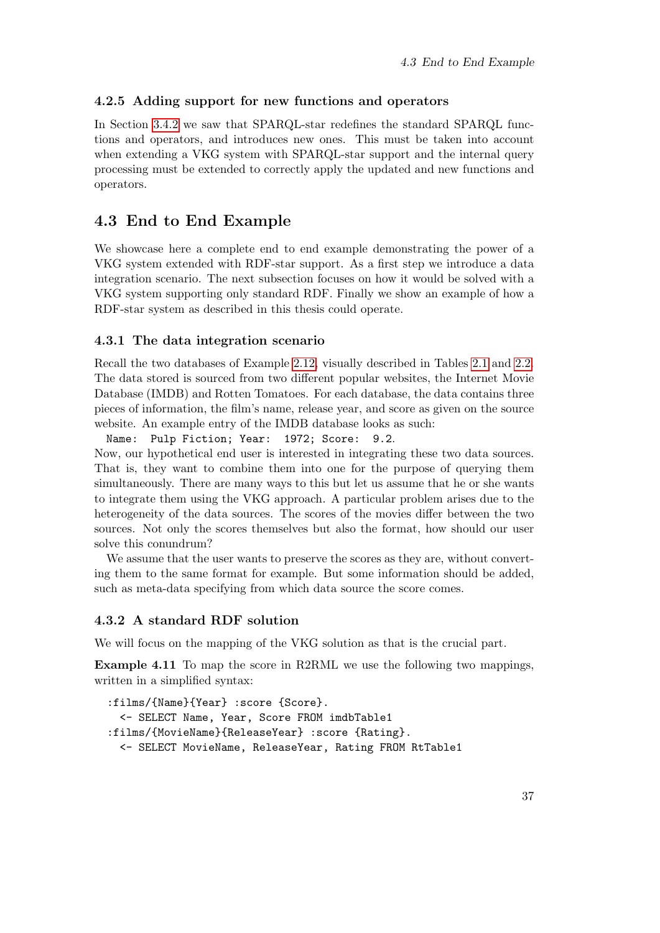#### <span id="page-44-0"></span>4.2.5 Adding support for new functions and operators

In Section [3.4.2](#page-36-0) we saw that SPARQL-star redefines the standard SPARQL functions and operators, and introduces new ones. This must be taken into account when extending a VKG system with SPARQL-star support and the internal query processing must be extended to correctly apply the updated and new functions and operators.

## <span id="page-44-1"></span>4.3 End to End Example

We showcase here a complete end to end example demonstrating the power of a VKG system extended with RDF-star support. As a first step we introduce a data integration scenario. The next subsection focuses on how it would be solved with a VKG system supporting only standard RDF. Finally we show an example of how a RDF-star system as described in this thesis could operate.

#### <span id="page-44-2"></span>4.3.1 The data integration scenario

Recall the two databases of Example [2.12,](#page-18-1) visually described in Tables [2.1](#page-19-1) and [2.2.](#page-19-2) The data stored is sourced from two different popular websites, the Internet Movie Database (IMDB) and Rotten Tomatoes. For each database, the data contains three pieces of information, the film's name, release year, and score as given on the source website. An example entry of the IMDB database looks as such:

Name: Pulp Fiction; Year: 1972; Score: 9.2. Now, our hypothetical end user is interested in integrating these two data sources. That is, they want to combine them into one for the purpose of querying them simultaneously. There are many ways to this but let us assume that he or she wants to integrate them using the VKG approach. A particular problem arises due to the heterogeneity of the data sources. The scores of the movies differ between the two sources. Not only the scores themselves but also the format, how should our user solve this conundrum?

We assume that the user wants to preserve the scores as they are, without converting them to the same format for example. But some information should be added, such as meta-data specifying from which data source the score comes.

#### <span id="page-44-3"></span>4.3.2 A standard RDF solution

We will focus on the mapping of the VKG solution as that is the crucial part.

Example 4.11 To map the score in R2RML we use the following two mappings, written in a simplified syntax:

```
:films/{Name}{Year} :score {Score}.
 <- SELECT Name, Year, Score FROM imdbTable1
:films/{MovieName}{ReleaseYear} :score {Rating}.
 <- SELECT MovieName, ReleaseYear, Rating FROM RtTable1
```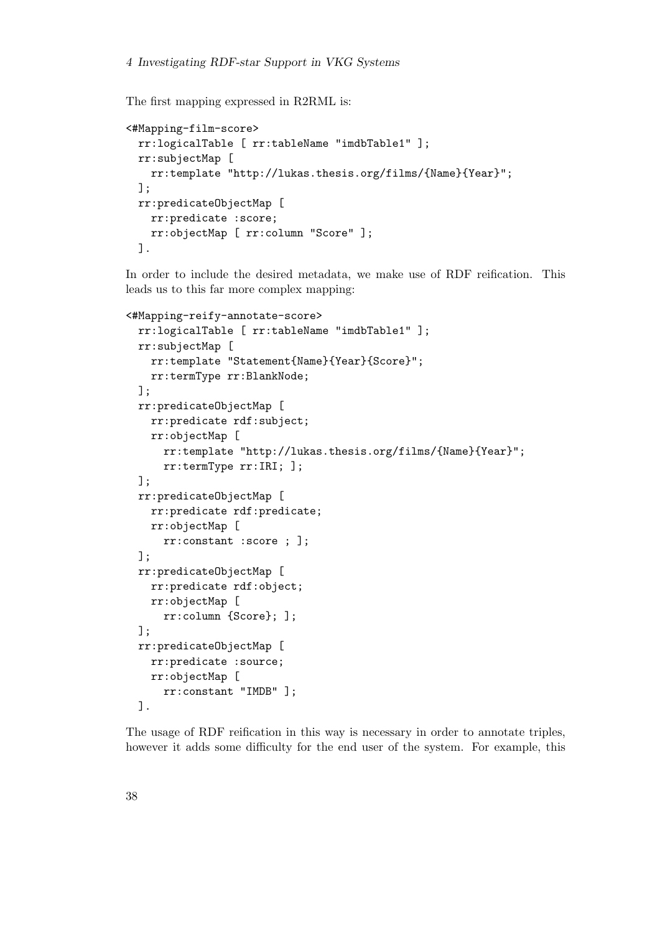The first mapping expressed in R2RML is:

```
<#Mapping-film-score>
  rr:logicalTable [ rr:tableName "imdbTable1" ];
 rr:subjectMap [
   rr:template "http://lukas.thesis.org/films/{Name}{Year}";
 ];
 rr:predicateObjectMap [
   rr:predicate :score;
   rr:objectMap [ rr:column "Score" ];
 ].
```
In order to include the desired metadata, we make use of RDF reification. This leads us to this far more complex mapping:

```
<#Mapping-reify-annotate-score>
 rr:logicalTable [ rr:tableName "imdbTable1" ];
 rr:subjectMap [
   rr:template "Statement{Name}{Year}{Score}";
   rr:termType rr:BlankNode;
 ];
 rr:predicateObjectMap [
   rr:predicate rdf:subject;
   rr:objectMap [
      rr:template "http://lukas.thesis.org/films/{Name}{Year}";
      rr:termType rr:IRI; ];
 ];
 rr:predicateObjectMap [
   rr:predicate rdf:predicate;
   rr:objectMap [
      rr:constant :score ; ];
 ];
 rr:predicateObjectMap [
   rr:predicate rdf:object;
   rr:objectMap [
      rr:column {Score}; ];
 ];
 rr:predicateObjectMap [
   rr:predicate :source;
   rr:objectMap [
      rr:constant "IMDB" ];
 ].
```
The usage of RDF reification in this way is necessary in order to annotate triples, however it adds some difficulty for the end user of the system. For example, this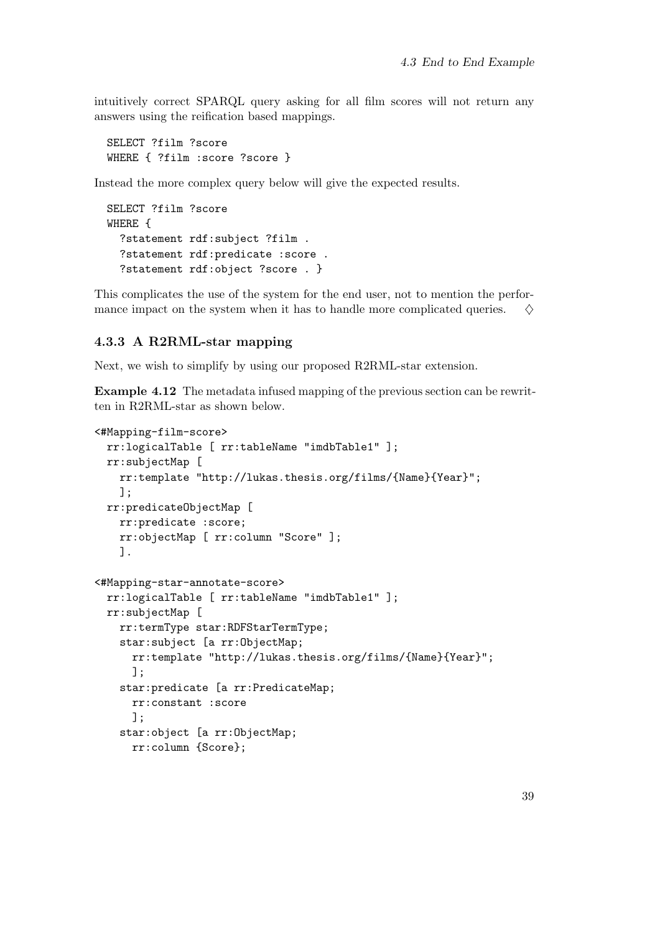intuitively correct SPARQL query asking for all film scores will not return any answers using the reification based mappings.

SELECT ?film ?score WHERE { ?film :score ?score }

Instead the more complex query below will give the expected results.

```
SELECT ?film ?score
WHERE {
  ?statement rdf:subject ?film .
  ?statement rdf:predicate :score .
  ?statement rdf:object ?score . }
```
This complicates the use of the system for the end user, not to mention the performance impact on the system when it has to handle more complicated queries.  $\Diamond$ 

#### <span id="page-46-0"></span>4.3.3 A R2RML-star mapping

Next, we wish to simplify by using our proposed R2RML-star extension.

Example 4.12 The metadata infused mapping of the previous section can be rewritten in R2RML-star as shown below.

```
<#Mapping-film-score>
 rr:logicalTable [ rr:tableName "imdbTable1" ];
 rr:subjectMap [
    rr:template "http://lukas.thesis.org/films/{Name}{Year}";
   ];
 rr:predicateObjectMap [
    rr:predicate :score;
    rr:objectMap [ rr:column "Score" ];
    ].
<#Mapping-star-annotate-score>
 rr:logicalTable [ rr:tableName "imdbTable1" ];
 rr:subjectMap [
    rr:termType star:RDFStarTermType;
    star:subject [a rr:ObjectMap;
      rr:template "http://lukas.thesis.org/films/{Name}{Year}";
      ];
    star:predicate [a rr:PredicateMap;
      rr:constant :score
      ];
    star:object [a rr:ObjectMap;
     rr:column {Score};
```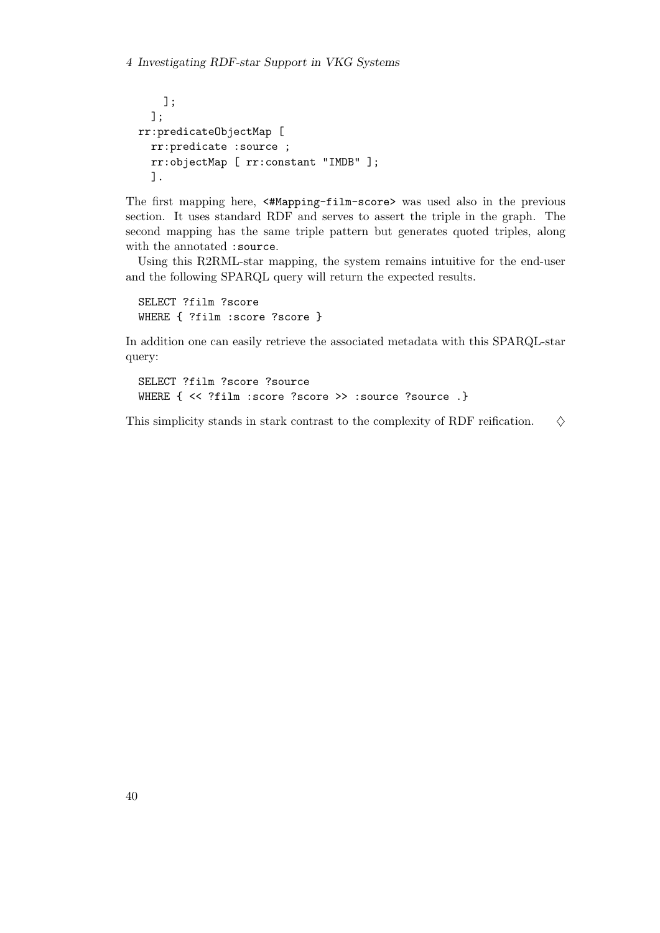```
];
  ];
rr:predicateObjectMap [
  rr:predicate :source ;
  rr:objectMap [ rr:constant "IMDB" ];
  ].
```
The first mapping here, <#Mapping-film-score> was used also in the previous section. It uses standard RDF and serves to assert the triple in the graph. The second mapping has the same triple pattern but generates quoted triples, along with the annotated :source.

Using this R2RML-star mapping, the system remains intuitive for the end-user and the following SPARQL query will return the expected results.

SELECT ?film ?score WHERE { ?film :score ?score }

In addition one can easily retrieve the associated metadata with this SPARQL-star query:

SELECT ?film ?score ?source WHERE { << ?film :score ?score >> :source ?source .}

This simplicity stands in stark contrast to the complexity of RDF reification.  $\Diamond$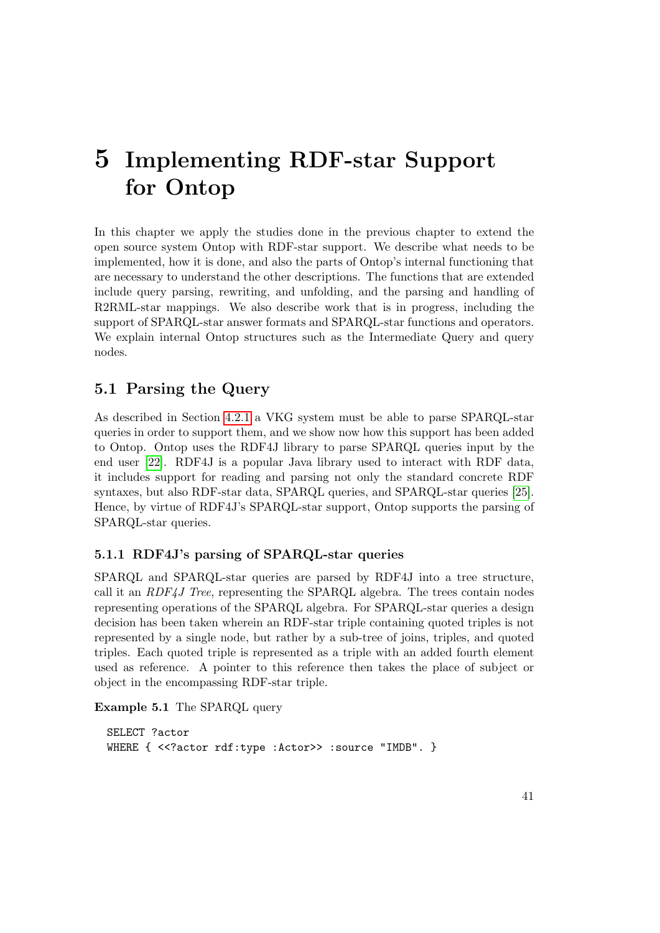## <span id="page-48-0"></span>5 Implementing RDF-star Support for Ontop

In this chapter we apply the studies done in the previous chapter to extend the open source system Ontop with RDF-star support. We describe what needs to be implemented, how it is done, and also the parts of Ontop's internal functioning that are necessary to understand the other descriptions. The functions that are extended include query parsing, rewriting, and unfolding, and the parsing and handling of R2RML-star mappings. We also describe work that is in progress, including the support of SPARQL-star answer formats and SPARQL-star functions and operators. We explain internal Ontop structures such as the Intermediate Query and query nodes.

## <span id="page-48-1"></span>5.1 Parsing the Query

As described in Section [4.2.1](#page-41-1) a VKG system must be able to parse SPARQL-star queries in order to support them, and we show now how this support has been added to Ontop. Ontop uses the RDF4J library to parse SPARQL queries input by the end user [\[22\]](#page-63-8). RDF4J is a popular Java library used to interact with RDF data, it includes support for reading and parsing not only the standard concrete RDF syntaxes, but also RDF-star data, SPARQL queries, and SPARQL-star queries [\[25\]](#page-63-12). Hence, by virtue of RDF4J's SPARQL-star support, Ontop supports the parsing of SPARQL-star queries.

## <span id="page-48-2"></span>5.1.1 RDF4J's parsing of SPARQL-star queries

SPARQL and SPARQL-star queries are parsed by RDF4J into a tree structure, call it an  $RDF4J$  Tree, representing the SPARQL algebra. The trees contain nodes representing operations of the SPARQL algebra. For SPARQL-star queries a design decision has been taken wherein an RDF-star triple containing quoted triples is not represented by a single node, but rather by a sub-tree of joins, triples, and quoted triples. Each quoted triple is represented as a triple with an added fourth element used as reference. A pointer to this reference then takes the place of subject or object in the encompassing RDF-star triple.

Example 5.1 The SPARQL query

SELECT ?actor WHERE { <<?actor rdf:type :Actor>> :source "IMDB". }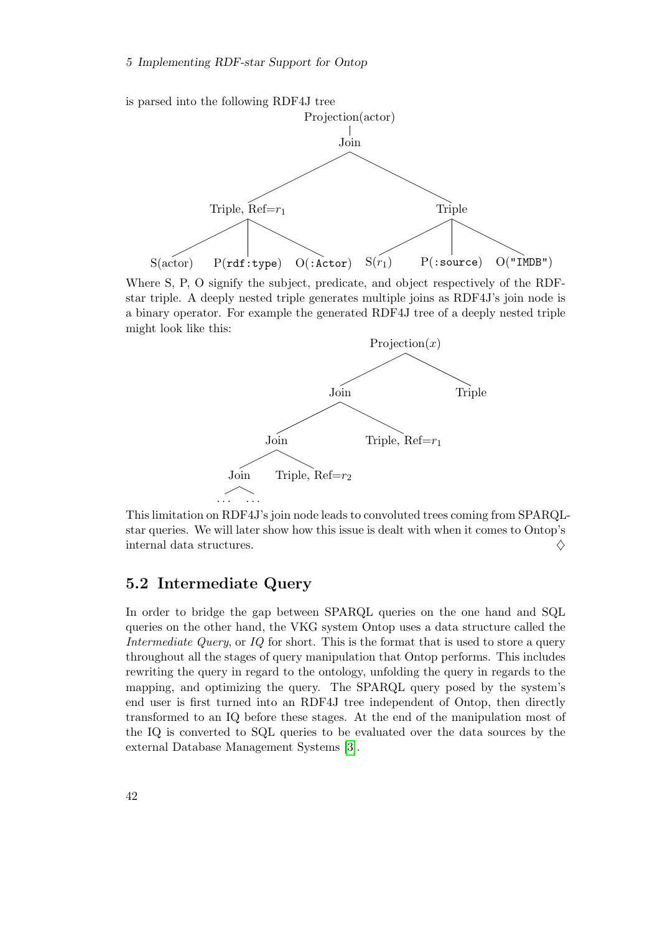S(actor) P(rdf:type) O(:Actor)

is parsed into the following RDF4J tree Projection(actor) Join Triple,  $Ref=r_1$ **Triple** 

Where S, P, O signify the subject, predicate, and object respectively of the RDFstar triple. A deeply nested triple generates multiple joins as RDF4J's join node is a binary operator. For example the generated RDF4J tree of a deeply nested triple might look like this:

 $S(r_1)$  P(:source) O("IMDB")



This limitation on RDF4J's join node leads to convoluted trees coming from SPARQLstar queries. We will later show how this issue is dealt with when it comes to Ontop's internal data structures.  $\Diamond$ 

## <span id="page-49-0"></span>5.2 Intermediate Query

In order to bridge the gap between SPARQL queries on the one hand and SQL queries on the other hand, the VKG system Ontop uses a data structure called the Intermediate Query, or IQ for short. This is the format that is used to store a query throughout all the stages of query manipulation that Ontop performs. This includes rewriting the query in regard to the ontology, unfolding the query in regards to the mapping, and optimizing the query. The SPARQL query posed by the system's end user is first turned into an RDF4J tree independent of Ontop, then directly transformed to an IQ before these stages. At the end of the manipulation most of the IQ is converted to SQL queries to be evaluated over the data sources by the external Database Management Systems [\[3\]](#page-62-10).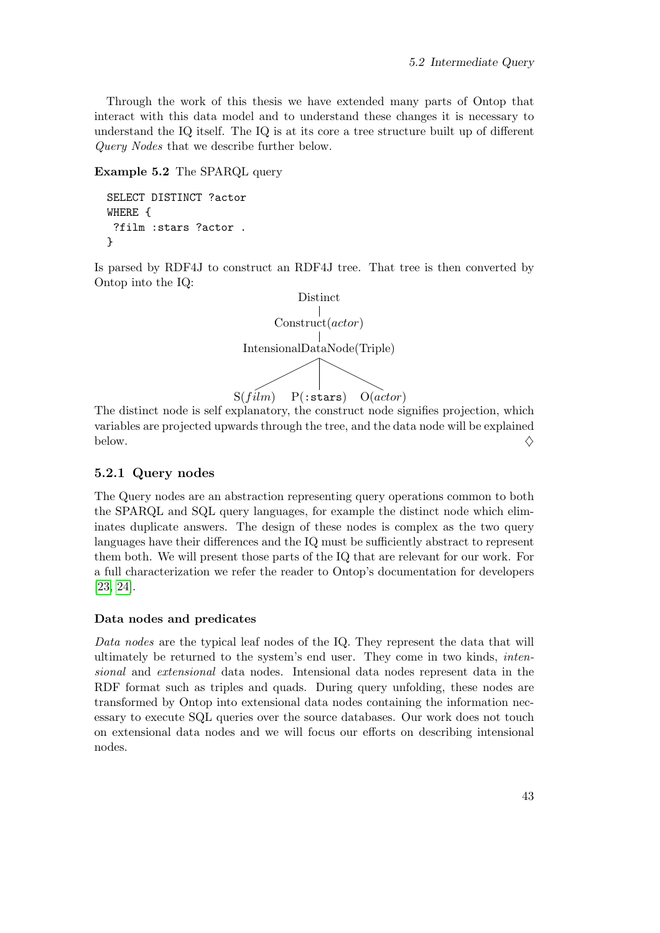Through the work of this thesis we have extended many parts of Ontop that interact with this data model and to understand these changes it is necessary to understand the IQ itself. The IQ is at its core a tree structure built up of different Query Nodes that we describe further below.

#### Example 5.2 The SPARQL query

```
SELECT DISTINCT ?actor
WHERE {
 ?film :stars ?actor .
}
```
Is parsed by RDF4J to construct an RDF4J tree. That tree is then converted by Ontop into the IQ:



The distinct node is self explanatory, the construct node signifies projection, which variables are projected upwards through the tree, and the data node will be explained below.  $\diamondsuit$ 

#### <span id="page-50-0"></span>5.2.1 Query nodes

The Query nodes are an abstraction representing query operations common to both the SPARQL and SQL query languages, for example the distinct node which eliminates duplicate answers. The design of these nodes is complex as the two query languages have their differences and the IQ must be sufficiently abstract to represent them both. We will present those parts of the IQ that are relevant for our work. For a full characterization we refer the reader to Ontop's documentation for developers [\[23,](#page-63-13) [24\]](#page-63-14).

#### Data nodes and predicates

Data nodes are the typical leaf nodes of the IQ. They represent the data that will ultimately be returned to the system's end user. They come in two kinds, intensional and extensional data nodes. Intensional data nodes represent data in the RDF format such as triples and quads. During query unfolding, these nodes are transformed by Ontop into extensional data nodes containing the information necessary to execute SQL queries over the source databases. Our work does not touch on extensional data nodes and we will focus our efforts on describing intensional nodes.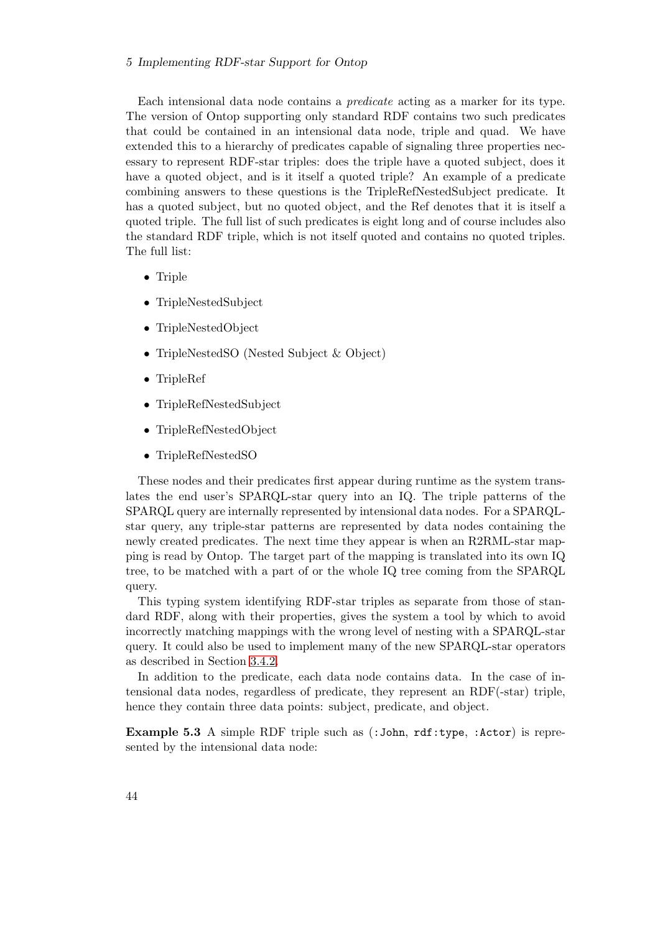Each intensional data node contains a predicate acting as a marker for its type. The version of Ontop supporting only standard RDF contains two such predicates that could be contained in an intensional data node, triple and quad. We have extended this to a hierarchy of predicates capable of signaling three properties necessary to represent RDF-star triples: does the triple have a quoted subject, does it have a quoted object, and is it itself a quoted triple? An example of a predicate combining answers to these questions is the TripleRefNestedSubject predicate. It has a quoted subject, but no quoted object, and the Ref denotes that it is itself a quoted triple. The full list of such predicates is eight long and of course includes also the standard RDF triple, which is not itself quoted and contains no quoted triples. The full list:

- Triple
- TripleNestedSubject
- TripleNestedObject
- TripleNestedSO (Nested Subject & Object)
- TripleRef
- TripleRefNestedSubject
- TripleRefNestedObject
- TripleRefNestedSO

These nodes and their predicates first appear during runtime as the system translates the end user's SPARQL-star query into an IQ. The triple patterns of the SPARQL query are internally represented by intensional data nodes. For a SPARQLstar query, any triple-star patterns are represented by data nodes containing the newly created predicates. The next time they appear is when an R2RML-star mapping is read by Ontop. The target part of the mapping is translated into its own IQ tree, to be matched with a part of or the whole IQ tree coming from the SPARQL query.

This typing system identifying RDF-star triples as separate from those of standard RDF, along with their properties, gives the system a tool by which to avoid incorrectly matching mappings with the wrong level of nesting with a SPARQL-star query. It could also be used to implement many of the new SPARQL-star operators as described in Section [3.4.2.](#page-36-0)

In addition to the predicate, each data node contains data. In the case of intensional data nodes, regardless of predicate, they represent an RDF(-star) triple, hence they contain three data points: subject, predicate, and object.

Example 5.3 A simple RDF triple such as (:John, rdf:type, :Actor) is represented by the intensional data node: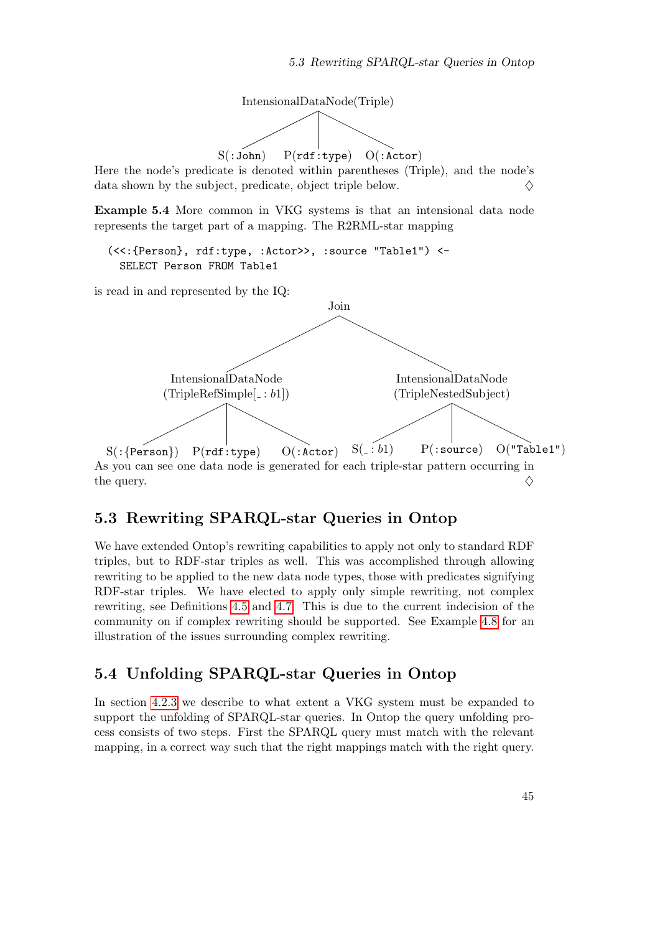

Here the node's predicate is denoted within parentheses (Triple), and the node's data shown by the subject, predicate, object triple below.  $\diamondsuit$ 

Example 5.4 More common in VKG systems is that an intensional data node represents the target part of a mapping. The R2RML-star mapping

```
(<<:{Person}, rdf:type, :Actor>>, :source "Table1") <-
 SELECT Person FROM Table1
```
is read in and represented by the IQ:



## <span id="page-52-0"></span>5.3 Rewriting SPARQL-star Queries in Ontop

We have extended Ontop's rewriting capabilities to apply not only to standard RDF triples, but to RDF-star triples as well. This was accomplished through allowing rewriting to be applied to the new data node types, those with predicates signifying RDF-star triples. We have elected to apply only simple rewriting, not complex rewriting, see Definitions [4.5](#page-41-4) and [4.7.](#page-42-1) This is due to the current indecision of the community on if complex rewriting should be supported. See Example [4.8](#page-42-2) for an illustration of the issues surrounding complex rewriting.

## <span id="page-52-1"></span>5.4 Unfolding SPARQL-star Queries in Ontop

In section [4.2.3](#page-42-0) we describe to what extent a VKG system must be expanded to support the unfolding of SPARQL-star queries. In Ontop the query unfolding process consists of two steps. First the SPARQL query must match with the relevant mapping, in a correct way such that the right mappings match with the right query.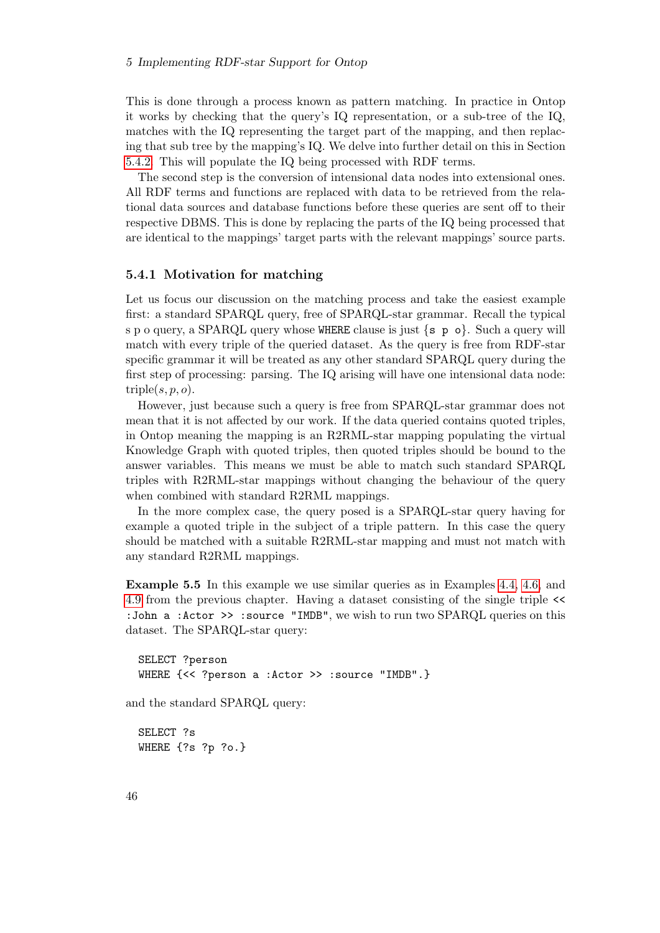#### 5 Implementing RDF-star Support for Ontop

This is done through a process known as pattern matching. In practice in Ontop it works by checking that the query's IQ representation, or a sub-tree of the IQ, matches with the IQ representing the target part of the mapping, and then replacing that sub tree by the mapping's IQ. We delve into further detail on this in Section [5.4.2.](#page-54-0) This will populate the IQ being processed with RDF terms.

The second step is the conversion of intensional data nodes into extensional ones. All RDF terms and functions are replaced with data to be retrieved from the relational data sources and database functions before these queries are sent off to their respective DBMS. This is done by replacing the parts of the IQ being processed that are identical to the mappings' target parts with the relevant mappings' source parts.

#### <span id="page-53-0"></span>5.4.1 Motivation for matching

Let us focus our discussion on the matching process and take the easiest example first: a standard SPARQL query, free of SPARQL-star grammar. Recall the typical s p o query, a SPARQL query whose WHERE clause is just  $\{s, p \}$  o}. Such a query will match with every triple of the queried dataset. As the query is free from RDF-star specific grammar it will be treated as any other standard SPARQL query during the first step of processing: parsing. The IQ arising will have one intensional data node: triple $(s, p, o)$ .

However, just because such a query is free from SPARQL-star grammar does not mean that it is not affected by our work. If the data queried contains quoted triples, in Ontop meaning the mapping is an R2RML-star mapping populating the virtual Knowledge Graph with quoted triples, then quoted triples should be bound to the answer variables. This means we must be able to match such standard SPARQL triples with R2RML-star mappings without changing the behaviour of the query when combined with standard R2RML mappings.

In the more complex case, the query posed is a SPARQL-star query having for example a quoted triple in the subject of a triple pattern. In this case the query should be matched with a suitable R2RML-star mapping and must not match with any standard R2RML mappings.

<span id="page-53-1"></span>Example 5.5 In this example we use similar queries as in Examples [4.4,](#page-41-3) [4.6,](#page-42-3) and [4.9](#page-43-1) from the previous chapter. Having a dataset consisting of the single triple << :John a :Actor >> :source "IMDB", we wish to run two SPARQL queries on this dataset. The SPARQL-star query:

```
SELECT ?person
WHERE {<< ?person a :Actor >> :source "IMDB".}
```
and the standard SPARQL query:

```
SELECT ?s
WHERE {?s ?p ?o.}
```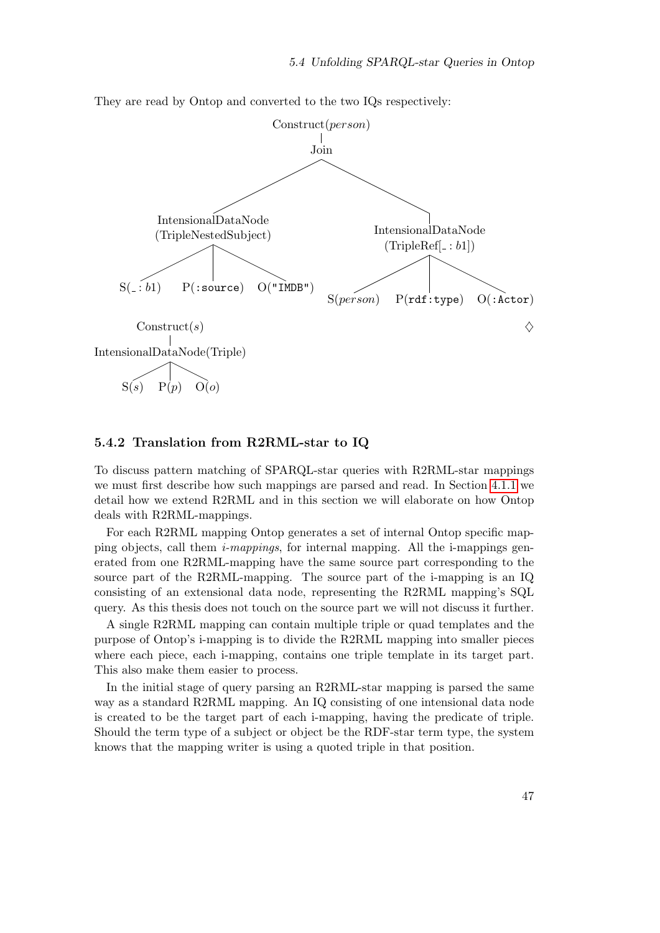They are read by Ontop and converted to the two IQs respectively:



#### <span id="page-54-0"></span>5.4.2 Translation from R2RML-star to IQ

To discuss pattern matching of SPARQL-star queries with R2RML-star mappings we must first describe how such mappings are parsed and read. In Section [4.1.1](#page-39-0) we detail how we extend R2RML and in this section we will elaborate on how Ontop deals with R2RML-mappings.

For each R2RML mapping Ontop generates a set of internal Ontop specific mapping objects, call them  $i$ -mappings, for internal mapping. All the i-mappings generated from one R2RML-mapping have the same source part corresponding to the source part of the R2RML-mapping. The source part of the i-mapping is an IQ consisting of an extensional data node, representing the R2RML mapping's SQL query. As this thesis does not touch on the source part we will not discuss it further.

A single R2RML mapping can contain multiple triple or quad templates and the purpose of Ontop's i-mapping is to divide the R2RML mapping into smaller pieces where each piece, each i-mapping, contains one triple template in its target part. This also make them easier to process.

In the initial stage of query parsing an R2RML-star mapping is parsed the same way as a standard R2RML mapping. An IQ consisting of one intensional data node is created to be the target part of each i-mapping, having the predicate of triple. Should the term type of a subject or object be the RDF-star term type, the system knows that the mapping writer is using a quoted triple in that position.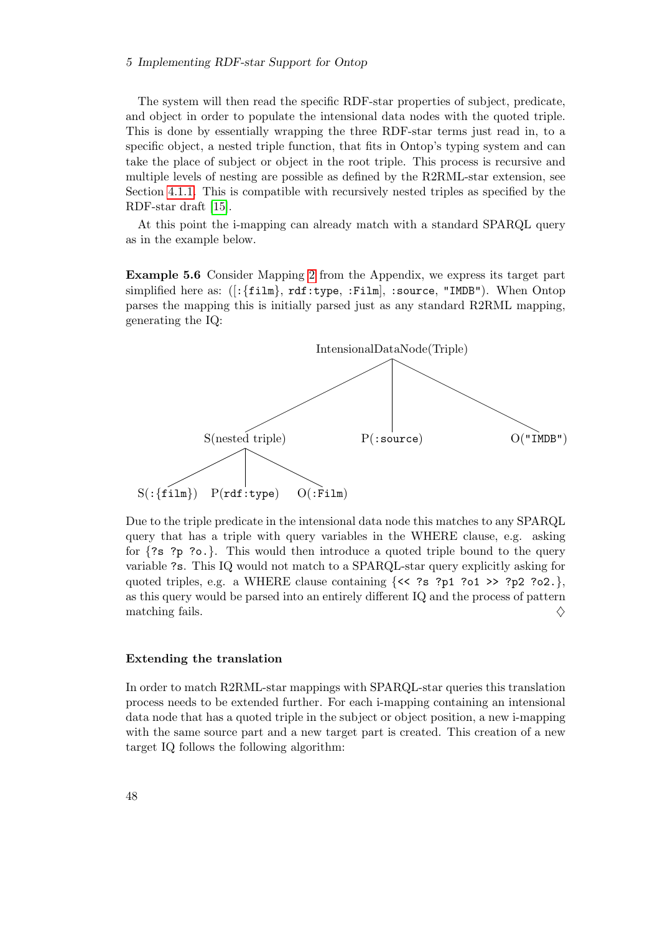#### 5 Implementing RDF-star Support for Ontop

The system will then read the specific RDF-star properties of subject, predicate, and object in order to populate the intensional data nodes with the quoted triple. This is done by essentially wrapping the three RDF-star terms just read in, to a specific object, a nested triple function, that fits in Ontop's typing system and can take the place of subject or object in the root triple. This process is recursive and multiple levels of nesting are possible as defined by the R2RML-star extension, see Section [4.1.1.](#page-39-0) This is compatible with recursively nested triples as specified by the RDF-star draft [\[15\]](#page-63-1).

At this point the i-mapping can already match with a standard SPARQL query as in the example below.

Example 5.6 Consider Mapping [2](#page-68-0) from the Appendix, we express its target part simplified here as: ([:{film}, rdf:type, :Film], :source, "IMDB"). When Ontop parses the mapping this is initially parsed just as any standard R2RML mapping, generating the IQ:



Due to the triple predicate in the intensional data node this matches to any SPARQL query that has a triple with query variables in the WHERE clause, e.g. asking for  $\{?s\ ?p\ ?o.\}$ . This would then introduce a quoted triple bound to the query variable ?s. This IQ would not match to a SPARQL-star query explicitly asking for quoted triples, e.g. a WHERE clause containing  $\{\langle\langle 3, 2\rangle\rangle\}$ , ?p2 ?o2.}, as this query would be parsed into an entirely different IQ and the process of pattern matching fails.  $\Diamond$ 

#### Extending the translation

In order to match R2RML-star mappings with SPARQL-star queries this translation process needs to be extended further. For each i-mapping containing an intensional data node that has a quoted triple in the subject or object position, a new i-mapping with the same source part and a new target part is created. This creation of a new target IQ follows the following algorithm: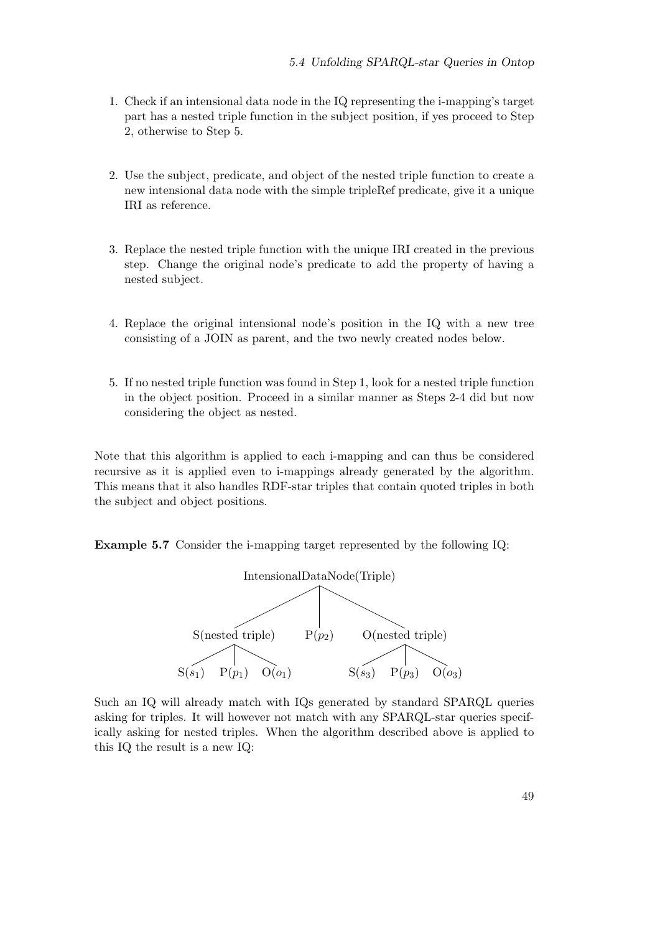- 1. Check if an intensional data node in the IQ representing the i-mapping's target part has a nested triple function in the subject position, if yes proceed to Step 2, otherwise to Step 5.
- 2. Use the subject, predicate, and object of the nested triple function to create a new intensional data node with the simple tripleRef predicate, give it a unique IRI as reference.
- 3. Replace the nested triple function with the unique IRI created in the previous step. Change the original node's predicate to add the property of having a nested subject.
- 4. Replace the original intensional node's position in the IQ with a new tree consisting of a JOIN as parent, and the two newly created nodes below.
- 5. If no nested triple function was found in Step 1, look for a nested triple function in the object position. Proceed in a similar manner as Steps 2-4 did but now considering the object as nested.

Note that this algorithm is applied to each i-mapping and can thus be considered recursive as it is applied even to i-mappings already generated by the algorithm. This means that it also handles RDF-star triples that contain quoted triples in both the subject and object positions.

Example 5.7 Consider the i-mapping target represented by the following IQ:



Such an IQ will already match with IQs generated by standard SPARQL queries asking for triples. It will however not match with any SPARQL-star queries specifically asking for nested triples. When the algorithm described above is applied to this IQ the result is a new IQ: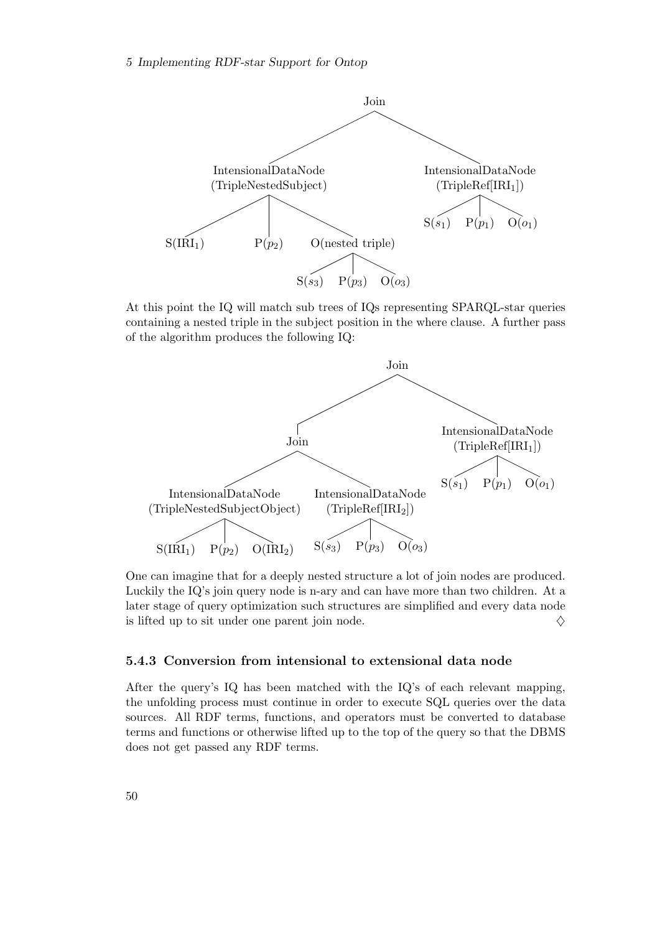

At this point the IQ will match sub trees of IQs representing SPARQL-star queries containing a nested triple in the subject position in the where clause. A further pass of the algorithm produces the following IQ:



One can imagine that for a deeply nested structure a lot of join nodes are produced. Luckily the IQ's join query node is n-ary and can have more than two children. At a later stage of query optimization such structures are simplified and every data node is lifted up to sit under one parent join node.  $\Diamond$ 

#### <span id="page-57-0"></span>5.4.3 Conversion from intensional to extensional data node

After the query's IQ has been matched with the IQ's of each relevant mapping, the unfolding process must continue in order to execute SQL queries over the data sources. All RDF terms, functions, and operators must be converted to database terms and functions or otherwise lifted up to the top of the query so that the DBMS does not get passed any RDF terms.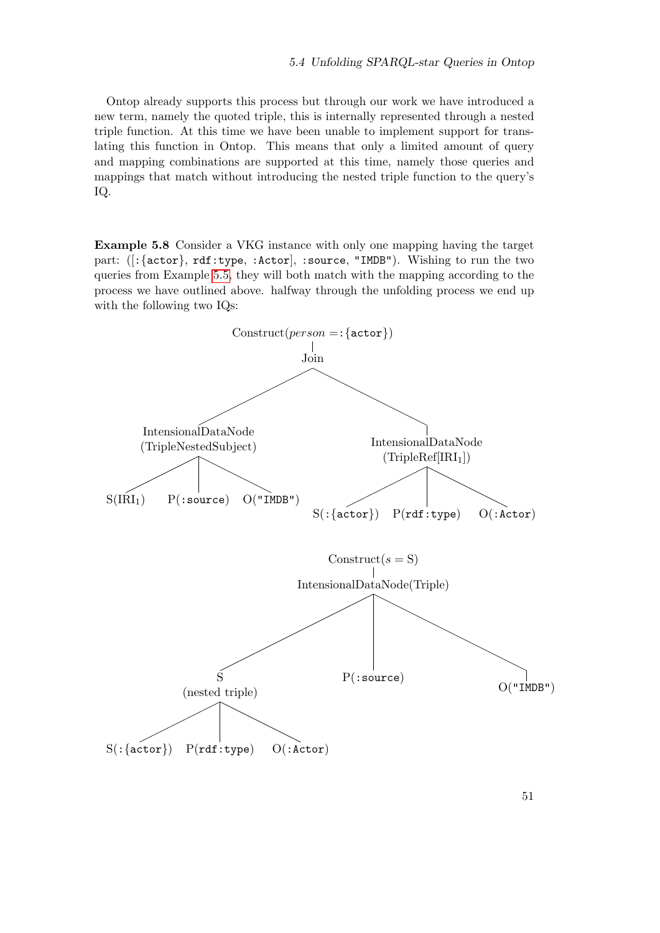Ontop already supports this process but through our work we have introduced a new term, namely the quoted triple, this is internally represented through a nested triple function. At this time we have been unable to implement support for translating this function in Ontop. This means that only a limited amount of query and mapping combinations are supported at this time, namely those queries and mappings that match without introducing the nested triple function to the query's IQ.

Example 5.8 Consider a VKG instance with only one mapping having the target part: ([:{actor}, rdf:type, :Actor], :source, "IMDB"). Wishing to run the two queries from Example [5.5,](#page-53-1) they will both match with the mapping according to the process we have outlined above. halfway through the unfolding process we end up with the following two IQs:

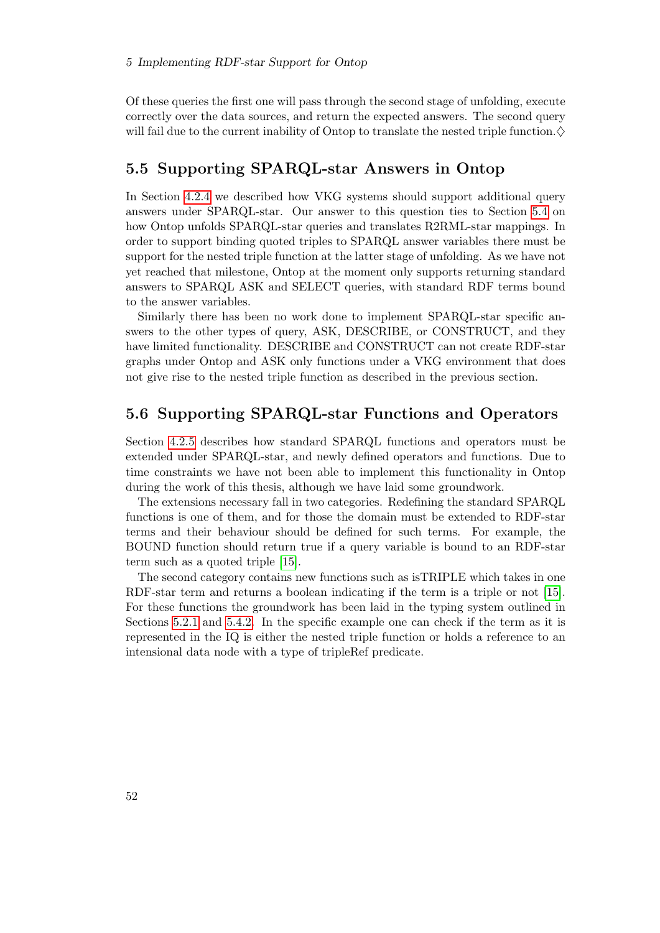Of these queries the first one will pass through the second stage of unfolding, execute correctly over the data sources, and return the expected answers. The second query will fail due to the current inability of Ontop to translate the nested triple function. $\diamond$ 

## <span id="page-59-0"></span>5.5 Supporting SPARQL-star Answers in Ontop

In Section [4.2.4](#page-43-0) we described how VKG systems should support additional query answers under SPARQL-star. Our answer to this question ties to Section [5.4](#page-52-1) on how Ontop unfolds SPARQL-star queries and translates R2RML-star mappings. In order to support binding quoted triples to SPARQL answer variables there must be support for the nested triple function at the latter stage of unfolding. As we have not yet reached that milestone, Ontop at the moment only supports returning standard answers to SPARQL ASK and SELECT queries, with standard RDF terms bound to the answer variables.

Similarly there has been no work done to implement SPARQL-star specific answers to the other types of query, ASK, DESCRIBE, or CONSTRUCT, and they have limited functionality. DESCRIBE and CONSTRUCT can not create RDF-star graphs under Ontop and ASK only functions under a VKG environment that does not give rise to the nested triple function as described in the previous section.

## <span id="page-59-1"></span>5.6 Supporting SPARQL-star Functions and Operators

Section [4.2.5](#page-44-0) describes how standard SPARQL functions and operators must be extended under SPARQL-star, and newly defined operators and functions. Due to time constraints we have not been able to implement this functionality in Ontop during the work of this thesis, although we have laid some groundwork.

The extensions necessary fall in two categories. Redefining the standard SPARQL functions is one of them, and for those the domain must be extended to RDF-star terms and their behaviour should be defined for such terms. For example, the BOUND function should return true if a query variable is bound to an RDF-star term such as a quoted triple [\[15\]](#page-63-1).

The second category contains new functions such as isTRIPLE which takes in one RDF-star term and returns a boolean indicating if the term is a triple or not [\[15\]](#page-63-1). For these functions the groundwork has been laid in the typing system outlined in Sections [5.2.1](#page-50-0) and [5.4.2.](#page-54-0) In the specific example one can check if the term as it is represented in the IQ is either the nested triple function or holds a reference to an intensional data node with a type of tripleRef predicate.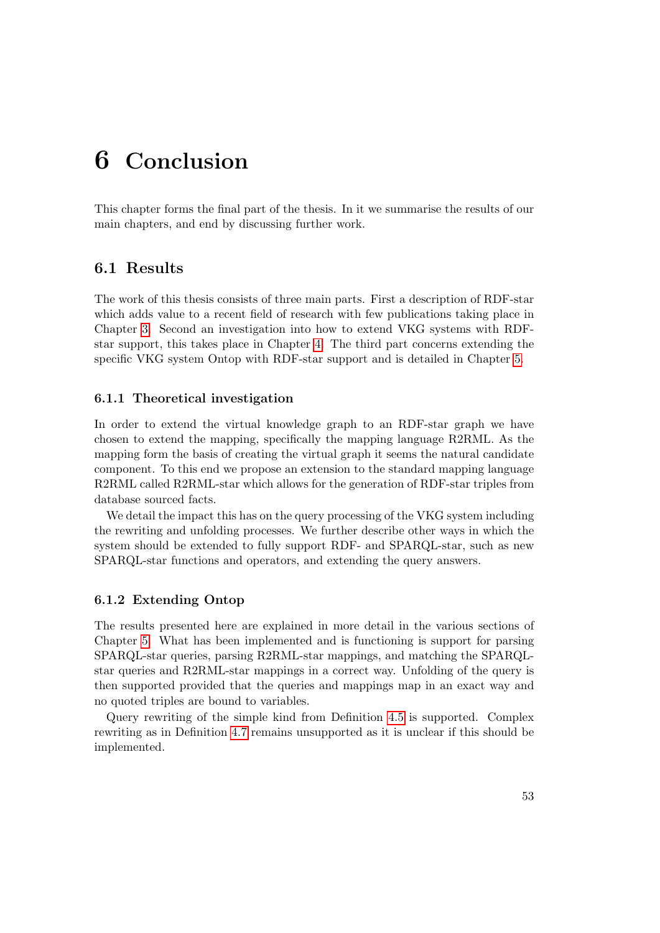## <span id="page-60-0"></span>6 Conclusion

This chapter forms the final part of the thesis. In it we summarise the results of our main chapters, and end by discussing further work.

## <span id="page-60-1"></span>6.1 Results

The work of this thesis consists of three main parts. First a description of RDF-star which adds value to a recent field of research with few publications taking place in Chapter [3.](#page-30-0) Second an investigation into how to extend VKG systems with RDFstar support, this takes place in Chapter [4.](#page-38-0) The third part concerns extending the specific VKG system Ontop with RDF-star support and is detailed in Chapter [5.](#page-48-0)

#### <span id="page-60-2"></span>6.1.1 Theoretical investigation

In order to extend the virtual knowledge graph to an RDF-star graph we have chosen to extend the mapping, specifically the mapping language R2RML. As the mapping form the basis of creating the virtual graph it seems the natural candidate component. To this end we propose an extension to the standard mapping language R2RML called R2RML-star which allows for the generation of RDF-star triples from database sourced facts.

We detail the impact this has on the query processing of the VKG system including the rewriting and unfolding processes. We further describe other ways in which the system should be extended to fully support RDF- and SPARQL-star, such as new SPARQL-star functions and operators, and extending the query answers.

#### <span id="page-60-3"></span>6.1.2 Extending Ontop

The results presented here are explained in more detail in the various sections of Chapter [5.](#page-48-0) What has been implemented and is functioning is support for parsing SPARQL-star queries, parsing R2RML-star mappings, and matching the SPARQLstar queries and R2RML-star mappings in a correct way. Unfolding of the query is then supported provided that the queries and mappings map in an exact way and no quoted triples are bound to variables.

Query rewriting of the simple kind from Definition [4.5](#page-41-4) is supported. Complex rewriting as in Definition [4.7](#page-42-1) remains unsupported as it is unclear if this should be implemented.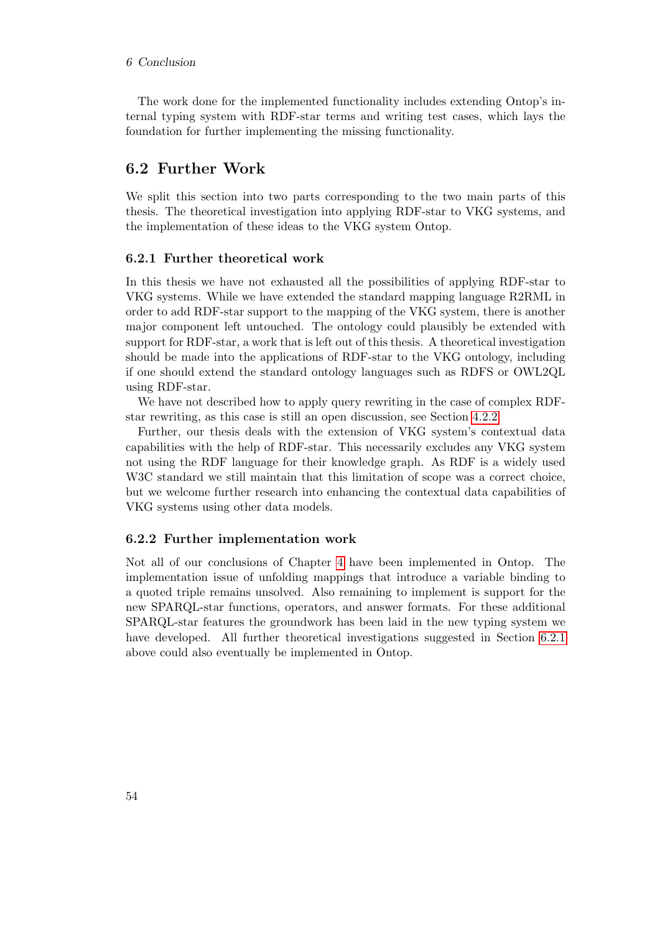The work done for the implemented functionality includes extending Ontop's internal typing system with RDF-star terms and writing test cases, which lays the foundation for further implementing the missing functionality.

## <span id="page-61-0"></span>6.2 Further Work

We split this section into two parts corresponding to the two main parts of this thesis. The theoretical investigation into applying RDF-star to VKG systems, and the implementation of these ideas to the VKG system Ontop.

#### <span id="page-61-1"></span>6.2.1 Further theoretical work

In this thesis we have not exhausted all the possibilities of applying RDF-star to VKG systems. While we have extended the standard mapping language R2RML in order to add RDF-star support to the mapping of the VKG system, there is another major component left untouched. The ontology could plausibly be extended with support for RDF-star, a work that is left out of this thesis. A theoretical investigation should be made into the applications of RDF-star to the VKG ontology, including if one should extend the standard ontology languages such as RDFS or OWL2QL using RDF-star.

We have not described how to apply query rewriting in the case of complex RDFstar rewriting, as this case is still an open discussion, see Section [4.2.2.](#page-41-2)

Further, our thesis deals with the extension of VKG system's contextual data capabilities with the help of RDF-star. This necessarily excludes any VKG system not using the RDF language for their knowledge graph. As RDF is a widely used W<sub>3</sub>C standard we still maintain that this limitation of scope was a correct choice, but we welcome further research into enhancing the contextual data capabilities of VKG systems using other data models.

#### <span id="page-61-2"></span>6.2.2 Further implementation work

Not all of our conclusions of Chapter [4](#page-38-0) have been implemented in Ontop. The implementation issue of unfolding mappings that introduce a variable binding to a quoted triple remains unsolved. Also remaining to implement is support for the new SPARQL-star functions, operators, and answer formats. For these additional SPARQL-star features the groundwork has been laid in the new typing system we have developed. All further theoretical investigations suggested in Section [6.2.1](#page-61-1) above could also eventually be implemented in Ontop.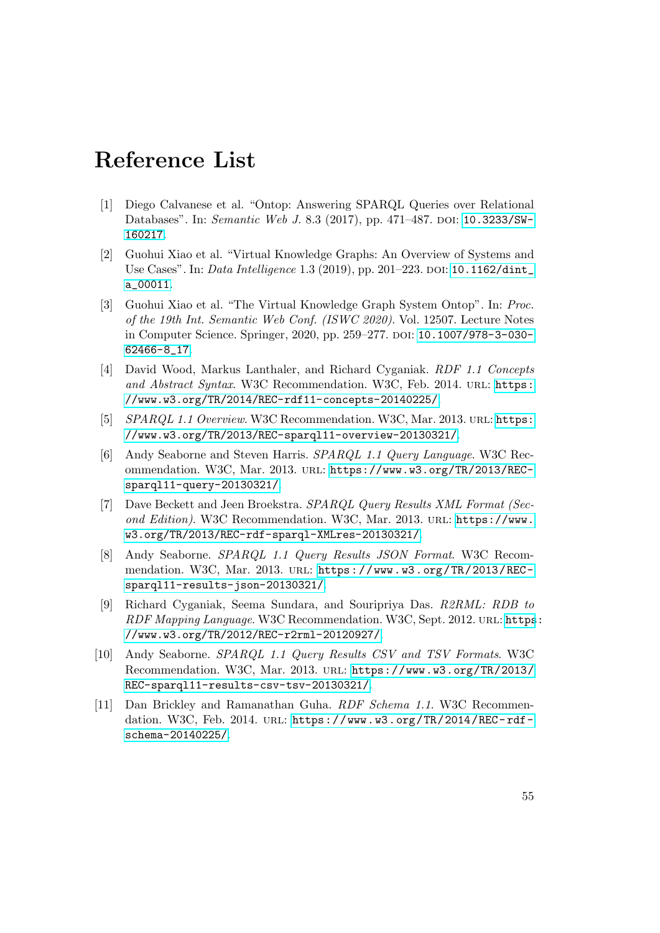## <span id="page-62-0"></span>Reference List

- <span id="page-62-1"></span>[1] Diego Calvanese et al. "Ontop: Answering SPARQL Queries over Relational Databases". In: Semantic Web J. 8.3 (2017), pp. 471–487. DOI: [10.3233/SW-](https://doi.org/10.3233/SW-160217)[160217](https://doi.org/10.3233/SW-160217).
- <span id="page-62-2"></span>[2] Guohui Xiao et al. "Virtual Knowledge Graphs: An Overview of Systems and Use Cases". In: *Data Intelligence* 1.3 (2019), pp. 201–223. DOI: 10.1162/dint [a\\_00011](https://doi.org/10.1162/dint_a_00011).
- <span id="page-62-10"></span>[3] Guohui Xiao et al. "The Virtual Knowledge Graph System Ontop". In: Proc. of the 19th Int. Semantic Web Conf. (ISWC 2020). Vol. 12507. Lecture Notes in Computer Science. Springer, 2020, pp. 259–277. DOI: [10.1007/978-3-030-](https://doi.org/10.1007/978-3-030-62466-8_17) [62466-8\\_17](https://doi.org/10.1007/978-3-030-62466-8_17).
- <span id="page-62-3"></span>[4] David Wood, Markus Lanthaler, and Richard Cyganiak. RDF 1.1 Concepts and Abstract Syntax. W3C Recommendation. W3C, Feb. 2014. URL: [https:](https://www.w3.org/TR/2014/REC-rdf11-concepts-20140225/) [//www.w3.org/TR/2014/REC-rdf11-concepts-20140225/](https://www.w3.org/TR/2014/REC-rdf11-concepts-20140225/).
- <span id="page-62-4"></span>[5] SPARQL 1.1 Overview. W3C Recommendation. W3C, Mar. 2013. URL: [https:](https://www.w3.org/TR/2013/REC-sparql11-overview-20130321/) [//www.w3.org/TR/2013/REC-sparql11-overview-20130321/](https://www.w3.org/TR/2013/REC-sparql11-overview-20130321/).
- <span id="page-62-5"></span>[6] Andy Seaborne and Steven Harris. SPARQL 1.1 Query Language. W3C Recommendation. W3C, Mar. 2013. url: [https://www.w3.org/TR/2013/REC](https://www.w3.org/TR/2013/REC-sparql11-query-20130321/)[sparql11-query-20130321/](https://www.w3.org/TR/2013/REC-sparql11-query-20130321/).
- <span id="page-62-6"></span>[7] Dave Beckett and Jeen Broekstra. SPARQL Query Results XML Format (Second Edition). W3C Recommendation. W3C, Mar. 2013. url: [https://www.](https://www.w3.org/TR/2013/REC-rdf-sparql-XMLres-20130321/) [w3.org/TR/2013/REC-rdf-sparql-XMLres-20130321/](https://www.w3.org/TR/2013/REC-rdf-sparql-XMLres-20130321/).
- <span id="page-62-7"></span>[8] Andy Seaborne. SPARQL 1.1 Query Results JSON Format. W3C Recommendation. W3C, Mar. 2013. URL: [https://www.w3.org/TR/2013/REC](https://www.w3.org/TR/2013/REC-sparql11-results-json-20130321/)[sparql11-results-json-20130321/](https://www.w3.org/TR/2013/REC-sparql11-results-json-20130321/).
- <span id="page-62-11"></span>[9] Richard Cyganiak, Seema Sundara, and Souripriya Das. R2RML: RDB to RDF Mapping Language. W3C Recommendation. W3C, Sept. 2012. URL: [https](https://www.w3.org/TR/2012/REC-r2rml-20120927/): [//www.w3.org/TR/2012/REC-r2rml-20120927/](https://www.w3.org/TR/2012/REC-r2rml-20120927/).
- <span id="page-62-8"></span>[10] Andy Seaborne. SPARQL 1.1 Query Results CSV and TSV Formats. W3C Recommendation. W3C, Mar. 2013. url: [https://www.w3.org/TR/2013/](https://www.w3.org/TR/2013/REC-sparql11-results-csv-tsv-20130321/) [REC-sparql11-results-csv-tsv-20130321/](https://www.w3.org/TR/2013/REC-sparql11-results-csv-tsv-20130321/).
- <span id="page-62-9"></span>[11] Dan Brickley and Ramanathan Guha. RDF Schema 1.1. W3C Recommendation. W3C, Feb. 2014. URL: https://www.w3.org/TR/2014/REC-rdf[schema-20140225/](https://www.w3.org/TR/2014/REC-rdf-schema-20140225/).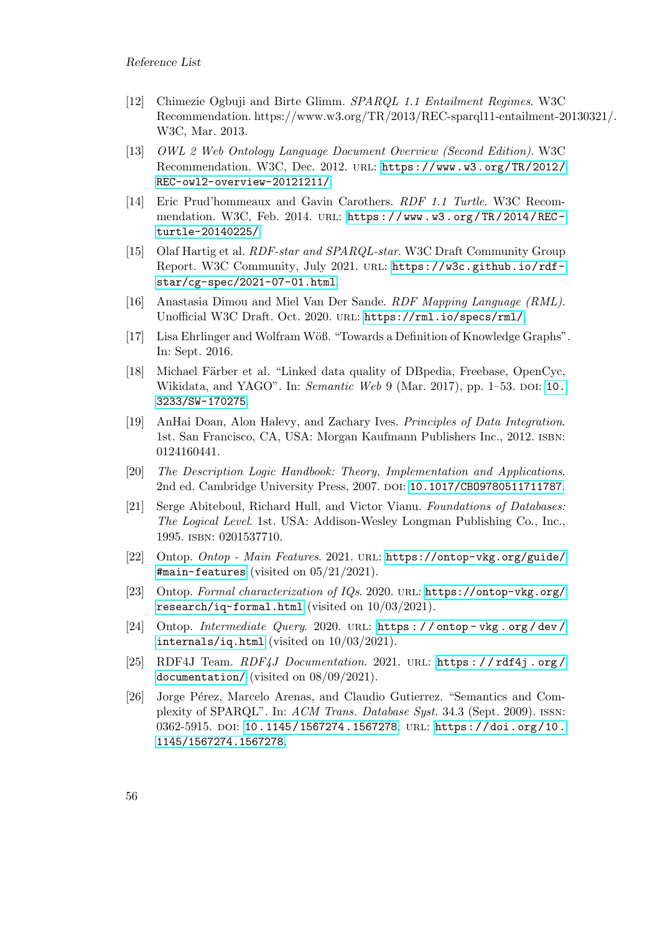- <span id="page-63-10"></span>[12] Chimezie Ogbuji and Birte Glimm. SPARQL 1.1 Entailment Regimes. W3C Recommendation. https://www.w3.org/TR/2013/REC-sparql11-entailment-20130321/. W3C, Mar. 2013.
- <span id="page-63-9"></span>[13] OWL 2 Web Ontology Language Document Overview (Second Edition). W3C Recommendation. W3C, Dec. 2012. url: [https://www.w3.org/TR/2012/](https://www.w3.org/TR/2012/REC-owl2-overview-20121211/) [REC-owl2-overview-20121211/](https://www.w3.org/TR/2012/REC-owl2-overview-20121211/).
- <span id="page-63-2"></span>[14] Eric Prud'hommeaux and Gavin Carothers. RDF 1.1 Turtle. W3C Recommendation. W3C, Feb. 2014. URL: https://www.w3.org/TR/2014/REC[turtle-20140225/](https://www.w3.org/TR/2014/REC-turtle-20140225/).
- <span id="page-63-1"></span>[15] Olaf Hartig et al. RDF-star and SPARQL-star. W3C Draft Community Group Report. W3C Community, July 2021. url: [https://w3c.github.io/rdf](https://w3c.github.io/rdf-star/cg-spec/2021-07-01.html)[star/cg-spec/2021-07-01.html](https://w3c.github.io/rdf-star/cg-spec/2021-07-01.html).
- <span id="page-63-11"></span>[16] Anastasia Dimou and Miel Van Der Sande. RDF Mapping Language (RML). Unofficial W3C Draft. Oct. 2020. url: <https://rml.io/specs/rml/>.
- <span id="page-63-4"></span>[17] Lisa Ehrlinger and Wolfram Wöß. "Towards a Definition of Knowledge Graphs". In: Sept. 2016.
- <span id="page-63-3"></span>[18] Michael Färber et al. "Linked data quality of DBpedia, Freebase, OpenCyc, Wikidata, and YAGO". In: Semantic Web 9 (Mar. 2017), pp. 1–53. DOI: [10.](https://doi.org/10.3233/SW-170275) [3233/SW-170275](https://doi.org/10.3233/SW-170275).
- <span id="page-63-0"></span>[19] AnHai Doan, Alon Halevy, and Zachary Ives. Principles of Data Integration. 1st. San Francisco, CA, USA: Morgan Kaufmann Publishers Inc., 2012. isbn: 0124160441.
- <span id="page-63-7"></span>[20] The Description Logic Handbook: Theory, Implementation and Applications. 2nd ed. Cambridge University Press, 2007. poi: 10.1017/CB09780511711787.
- <span id="page-63-6"></span>[21] Serge Abiteboul, Richard Hull, and Victor Vianu. Foundations of Databases: The Logical Level. 1st. USA: Addison-Wesley Longman Publishing Co., Inc., 1995. isbn: 0201537710.
- <span id="page-63-8"></span>[22] Ontop. Ontop - Main Features. 2021. url: [https://ontop-vkg.org/guide/](https://ontop-vkg.org/guide/#main-features) [#main-features](https://ontop-vkg.org/guide/#main-features) (visited on 05/21/2021).
- <span id="page-63-13"></span>[23] Ontop. Formal characterization of IQs. 2020. url: [https://ontop-vkg.org/](https://ontop-vkg.org/research/iq-formal.html) [research/iq-formal.html](https://ontop-vkg.org/research/iq-formal.html) (visited on 10/03/2021).
- <span id="page-63-14"></span>[24] Ontop. Intermediate Query. 2020. url: [https : / / ontop - vkg . org / dev /](https://ontop-vkg.org/dev/internals/iq.html) [internals/iq.html](https://ontop-vkg.org/dev/internals/iq.html) (visited on 10/03/2021).
- <span id="page-63-12"></span>[25] RDF4J Team. RDF4J Documentation. 2021. url: [https : / / rdf4j . org /](https://rdf4j.org/documentation/) [documentation/](https://rdf4j.org/documentation/) (visited on 08/09/2021).
- <span id="page-63-5"></span>[26] Jorge Pérez, Marcelo Arenas, and Claudio Gutierrez. "Semantics and Complexity of SPARQL". In: ACM Trans. Database Syst. 34.3 (Sept. 2009). issn: 0362-5915. doi: [10.1145/1567274.1567278](https://doi.org/10.1145/1567274.1567278). URL: [https://doi.org/10.](https://doi.org/10.1145/1567274.1567278) [1145/1567274.1567278](https://doi.org/10.1145/1567274.1567278).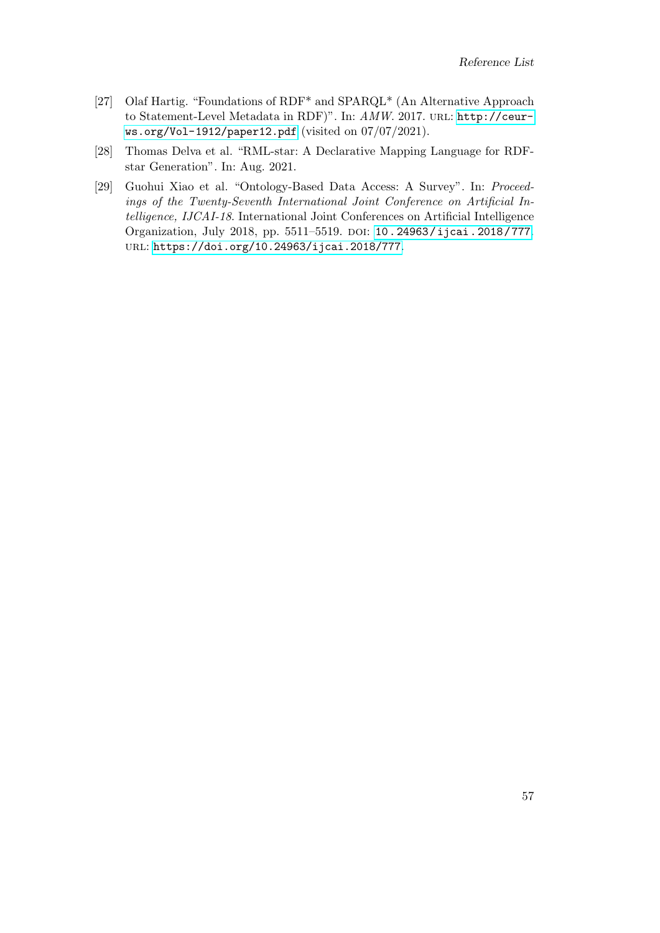- <span id="page-64-0"></span>[27] Olaf Hartig. "Foundations of RDF\* and SPARQL\* (An Alternative Approach to Statement-Level Metadata in RDF)". In: AMW. 2017. URL: [http://ceur](http://ceur-ws.org/Vol-1912/paper12.pdf)[ws.org/Vol-1912/paper12.pdf](http://ceur-ws.org/Vol-1912/paper12.pdf) (visited on 07/07/2021).
- <span id="page-64-2"></span>[28] Thomas Delva et al. "RML-star: A Declarative Mapping Language for RDFstar Generation". In: Aug. 2021.
- <span id="page-64-1"></span>[29] Guohui Xiao et al. "Ontology-Based Data Access: A Survey". In: Proceedings of the Twenty-Seventh International Joint Conference on Artificial Intelligence, IJCAI-18. International Joint Conferences on Artificial Intelligence Organization, July 2018, pp. 5511-5519. DOI: [10.24963/ijcai.2018/777](https://doi.org/10.24963/ijcai.2018/777). url: <https://doi.org/10.24963/ijcai.2018/777>.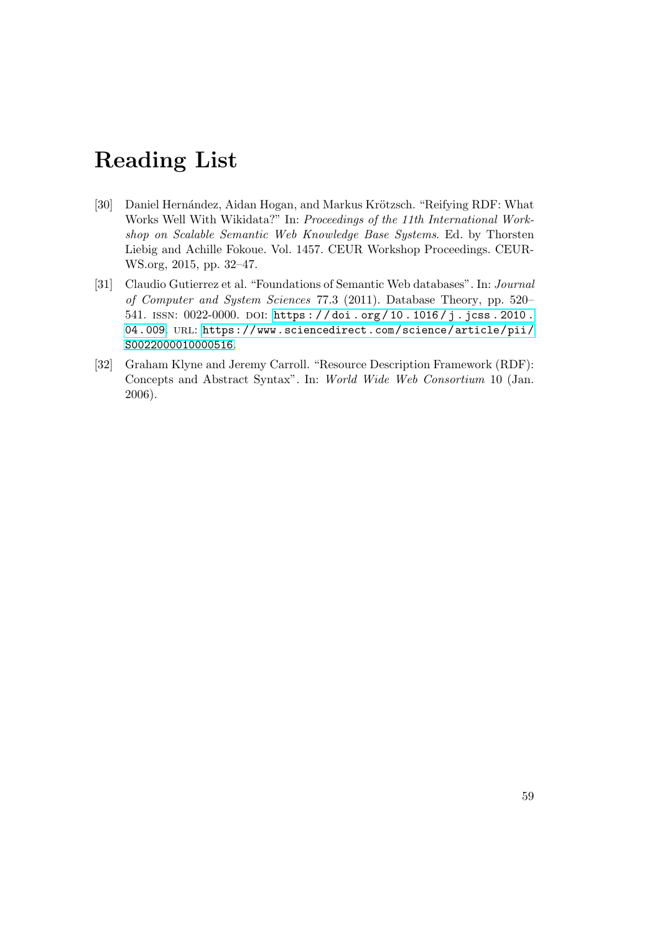## <span id="page-66-0"></span>Reading List

- [30] Daniel Hernández, Aidan Hogan, and Markus Krötzsch. "Reifying RDF: What Works Well With Wikidata?" In: Proceedings of the 11th International Workshop on Scalable Semantic Web Knowledge Base Systems. Ed. by Thorsten Liebig and Achille Fokoue. Vol. 1457. CEUR Workshop Proceedings. CEUR-WS.org, 2015, pp. 32–47.
- [31] Claudio Gutierrez et al. "Foundations of Semantic Web databases". In: Journal of Computer and System Sciences 77.3 (2011). Database Theory, pp. 520– 541. ISSN: 0022-0000. DOI: https://doi.org/10.1016/j.jcss.2010. [04.009](https://doi.org/https://doi.org/10.1016/j.jcss.2010.04.009). url: [https://www.sciencedirect.com/science/article/pii/](https://www.sciencedirect.com/science/article/pii/S0022000010000516) [S0022000010000516](https://www.sciencedirect.com/science/article/pii/S0022000010000516).
- [32] Graham Klyne and Jeremy Carroll. "Resource Description Framework (RDF): Concepts and Abstract Syntax". In: World Wide Web Consortium 10 (Jan. 2006).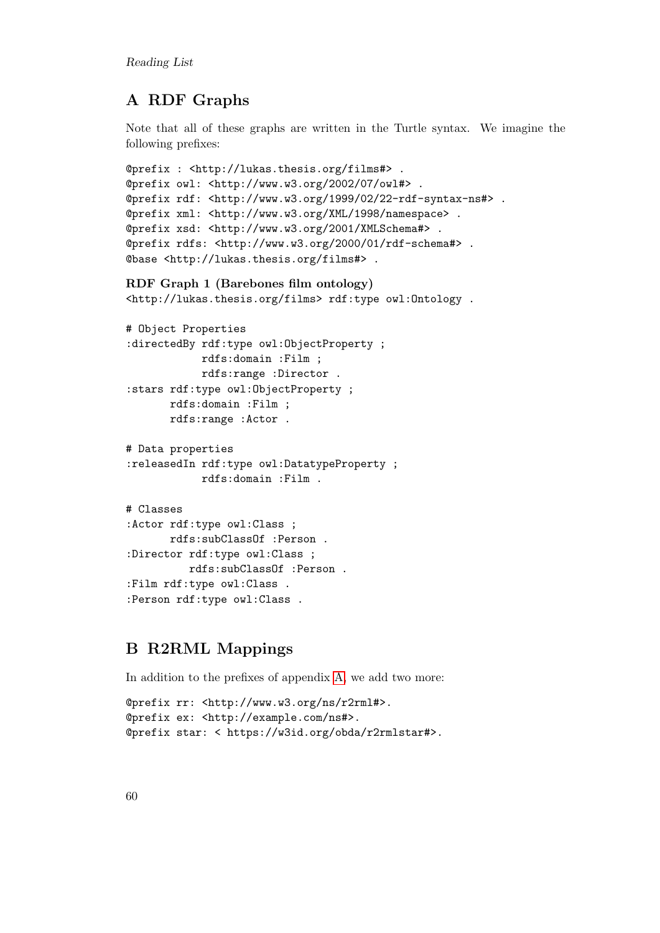Reading List

## <span id="page-67-0"></span>A RDF Graphs

Note that all of these graphs are written in the Turtle syntax. We imagine the following prefixes:

```
@prefix : <http://lukas.thesis.org/films#> .
@prefix owl: <http://www.w3.org/2002/07/owl#> .
@prefix rdf: <http://www.w3.org/1999/02/22-rdf-syntax-ns#> .
@prefix xml: <http://www.w3.org/XML/1998/namespace> .
@prefix xsd: <http://www.w3.org/2001/XMLSchema#> .
@prefix rdfs: <http://www.w3.org/2000/01/rdf-schema#> .
@base <http://lukas.thesis.org/films#> .
RDF Graph 1 (Barebones film ontology)
<http://lukas.thesis.org/films> rdf:type owl:Ontology .
```

```
# Object Properties
:directedBy rdf:type owl:ObjectProperty ;
            rdfs:domain :Film ;
            rdfs:range :Director .
:stars rdf:type owl:ObjectProperty ;
       rdfs:domain :Film ;
       rdfs:range :Actor .
```

```
# Data properties
:releasedIn rdf:type owl:DatatypeProperty ;
            rdfs:domain :Film .
```

```
# Classes
:Actor rdf:type owl:Class ;
       rdfs:subClassOf :Person .
:Director rdf:type owl:Class ;
          rdfs:subClassOf :Person .
:Film rdf:type owl:Class .
:Person rdf:type owl:Class .
```
## <span id="page-67-1"></span>B R2RML Mappings

In addition to the prefixes of appendix [A,](#page-67-0) we add two more:

```
@prefix rr: <http://www.w3.org/ns/r2rml#>.
@prefix ex: <http://example.com/ns#>.
@prefix star: < https://w3id.org/obda/r2rmlstar#>.
```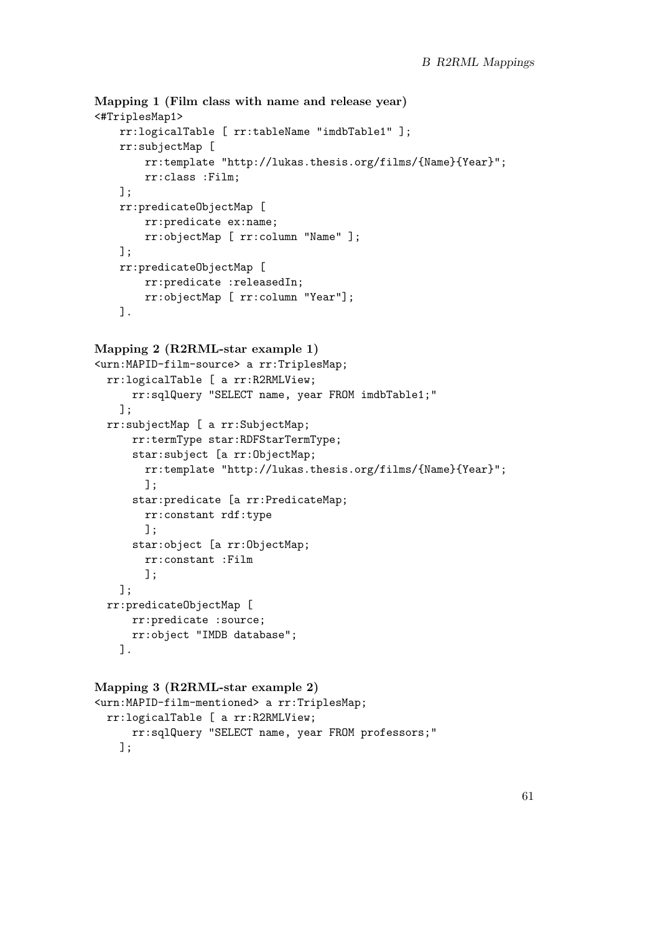```
Mapping 1 (Film class with name and release year)
<#TriplesMap1>
    rr:logicalTable [ rr:tableName "imdbTable1" ];
    rr:subjectMap [
        rr:template "http://lukas.thesis.org/films/{Name}{Year}";
        rr:class :Film;
    ];
    rr:predicateObjectMap [
        rr:predicate ex:name;
        rr:objectMap [ rr:column "Name" ];
    ];
    rr:predicateObjectMap [
        rr:predicate :releasedIn;
       rr:objectMap [ rr:column "Year"];
   ].
Mapping 2 (R2RML-star example 1)
<urn:MAPID-film-source> a rr:TriplesMap;
  rr:logicalTable [ a rr:R2RMLView;
     rr:sqlQuery "SELECT name, year FROM imdbTable1;"
   ];
 rr:subjectMap [ a rr:SubjectMap;
     rr:termType star:RDFStarTermType;
      star:subject [a rr:ObjectMap;
       rr:template "http://lukas.thesis.org/films/{Name}{Year}";
        ];
      star:predicate [a rr:PredicateMap;
       rr:constant rdf:type
       ];
      star:object [a rr:ObjectMap;
       rr:constant :Film
       ];
    ];
 rr:predicateObjectMap [
     rr:predicate :source;
     rr:object "IMDB database";
   ].
Mapping 3 (R2RML-star example 2)
```

```
<urn:MAPID-film-mentioned> a rr:TriplesMap;
 rr:logicalTable [ a rr:R2RMLView;
     rr:sqlQuery "SELECT name, year FROM professors;"
   ];
```